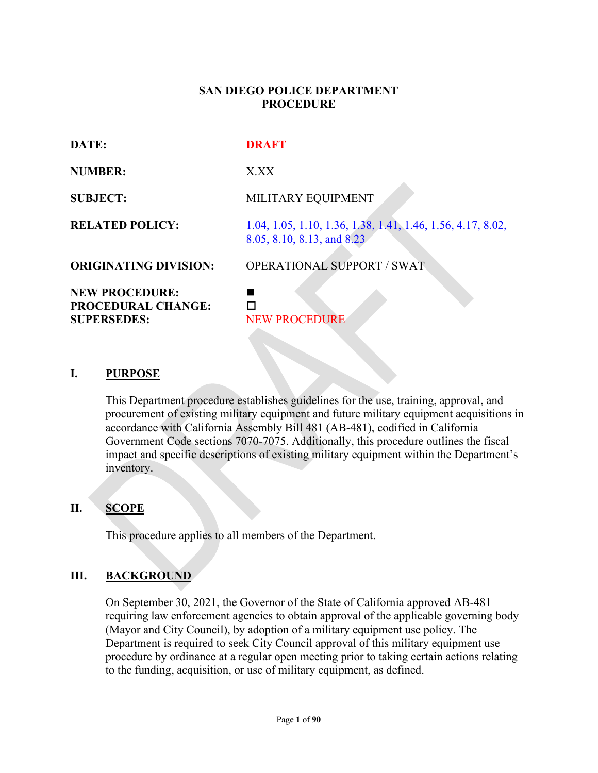### **SAN DIEGO POLICE DEPARTMENT PROCEDURE**

| DATE:                                                                    | <b>DRAFT</b>                                                                              |
|--------------------------------------------------------------------------|-------------------------------------------------------------------------------------------|
| <b>NUMBER:</b>                                                           | X.XX                                                                                      |
| <b>SUBJECT:</b>                                                          | MILITARY EQUIPMENT                                                                        |
| <b>RELATED POLICY:</b>                                                   | 1.04, 1.05, 1.10, 1.36, 1.38, 1.41, 1.46, 1.56, 4.17, 8.02,<br>8.05, 8.10, 8.13, and 8.23 |
| <b>ORIGINATING DIVISION:</b>                                             | <b>OPERATIONAL SUPPORT / SWAT</b>                                                         |
| <b>NEW PROCEDURE:</b><br><b>PROCEDURAL CHANGE:</b><br><b>SUPERSEDES:</b> | <b>NEW PROCEDURE</b>                                                                      |

#### **I. PURPOSE**

This Department procedure establishes guidelines for the use, training, approval, and procurement of existing military equipment and future military equipment acquisitions in accordance with California Assembly Bill 481 (AB-481), codified in California Government Code sections 7070-7075. Additionally, this procedure outlines the fiscal impact and specific descriptions of existing military equipment within the Department's inventory.

## **II. SCOPE**

This procedure applies to all members of the Department.

## **III. BACKGROUND**

On September 30, 2021, the Governor of the State of California approved AB-481 requiring law enforcement agencies to obtain approval of the applicable governing body (Mayor and City Council), by adoption of a military equipment use policy. The Department is required to seek City Council approval of this military equipment use procedure by ordinance at a regular open meeting prior to taking certain actions relating to the funding, acquisition, or use of military equipment, as defined.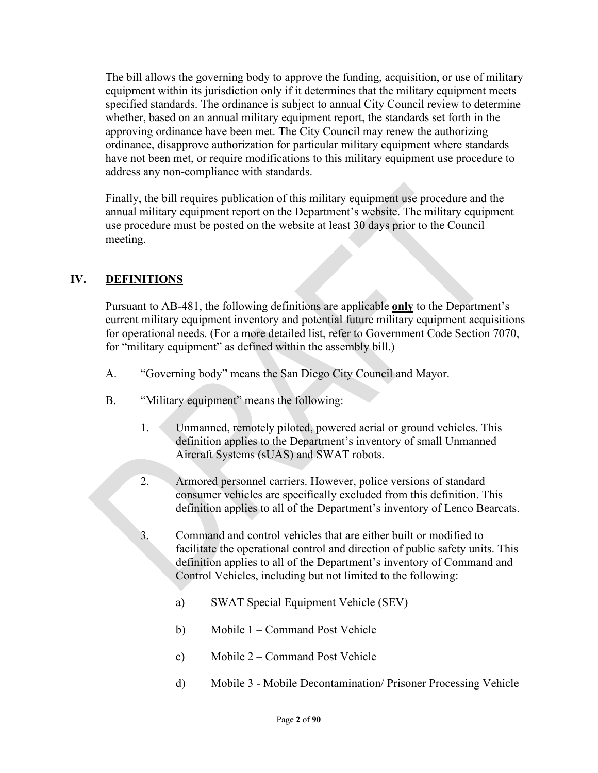The bill allows the governing body to approve the funding, acquisition, or use of military equipment within its jurisdiction only if it determines that the military equipment meets specified standards. The ordinance is subject to annual City Council review to determine whether, based on an annual military equipment report, the standards set forth in the approving ordinance have been met. The City Council may renew the authorizing ordinance, disapprove authorization for particular military equipment where standards have not been met, or require modifications to this military equipment use procedure to address any non-compliance with standards.

Finally, the bill requires publication of this military equipment use procedure and the annual military equipment report on the Department's website. The military equipment use procedure must be posted on the website at least 30 days prior to the Council meeting.

# **IV. DEFINITIONS**

Pursuant to AB-481, the following definitions are applicable **only** to the Department's current military equipment inventory and potential future military equipment acquisitions for operational needs. (For a more detailed list, refer to Government Code Section 7070, for "military equipment" as defined within the assembly bill.)

- A. "Governing body" means the San Diego City Council and Mayor.
- B. "Military equipment" means the following:
	- 1. Unmanned, remotely piloted, powered aerial or ground vehicles. This definition applies to the Department's inventory of small Unmanned Aircraft Systems (sUAS) and SWAT robots.
	- 2. Armored personnel carriers. However, police versions of standard consumer vehicles are specifically excluded from this definition. This definition applies to all of the Department's inventory of Lenco Bearcats.
	- 3. Command and control vehicles that are either built or modified to facilitate the operational control and direction of public safety units. This definition applies to all of the Department's inventory of Command and Control Vehicles, including but not limited to the following:
		- a) SWAT Special Equipment Vehicle (SEV)
		- b) Mobile 1 Command Post Vehicle
		- c) Mobile 2 Command Post Vehicle
		- d) Mobile 3 Mobile Decontamination/ Prisoner Processing Vehicle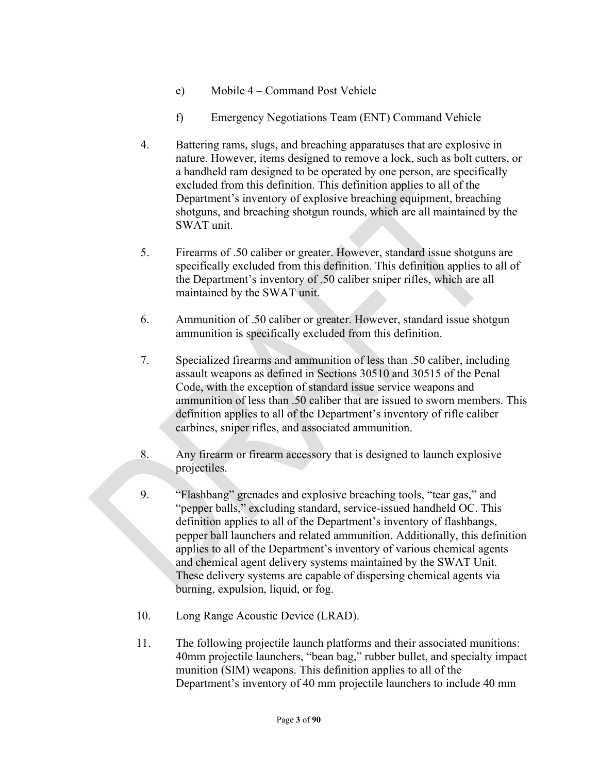- e) Mobile 4 Command Post Vehicle
- f) Emergency Negotiations Team (ENT) Command Vehicle
- 4. Battering rams, slugs, and breaching apparatuses that are explosive in nature. However, items designed to remove a lock, such as bolt cutters, or a handheld ram designed to be operated by one person, are specifically excluded from this definition. This definition applies to all of the Department's inventory of explosive breaching equipment, breaching shotguns, and breaching shotgun rounds, which are all maintained by the SWAT unit.
- 5. Firearms of .50 caliber or greater. However, standard issue shotguns are specifically excluded from this definition. This definition applies to all of the Department's inventory of .50 caliber sniper rifles, which are all maintained by the SWAT unit.
- 6. Ammunition of .50 caliber or greater. However, standard issue shotgun ammunition is specifically excluded from this definition.
- 7. Specialized firearms and ammunition of less than .50 caliber, including assault weapons as defined in Sections 30510 and 30515 of the Penal Code, with the exception of standard issue service weapons and ammunition of less than .50 caliber that are issued to sworn members. This definition applies to all of the Department's inventory of rifle caliber carbines, sniper rifles, and associated ammunition.
- 8. Any firearm or firearm accessory that is designed to launch explosive projectiles.
- 9. "Flashbang" grenades and explosive breaching tools, "tear gas," and "pepper balls," excluding standard, service-issued handheld OC. This definition applies to all of the Department's inventory of flashbangs, pepper ball launchers and related ammunition. Additionally, this definition applies to all of the Department's inventory of various chemical agents and chemical agent delivery systems maintained by the SWAT Unit. These delivery systems are capable of dispersing chemical agents via burning, expulsion, liquid, or fog.
- 10. Long Range Acoustic Device (LRAD).
- 11. The following projectile launch platforms and their associated munitions: 40mm projectile launchers, "bean bag," rubber bullet, and specialty impact munition (SIM) weapons. This definition applies to all of the Department's inventory of 40 mm projectile launchers to include 40 mm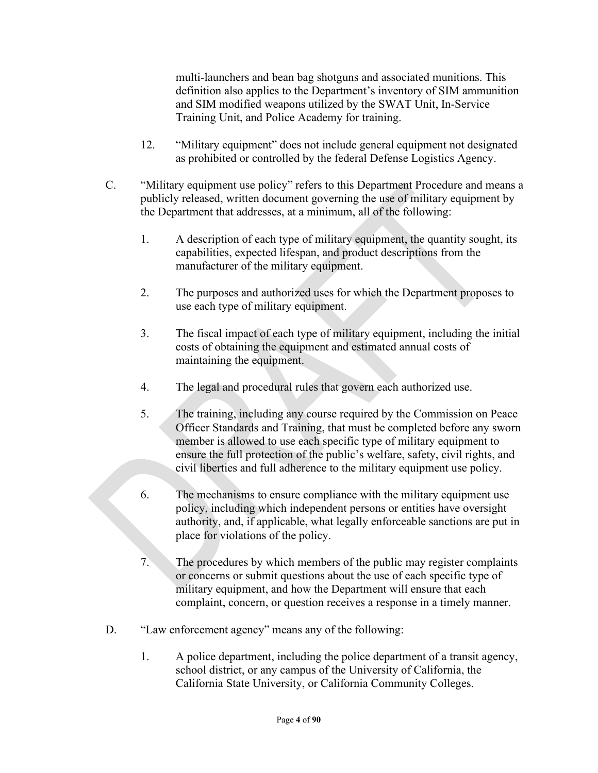multi-launchers and bean bag shotguns and associated munitions. This definition also applies to the Department's inventory of SIM ammunition and SIM modified weapons utilized by the SWAT Unit, In-Service Training Unit, and Police Academy for training.

- 12. "Military equipment" does not include general equipment not designated as prohibited or controlled by the federal Defense Logistics Agency.
- C. "Military equipment use policy" refers to this Department Procedure and means a publicly released, written document governing the use of military equipment by the Department that addresses, at a minimum, all of the following:
	- 1. A description of each type of military equipment, the quantity sought, its capabilities, expected lifespan, and product descriptions from the manufacturer of the military equipment.
	- 2. The purposes and authorized uses for which the Department proposes to use each type of military equipment.
	- 3. The fiscal impact of each type of military equipment, including the initial costs of obtaining the equipment and estimated annual costs of maintaining the equipment.
	- 4. The legal and procedural rules that govern each authorized use.
	- 5. The training, including any course required by the Commission on Peace Officer Standards and Training, that must be completed before any sworn member is allowed to use each specific type of military equipment to ensure the full protection of the public's welfare, safety, civil rights, and civil liberties and full adherence to the military equipment use policy.
	- 6. The mechanisms to ensure compliance with the military equipment use policy, including which independent persons or entities have oversight authority, and, if applicable, what legally enforceable sanctions are put in place for violations of the policy.
	- 7. The procedures by which members of the public may register complaints or concerns or submit questions about the use of each specific type of military equipment, and how the Department will ensure that each complaint, concern, or question receives a response in a timely manner.
- D. "Law enforcement agency" means any of the following:
	- 1. A police department, including the police department of a transit agency, school district, or any campus of the University of California, the California State University, or California Community Colleges.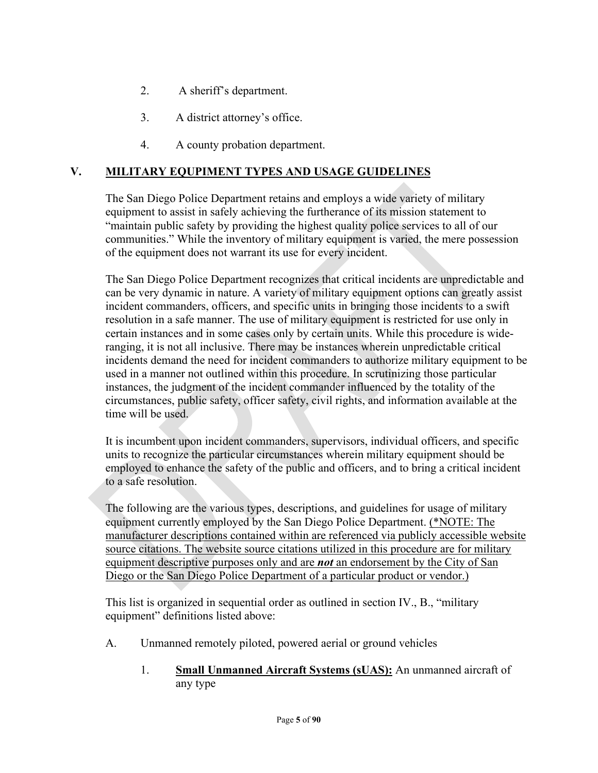- 2. A sheriff's department.
- 3. A district attorney's office.
- 4. A county probation department.

# **V. MILITARY EQUPIMENT TYPES AND USAGE GUIDELINES**

The San Diego Police Department retains and employs a wide variety of military equipment to assist in safely achieving the furtherance of its mission statement to "maintain public safety by providing the highest quality police services to all of our communities." While the inventory of military equipment is varied, the mere possession of the equipment does not warrant its use for every incident.

The San Diego Police Department recognizes that critical incidents are unpredictable and can be very dynamic in nature. A variety of military equipment options can greatly assist incident commanders, officers, and specific units in bringing those incidents to a swift resolution in a safe manner. The use of military equipment is restricted for use only in certain instances and in some cases only by certain units. While this procedure is wideranging, it is not all inclusive. There may be instances wherein unpredictable critical incidents demand the need for incident commanders to authorize military equipment to be used in a manner not outlined within this procedure. In scrutinizing those particular instances, the judgment of the incident commander influenced by the totality of the circumstances, public safety, officer safety, civil rights, and information available at the time will be used.

It is incumbent upon incident commanders, supervisors, individual officers, and specific units to recognize the particular circumstances wherein military equipment should be employed to enhance the safety of the public and officers, and to bring a critical incident to a safe resolution.

The following are the various types, descriptions, and guidelines for usage of military equipment currently employed by the San Diego Police Department. (\*NOTE: The manufacturer descriptions contained within are referenced via publicly accessible website source citations. The website source citations utilized in this procedure are for military equipment descriptive purposes only and are *not* an endorsement by the City of San Diego or the San Diego Police Department of a particular product or vendor.)

This list is organized in sequential order as outlined in section IV., B., "military equipment" definitions listed above:

- A. Unmanned remotely piloted, powered aerial or ground vehicles
	- 1. **Small Unmanned Aircraft Systems (sUAS):** An unmanned aircraft of any type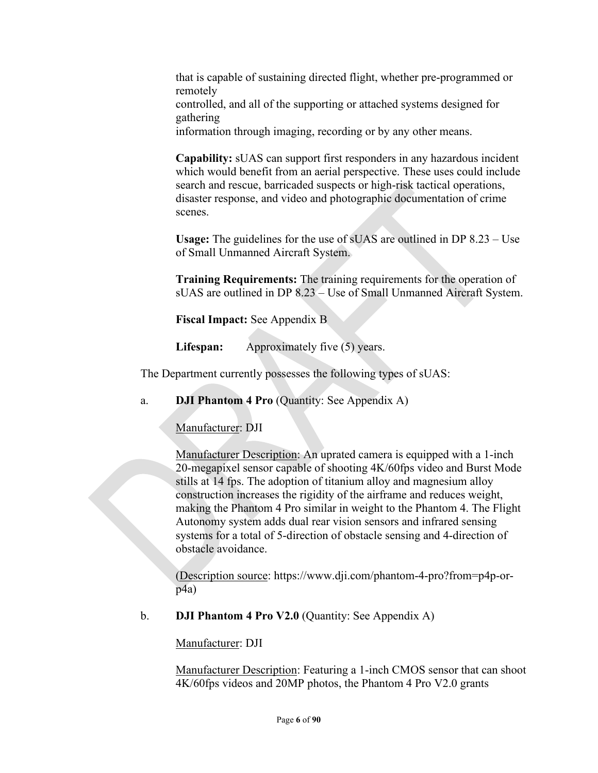that is capable of sustaining directed flight, whether pre-programmed or remotely controlled, and all of the supporting or attached systems designed for gathering information through imaging, recording or by any other means.

**Capability:** sUAS can support first responders in any hazardous incident which would benefit from an aerial perspective. These uses could include search and rescue, barricaded suspects or high-risk tactical operations, disaster response, and video and photographic documentation of crime scenes.

**Usage:** The guidelines for the use of sUAS are outlined in DP 8.23 – Use of Small Unmanned Aircraft System.

**Training Requirements:** The training requirements for the operation of sUAS are outlined in DP 8.23 – Use of Small Unmanned Aircraft System.

**Fiscal Impact:** See Appendix B

**Lifespan:** Approximately five (5) years.

The Department currently possesses the following types of sUAS:

a. **DJI Phantom 4 Pro** (Quantity: See Appendix A)

Manufacturer: DJI

Manufacturer Description: An uprated camera is equipped with a 1-inch 20-megapixel sensor capable of shooting 4K/60fps video and Burst Mode stills at 14 fps. The adoption of titanium alloy and magnesium alloy construction increases the rigidity of the airframe and reduces weight, making the Phantom 4 Pro similar in weight to the Phantom 4. The Flight Autonomy system adds dual rear vision sensors and infrared sensing systems for a total of 5-direction of obstacle sensing and 4-direction of obstacle avoidance.

(Description source: https://www.dji.com/phantom-4-pro?from=p4p-orp4a)

b. **DJI Phantom 4 Pro V2.0** (Quantity: See Appendix A)

Manufacturer: DJI

Manufacturer Description: Featuring a 1-inch CMOS sensor that can shoot 4K/60fps videos and 20MP photos, the Phantom 4 Pro V2.0 grants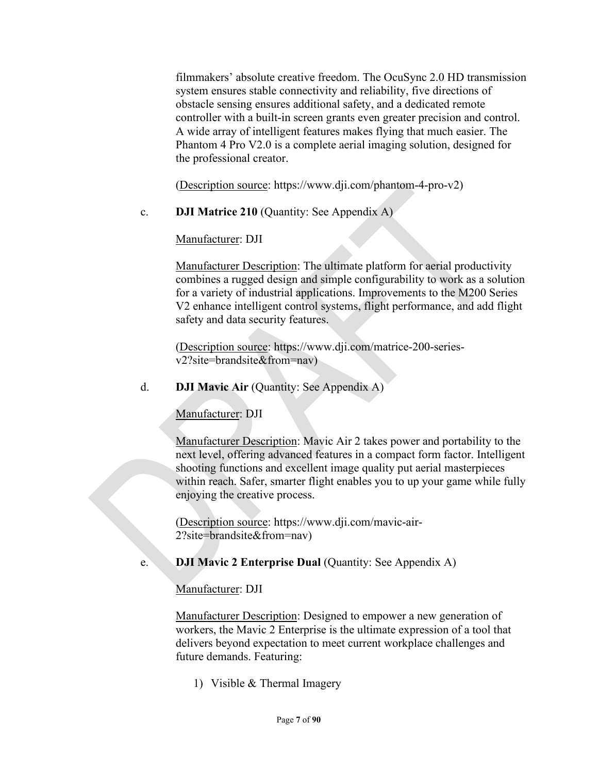filmmakers' absolute creative freedom. The OcuSync 2.0 HD transmission system ensures stable connectivity and reliability, five directions of obstacle sensing ensures additional safety, and a dedicated remote controller with a built-in screen grants even greater precision and control. A wide array of intelligent features makes flying that much easier. The Phantom 4 Pro V2.0 is a complete aerial imaging solution, designed for the professional creator.

(Description source: https://www.dji.com/phantom-4-pro-v2)

c. **DJI Matrice 210** (Quantity: See Appendix A)

Manufacturer: DJI

Manufacturer Description: The ultimate platform for aerial productivity combines a rugged design and simple configurability to work as a solution for a variety of industrial applications. Improvements to the M200 Series V2 enhance intelligent control systems, flight performance, and add flight safety and data security features.

(Description source: https://www.dji.com/matrice-200-seriesv2?site=brandsite&from=nav)

## d. **DJI Mavic Air** (Quantity: See Appendix A)

Manufacturer: DJI

Manufacturer Description: Mavic Air 2 takes power and portability to the next level, offering advanced features in a compact form factor. Intelligent shooting functions and excellent image quality put aerial masterpieces within reach. Safer, smarter flight enables you to up your game while fully enjoying the creative process.

(Description source: https://www.dji.com/mavic-air-2?site=brandsite&from=nav)

e. **DJI Mavic 2 Enterprise Dual** (Quantity: See Appendix A)

Manufacturer: DJI

Manufacturer Description: Designed to empower a new generation of workers, the Mavic 2 Enterprise is the ultimate expression of a tool that delivers beyond expectation to meet current workplace challenges and future demands. Featuring:

1) Visible & Thermal Imagery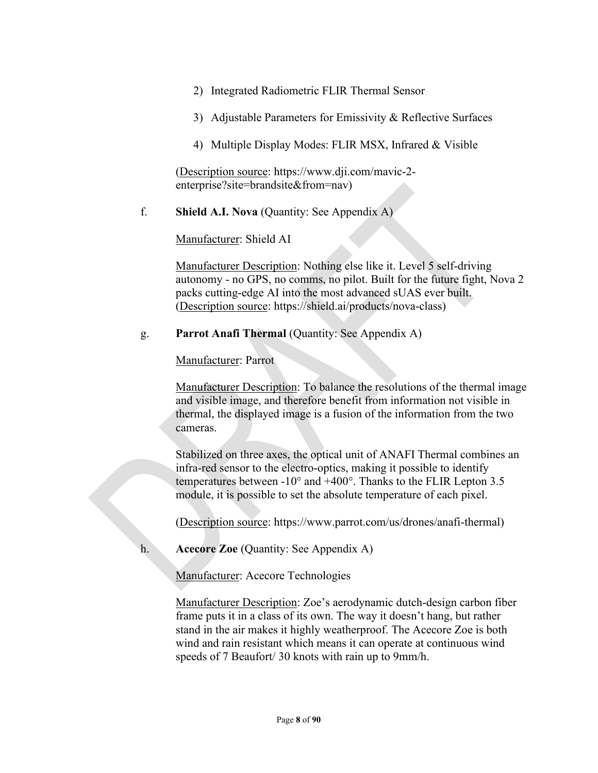- 2) Integrated Radiometric FLIR Thermal Sensor
- 3) Adjustable Parameters for Emissivity & Reflective Surfaces
- 4) Multiple Display Modes: FLIR MSX, Infrared & Visible

(Description source: https://www.dji.com/mavic-2 enterprise?site=brandsite&from=nav)

f. **Shield A.I. Nova** (Quantity: See Appendix A)

Manufacturer: Shield AI

Manufacturer Description: Nothing else like it. Level 5 self-driving autonomy - no GPS, no comms, no pilot. Built for the future fight, Nova 2 packs cutting-edge AI into the most advanced sUAS ever built. (Description source: https://shield.ai/products/nova-class)

g. **Parrot Anafi Thermal** (Quantity: See Appendix A)

Manufacturer: Parrot

Manufacturer Description: To balance the resolutions of the thermal image and visible image, and therefore benefit from information not visible in thermal, the displayed image is a fusion of the information from the two cameras.

Stabilized on three axes, the optical unit of ANAFI Thermal combines an infra-red sensor to the electro-optics, making it possible to identify temperatures between -10 $^{\circ}$  and +400 $^{\circ}$ . Thanks to the FLIR Lepton 3.5 module, it is possible to set the absolute temperature of each pixel.

(Description source: https://www.parrot.com/us/drones/anafi-thermal)

h. **Acecore Zoe** (Quantity: See Appendix A)

Manufacturer: Acecore Technologies

Manufacturer Description: Zoe's aerodynamic dutch-design carbon fiber frame puts it in a class of its own. The way it doesn't hang, but rather stand in the air makes it highly weatherproof. The Acecore Zoe is both wind and rain resistant which means it can operate at continuous wind speeds of 7 Beaufort/ 30 knots with rain up to 9mm/h.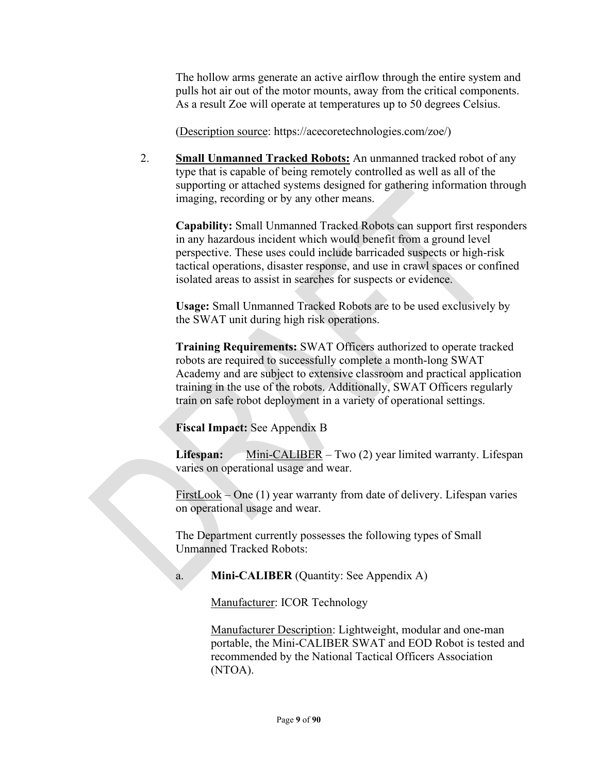The hollow arms generate an active airflow through the entire system and pulls hot air out of the motor mounts, away from the critical components. As a result Zoe will operate at temperatures up to 50 degrees Celsius.

(Description source: https://acecoretechnologies.com/zoe/)

2. **Small Unmanned Tracked Robots:** An unmanned tracked robot of any type that is capable of being remotely controlled as well as all of the supporting or attached systems designed for gathering information through imaging, recording or by any other means.

**Capability:** Small Unmanned Tracked Robots can support first responders in any hazardous incident which would benefit from a ground level perspective. These uses could include barricaded suspects or high-risk tactical operations, disaster response, and use in crawl spaces or confined isolated areas to assist in searches for suspects or evidence.

**Usage:** Small Unmanned Tracked Robots are to be used exclusively by the SWAT unit during high risk operations.

**Training Requirements:** SWAT Officers authorized to operate tracked robots are required to successfully complete a month-long SWAT Academy and are subject to extensive classroom and practical application training in the use of the robots. Additionally, SWAT Officers regularly train on safe robot deployment in a variety of operational settings.

**Fiscal Impact:** See Appendix B

Lifespan: Mini-CALIBER – Two (2) year limited warranty. Lifespan varies on operational usage and wear.

 $FirstLook - One (1)$  year warranty from date of delivery. Lifespan varies on operational usage and wear.

The Department currently possesses the following types of Small Unmanned Tracked Robots:

a. **Mini-CALIBER** (Quantity: See Appendix A)

Manufacturer: ICOR Technology

Manufacturer Description: Lightweight, modular and one-man portable, the Mini-CALIBER SWAT and EOD Robot is tested and recommended by the National Tactical Officers Association (NTOA).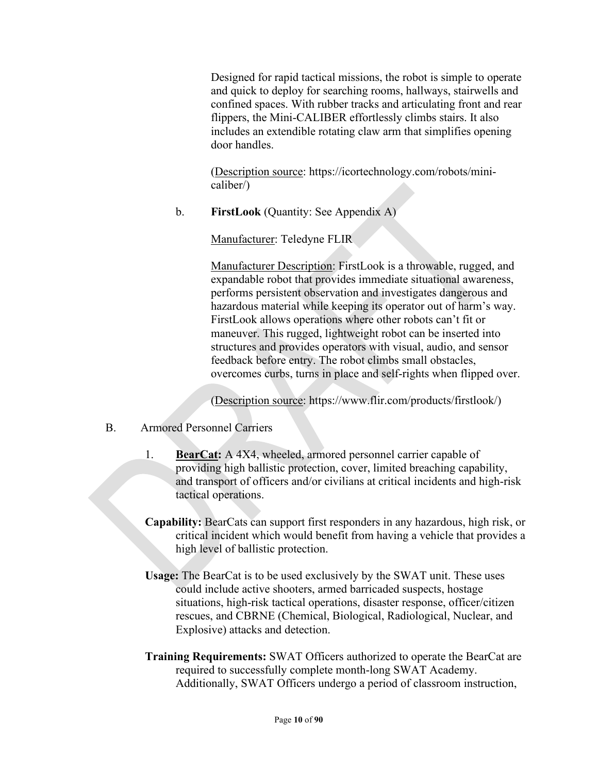Designed for rapid tactical missions, the robot is simple to operate and quick to deploy for searching rooms, hallways, stairwells and confined spaces. With rubber tracks and articulating front and rear flippers, the Mini-CALIBER effortlessly climbs stairs. It also includes an extendible rotating claw arm that simplifies opening door handles.

(Description source: https://icortechnology.com/robots/minicaliber/)

b. **FirstLook** (Quantity: See Appendix A)

Manufacturer: Teledyne FLIR

Manufacturer Description: FirstLook is a throwable, rugged, and expandable robot that provides immediate situational awareness, performs persistent observation and investigates dangerous and hazardous material while keeping its operator out of harm's way. FirstLook allows operations where other robots can't fit or maneuver. This rugged, lightweight robot can be inserted into structures and provides operators with visual, audio, and sensor feedback before entry. The robot climbs small obstacles, overcomes curbs, turns in place and self-rights when flipped over.

(Description source: https://www.flir.com/products/firstlook/)

- B. Armored Personnel Carriers
	- 1. **BearCat:** A 4X4, wheeled, armored personnel carrier capable of providing high ballistic protection, cover, limited breaching capability, and transport of officers and/or civilians at critical incidents and high-risk tactical operations.
	- **Capability:** BearCats can support first responders in any hazardous, high risk, or critical incident which would benefit from having a vehicle that provides a high level of ballistic protection.
	- **Usage:** The BearCat is to be used exclusively by the SWAT unit. These uses could include active shooters, armed barricaded suspects, hostage situations, high-risk tactical operations, disaster response, officer/citizen rescues, and CBRNE (Chemical, Biological, Radiological, Nuclear, and Explosive) attacks and detection.
	- **Training Requirements:** SWAT Officers authorized to operate the BearCat are required to successfully complete month-long SWAT Academy. Additionally, SWAT Officers undergo a period of classroom instruction,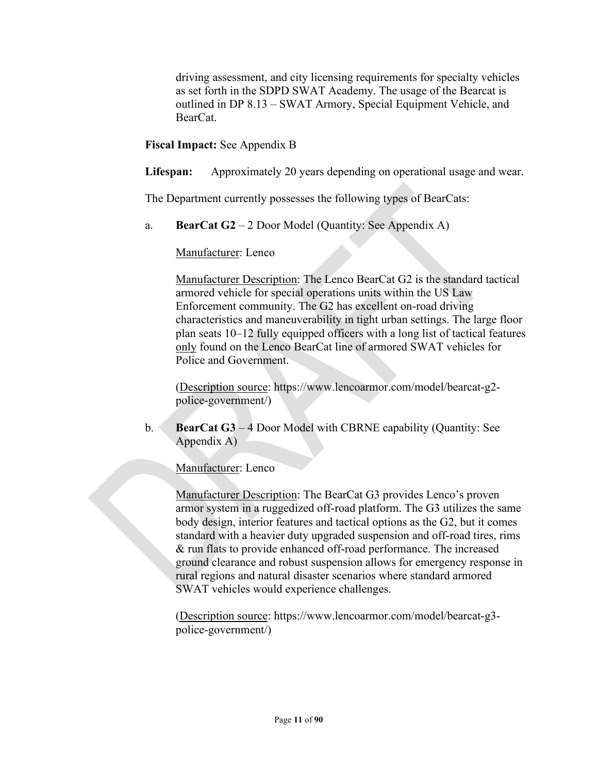driving assessment, and city licensing requirements for specialty vehicles as set forth in the SDPD SWAT Academy. The usage of the Bearcat is outlined in DP 8.13 – SWAT Armory, Special Equipment Vehicle, and BearCat.

**Fiscal Impact:** See Appendix B

**Lifespan:** Approximately 20 years depending on operational usage and wear.

The Department currently possesses the following types of BearCats:

a. **BearCat G2** – 2 Door Model (Quantity: See Appendix A)

Manufacturer: Lenco

Manufacturer Description: The Lenco BearCat G2 is the standard tactical armored vehicle for special operations units within the US Law Enforcement community. The G2 has excellent on-road driving characteristics and maneuverability in tight urban settings. The large floor plan seats 10–12 fully equipped officers with a long list of tactical features only found on the Lenco BearCat line of armored SWAT vehicles for Police and Government.

(Description source: https://www.lencoarmor.com/model/bearcat-g2 police-government/)

b. **BearCat G3** – 4 Door Model with CBRNE capability (Quantity: See Appendix A)

Manufacturer: Lenco

Manufacturer Description: The BearCat G3 provides Lenco's proven armor system in a ruggedized off-road platform. The G3 utilizes the same body design, interior features and tactical options as the G2, but it comes standard with a heavier duty upgraded suspension and off-road tires, rims & run flats to provide enhanced off-road performance. The increased ground clearance and robust suspension allows for emergency response in rural regions and natural disaster scenarios where standard armored SWAT vehicles would experience challenges.

(Description source: https://www.lencoarmor.com/model/bearcat-g3 police-government/)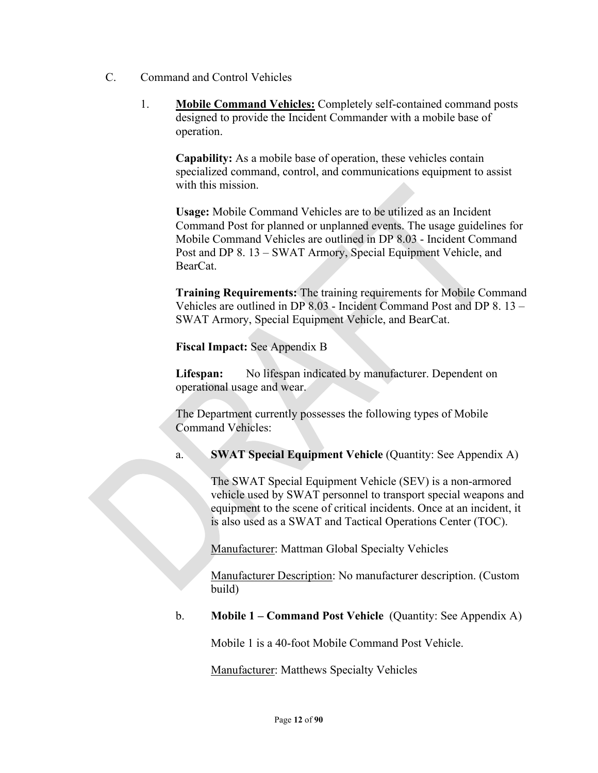- C. Command and Control Vehicles
	- 1. **Mobile Command Vehicles:** Completely self-contained command posts designed to provide the Incident Commander with a mobile base of operation.

**Capability:** As a mobile base of operation, these vehicles contain specialized command, control, and communications equipment to assist with this mission.

**Usage:** Mobile Command Vehicles are to be utilized as an Incident Command Post for planned or unplanned events. The usage guidelines for Mobile Command Vehicles are outlined in DP 8.03 - Incident Command Post and DP 8. 13 – SWAT Armory, Special Equipment Vehicle, and BearCat.

**Training Requirements:** The training requirements for Mobile Command Vehicles are outlined in DP 8.03 - Incident Command Post and DP 8. 13 – SWAT Armory, Special Equipment Vehicle, and BearCat.

**Fiscal Impact:** See Appendix B

**Lifespan:** No lifespan indicated by manufacturer. Dependent on operational usage and wear.

The Department currently possesses the following types of Mobile Command Vehicles:

a. **SWAT Special Equipment Vehicle** (Quantity: See Appendix A)

The SWAT Special Equipment Vehicle (SEV) is a non-armored vehicle used by SWAT personnel to transport special weapons and equipment to the scene of critical incidents. Once at an incident, it is also used as a SWAT and Tactical Operations Center (TOC).

Manufacturer: Mattman Global Specialty Vehicles

Manufacturer Description: No manufacturer description. (Custom build)

b. **Mobile 1 – Command Post Vehicle** (Quantity: See Appendix A)

Mobile 1 is a 40-foot Mobile Command Post Vehicle.

Manufacturer: Matthews Specialty Vehicles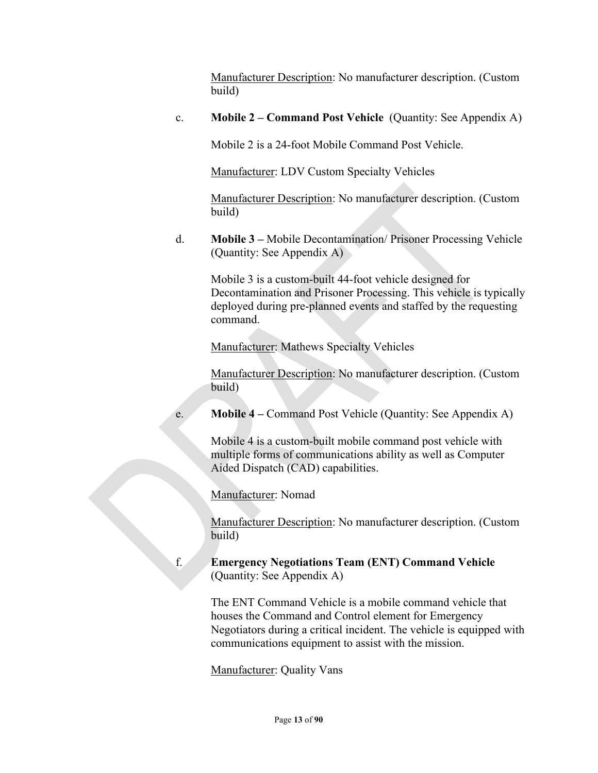Manufacturer Description: No manufacturer description. (Custom build)

c. **Mobile 2 – Command Post Vehicle** (Quantity: See Appendix A)

Mobile 2 is a 24-foot Mobile Command Post Vehicle.

Manufacturer: LDV Custom Specialty Vehicles

Manufacturer Description: No manufacturer description. (Custom build)

d. **Mobile 3 –** Mobile Decontamination/ Prisoner Processing Vehicle (Quantity: See Appendix A)

Mobile 3 is a custom-built 44-foot vehicle designed for Decontamination and Prisoner Processing. This vehicle is typically deployed during pre-planned events and staffed by the requesting command.

Manufacturer: Mathews Specialty Vehicles

Manufacturer Description: No manufacturer description. (Custom build)

e. **Mobile 4 –** Command Post Vehicle (Quantity: See Appendix A)

Mobile 4 is a custom-built mobile command post vehicle with multiple forms of communications ability as well as Computer Aided Dispatch (CAD) capabilities.

Manufacturer: Nomad

Manufacturer Description: No manufacturer description. (Custom build)

f. **Emergency Negotiations Team (ENT) Command Vehicle** (Quantity: See Appendix A)

> The ENT Command Vehicle is a mobile command vehicle that houses the Command and Control element for Emergency Negotiators during a critical incident. The vehicle is equipped with communications equipment to assist with the mission.

Manufacturer: Quality Vans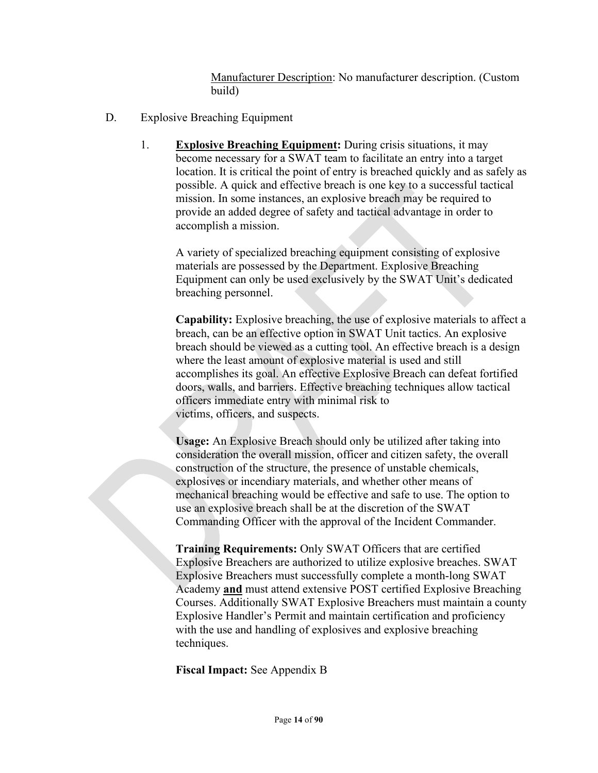Manufacturer Description: No manufacturer description. (Custom build)

- D. Explosive Breaching Equipment
	- 1. **Explosive Breaching Equipment:** During crisis situations, it may become necessary for a SWAT team to facilitate an entry into a target location. It is critical the point of entry is breached quickly and as safely as possible. A quick and effective breach is one key to a successful tactical mission. In some instances, an explosive breach may be required to provide an added degree of safety and tactical advantage in order to accomplish a mission.

A variety of specialized breaching equipment consisting of explosive materials are possessed by the Department. Explosive Breaching Equipment can only be used exclusively by the SWAT Unit's dedicated breaching personnel.

**Capability:** Explosive breaching, the use of explosive materials to affect a breach, can be an effective option in SWAT Unit tactics. An explosive breach should be viewed as a cutting tool. An effective breach is a design where the least amount of explosive material is used and still accomplishes its goal. An effective Explosive Breach can defeat fortified doors, walls, and barriers. Effective breaching techniques allow tactical officers immediate entry with minimal risk to victims, officers, and suspects.

**Usage:** An Explosive Breach should only be utilized after taking into consideration the overall mission, officer and citizen safety, the overall construction of the structure, the presence of unstable chemicals, explosives or incendiary materials, and whether other means of mechanical breaching would be effective and safe to use. The option to use an explosive breach shall be at the discretion of the SWAT Commanding Officer with the approval of the Incident Commander.

**Training Requirements:** Only SWAT Officers that are certified Explosive Breachers are authorized to utilize explosive breaches. SWAT Explosive Breachers must successfully complete a month-long SWAT Academy **and** must attend extensive POST certified Explosive Breaching Courses. Additionally SWAT Explosive Breachers must maintain a county Explosive Handler's Permit and maintain certification and proficiency with the use and handling of explosives and explosive breaching techniques.

**Fiscal Impact:** See Appendix B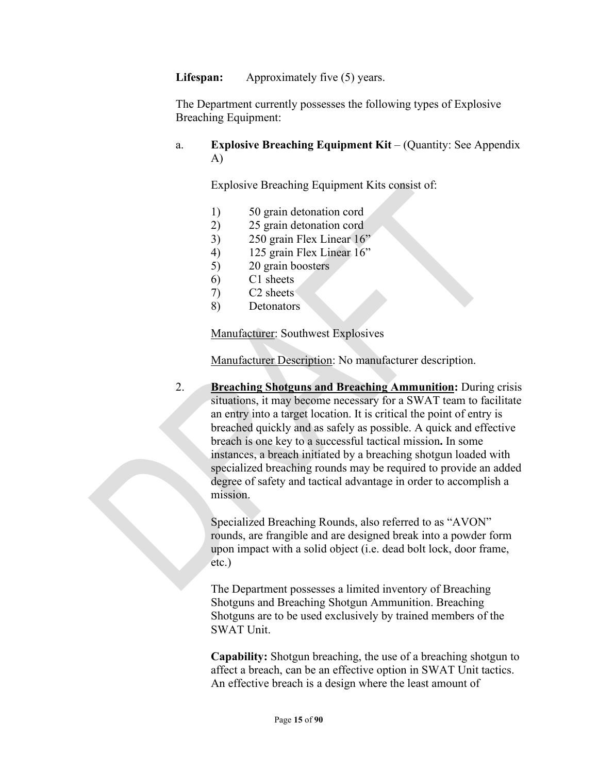**Lifespan:** Approximately five (5) years.

The Department currently possesses the following types of Explosive Breaching Equipment:

#### a. **Explosive Breaching Equipment Kit** – (Quantity: See Appendix A)

Explosive Breaching Equipment Kits consist of:

- 1) 50 grain detonation cord
- 2) 25 grain detonation cord
- 3) 250 grain Flex Linear 16"
- 4) 125 grain Flex Linear 16"
- 5) 20 grain boosters
- 6) C1 sheets
- 7) C2 sheets
- 8) Detonators

Manufacturer: Southwest Explosives

Manufacturer Description: No manufacturer description.

2. **Breaching Shotguns and Breaching Ammunition:** During crisis situations, it may become necessary for a SWAT team to facilitate an entry into a target location. It is critical the point of entry is breached quickly and as safely as possible. A quick and effective breach is one key to a successful tactical mission**.** In some instances, a breach initiated by a breaching shotgun loaded with specialized breaching rounds may be required to provide an added degree of safety and tactical advantage in order to accomplish a mission.

Specialized Breaching Rounds, also referred to as "AVON" rounds, are frangible and are designed break into a powder form upon impact with a solid object (i.e. dead bolt lock, door frame, etc.)

The Department possesses a limited inventory of Breaching Shotguns and Breaching Shotgun Ammunition. Breaching Shotguns are to be used exclusively by trained members of the SWAT Unit.

**Capability:** Shotgun breaching, the use of a breaching shotgun to affect a breach, can be an effective option in SWAT Unit tactics. An effective breach is a design where the least amount of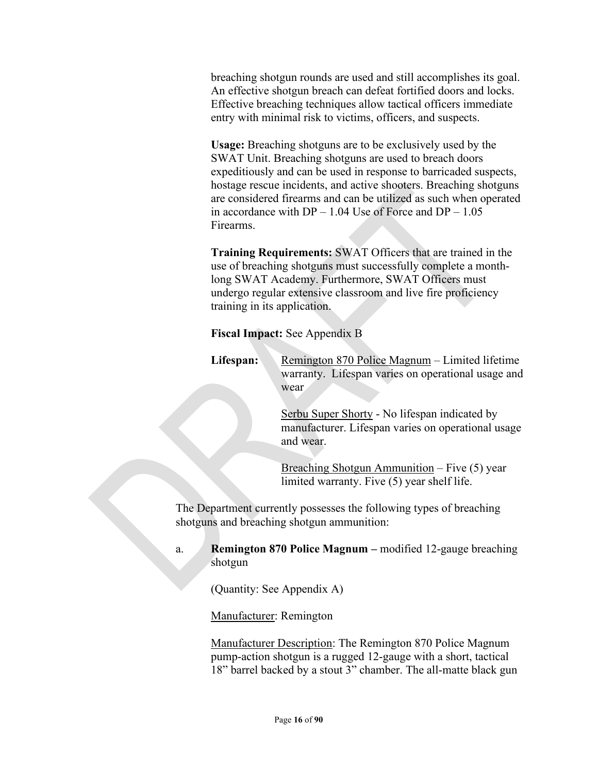breaching shotgun rounds are used and still accomplishes its goal. An effective shotgun breach can defeat fortified doors and locks. Effective breaching techniques allow tactical officers immediate entry with minimal risk to victims, officers, and suspects.

**Usage:** Breaching shotguns are to be exclusively used by the SWAT Unit. Breaching shotguns are used to breach doors expeditiously and can be used in response to barricaded suspects, hostage rescue incidents, and active shooters. Breaching shotguns are considered firearms and can be utilized as such when operated in accordance with  $DP - 1.04$  Use of Force and  $DP - 1.05$ Firearms.

**Training Requirements:** SWAT Officers that are trained in the use of breaching shotguns must successfully complete a monthlong SWAT Academy. Furthermore, SWAT Officers must undergo regular extensive classroom and live fire proficiency training in its application.

#### **Fiscal Impact:** See Appendix B

**Lifespan:** Remington 870 Police Magnum – Limited lifetime warranty. Lifespan varies on operational usage and wear

> Serbu Super Shorty - No lifespan indicated by manufacturer. Lifespan varies on operational usage and wear.

Breaching Shotgun Ammunition – Five (5) year limited warranty. Five (5) year shelf life.

The Department currently possesses the following types of breaching shotguns and breaching shotgun ammunition:

#### a. **Remington 870 Police Magnum –** modified 12-gauge breaching shotgun

(Quantity: See Appendix A)

#### Manufacturer: Remington

Manufacturer Description: The Remington 870 Police Magnum pump-action shotgun is a rugged 12-gauge with a short, tactical 18" barrel backed by a stout 3" chamber. The all-matte black gun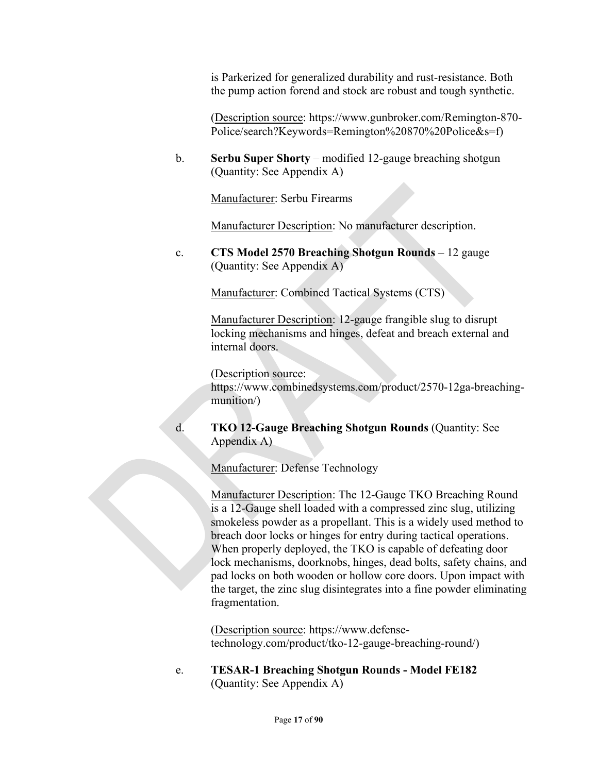is Parkerized for generalized durability and rust-resistance. Both the pump action forend and stock are robust and tough synthetic.

(Description source: https://www.gunbroker.com/Remington-870- Police/search?Keywords=Remington%20870%20Police&s=f)

b. **Serbu Super Shorty** – modified 12-gauge breaching shotgun (Quantity: See Appendix A)

Manufacturer: Serbu Firearms

Manufacturer Description: No manufacturer description.

c. **CTS Model 2570 Breaching Shotgun Rounds** – 12 gauge (Quantity: See Appendix A)

Manufacturer: Combined Tactical Systems (CTS)

Manufacturer Description: 12-gauge frangible slug to disrupt locking mechanisms and hinges, defeat and breach external and internal doors.

(Description source:

https://www.combinedsystems.com/product/2570-12ga-breachingmunition/)

d. **TKO 12-Gauge Breaching Shotgun Rounds** (Quantity: See Appendix A)

Manufacturer: Defense Technology

Manufacturer Description: The 12-Gauge TKO Breaching Round is a 12-Gauge shell loaded with a compressed zinc slug, utilizing smokeless powder as a propellant. This is a widely used method to breach door locks or hinges for entry during tactical operations. When properly deployed, the TKO is capable of defeating door lock mechanisms, doorknobs, hinges, dead bolts, safety chains, and pad locks on both wooden or hollow core doors. Upon impact with the target, the zinc slug disintegrates into a fine powder eliminating fragmentation.

(Description source: https://www.defensetechnology.com/product/tko-12-gauge-breaching-round/)

e. **TESAR-1 Breaching Shotgun Rounds - Model FE182** (Quantity: See Appendix A)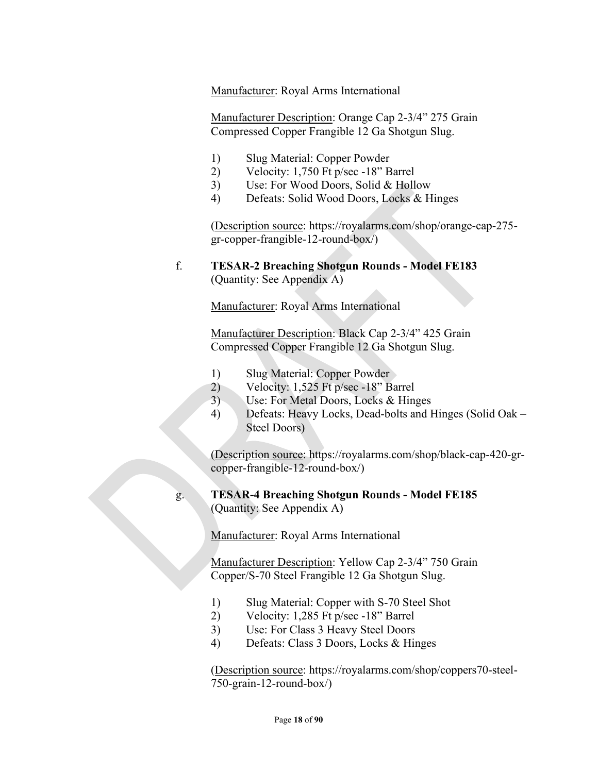Manufacturer: Royal Arms International

Manufacturer Description: Orange Cap 2-3/4" 275 Grain Compressed Copper Frangible 12 Ga Shotgun Slug.

- 1) Slug Material: Copper Powder
- 2) Velocity: 1,750 Ft p/sec -18" Barrel
- 3) Use: For Wood Doors, Solid & Hollow
- 4) Defeats: Solid Wood Doors, Locks & Hinges

(Description source: https://royalarms.com/shop/orange-cap-275 gr-copper-frangible-12-round-box/)

#### f. **TESAR-2 Breaching Shotgun Rounds - Model FE183**  (Quantity: See Appendix A)

Manufacturer: Royal Arms International

Manufacturer Description: Black Cap 2-3/4" 425 Grain Compressed Copper Frangible 12 Ga Shotgun Slug.

- 1) Slug Material: Copper Powder
- 2) Velocity: 1,525 Ft p/sec -18" Barrel
- 3) Use: For Metal Doors, Locks & Hinges
- 4) Defeats: Heavy Locks, Dead-bolts and Hinges (Solid Oak Steel Doors)

(Description source: https://royalarms.com/shop/black-cap-420-grcopper-frangible-12-round-box/)

# g. **TESAR-4 Breaching Shotgun Rounds - Model FE185**

(Quantity: See Appendix A)

Manufacturer: Royal Arms International

Manufacturer Description: Yellow Cap 2-3/4" 750 Grain Copper/S-70 Steel Frangible 12 Ga Shotgun Slug.

- 1) Slug Material: Copper with S-70 Steel Shot
- 2) Velocity: 1,285 Ft p/sec -18" Barrel
- 3) Use: For Class 3 Heavy Steel Doors
- 4) Defeats: Class 3 Doors, Locks & Hinges

(Description source: https://royalarms.com/shop/coppers70-steel-750-grain-12-round-box/)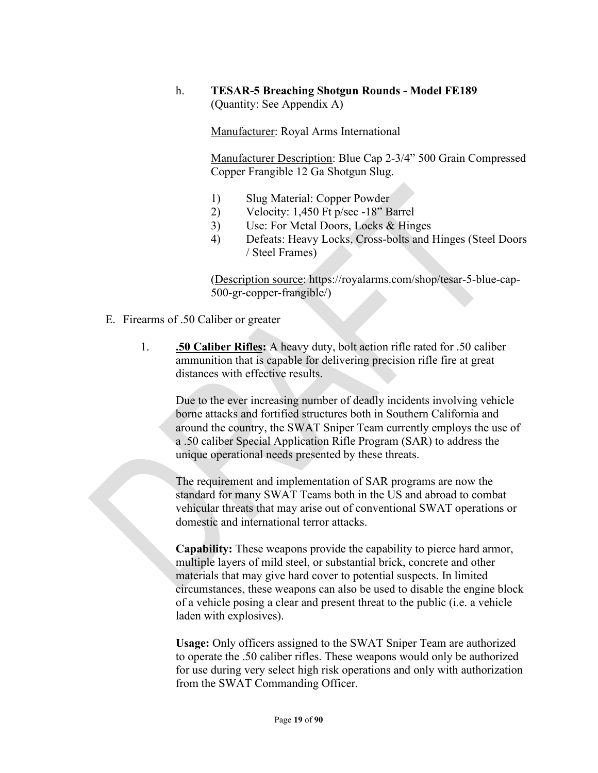## h. **TESAR-5 Breaching Shotgun Rounds - Model FE189**  (Quantity: See Appendix A)

Manufacturer: Royal Arms International

Manufacturer Description: Blue Cap 2-3/4" 500 Grain Compressed Copper Frangible 12 Ga Shotgun Slug.

- 1) Slug Material: Copper Powder
- 2) Velocity: 1,450 Ft p/sec -18" Barrel
- 3) Use: For Metal Doors, Locks & Hinges
- 4) Defeats: Heavy Locks, Cross-bolts and Hinges (Steel Doors / Steel Frames)

(Description source: https://royalarms.com/shop/tesar-5-blue-cap-500-gr-copper-frangible/)

- E. Firearms of .50 Caliber or greater
	- 1. **.50 Caliber Rifles:** A heavy duty, bolt action rifle rated for .50 caliber ammunition that is capable for delivering precision rifle fire at great distances with effective results.

Due to the ever increasing number of deadly incidents involving vehicle borne attacks and fortified structures both in Southern California and around the country, the SWAT Sniper Team currently employs the use of a .50 caliber Special Application Rifle Program (SAR) to address the unique operational needs presented by these threats.

The requirement and implementation of SAR programs are now the standard for many SWAT Teams both in the US and abroad to combat vehicular threats that may arise out of conventional SWAT operations or domestic and international terror attacks.

**Capability:** These weapons provide the capability to pierce hard armor, multiple layers of mild steel, or substantial brick, concrete and other materials that may give hard cover to potential suspects. In limited circumstances, these weapons can also be used to disable the engine block of a vehicle posing a clear and present threat to the public (i.e. a vehicle laden with explosives).

**Usage:** Only officers assigned to the SWAT Sniper Team are authorized to operate the .50 caliber rifles. These weapons would only be authorized for use during very select high risk operations and only with authorization from the SWAT Commanding Officer.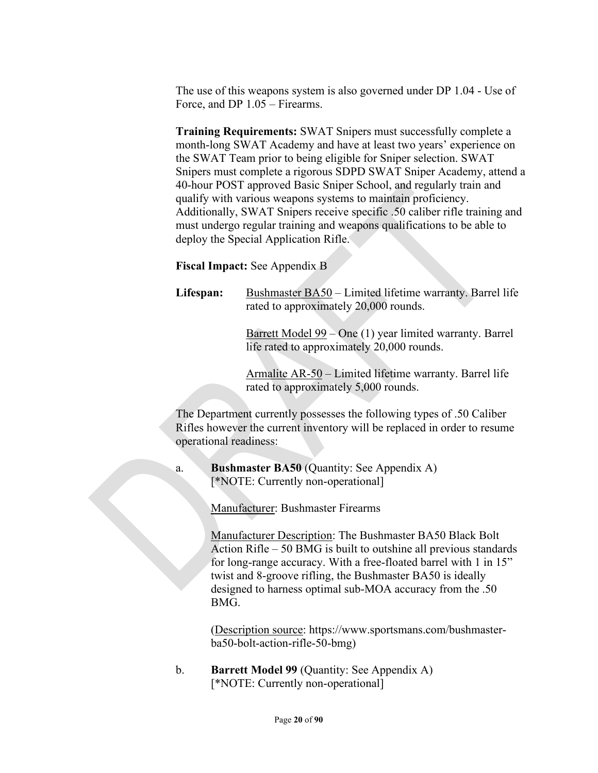The use of this weapons system is also governed under DP 1.04 - Use of Force, and DP 1.05 – Firearms.

**Training Requirements:** SWAT Snipers must successfully complete a month-long SWAT Academy and have at least two years' experience on the SWAT Team prior to being eligible for Sniper selection. SWAT Snipers must complete a rigorous SDPD SWAT Sniper Academy, attend a 40-hour POST approved Basic Sniper School, and regularly train and qualify with various weapons systems to maintain proficiency. Additionally, SWAT Snipers receive specific .50 caliber rifle training and must undergo regular training and weapons qualifications to be able to deploy the Special Application Rifle.

**Fiscal Impact:** See Appendix B

Lifespan: Bushmaster BA50 – Limited lifetime warranty. Barrel life rated to approximately 20,000 rounds.

> Barrett Model 99 – One (1) year limited warranty. Barrel life rated to approximately 20,000 rounds.

Armalite AR-50 – Limited lifetime warranty. Barrel life rated to approximately 5,000 rounds.

The Department currently possesses the following types of .50 Caliber Rifles however the current inventory will be replaced in order to resume operational readiness:

a. **Bushmaster BA50** (Quantity: See Appendix A) [\*NOTE: Currently non-operational]

Manufacturer: Bushmaster Firearms

Manufacturer Description: The Bushmaster BA50 Black Bolt Action Rifle – 50 BMG is built to outshine all previous standards for long-range accuracy. With a free-floated barrel with 1 in 15" twist and 8-groove rifling, the Bushmaster BA50 is ideally designed to harness optimal sub-MOA accuracy from the .50 BMG.

(Description source: https://www.sportsmans.com/bushmasterba50-bolt-action-rifle-50-bmg)

b. **Barrett Model 99** (Quantity: See Appendix A) [\*NOTE: Currently non-operational]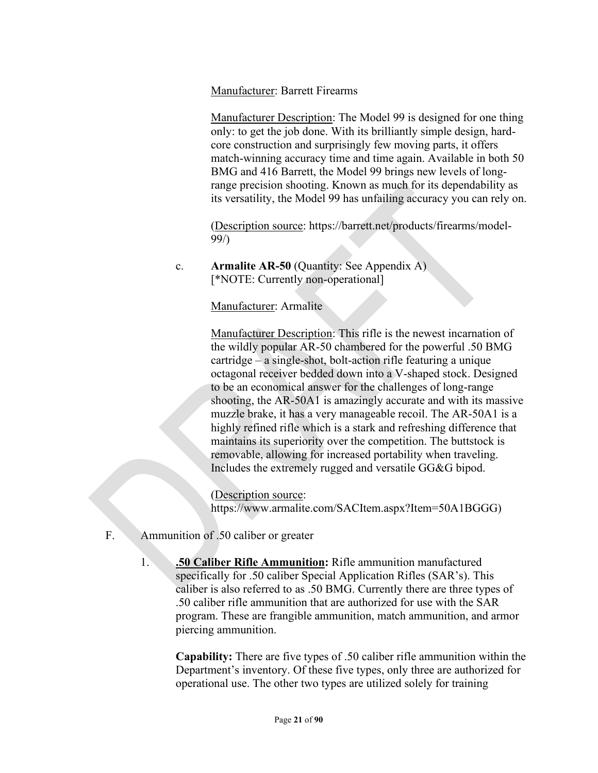#### Manufacturer: Barrett Firearms

Manufacturer Description: The Model 99 is designed for one thing only: to get the job done. With its brilliantly simple design, hardcore construction and surprisingly few moving parts, it offers match-winning accuracy time and time again. Available in both 50 BMG and 416 Barrett, the Model 99 brings new levels of longrange precision shooting. Known as much for its dependability as its versatility, the Model 99 has unfailing accuracy you can rely on.

(Description source: https://barrett.net/products/firearms/model-99/)

## c. **Armalite AR-50** (Quantity: See Appendix A) [\*NOTE: Currently non-operational]

Manufacturer: Armalite

Manufacturer Description: This rifle is the newest incarnation of the wildly popular AR-50 chambered for the powerful .50 BMG cartridge – a single-shot, bolt-action rifle featuring a unique octagonal receiver bedded down into a V-shaped stock. Designed to be an economical answer for the challenges of long-range shooting, the AR-50A1 is amazingly accurate and with its massive muzzle brake, it has a very manageable recoil. The AR-50A1 is a highly refined rifle which is a stark and refreshing difference that maintains its superiority over the competition. The buttstock is removable, allowing for increased portability when traveling. Includes the extremely rugged and versatile GG&G bipod.

(Description source: https://www.armalite.com/SACItem.aspx?Item=50A1BGGG)

- F. Ammunition of .50 caliber or greater
	- 1. **.50 Caliber Rifle Ammunition:** Rifle ammunition manufactured specifically for .50 caliber Special Application Rifles (SAR's). This caliber is also referred to as .50 BMG. Currently there are three types of .50 caliber rifle ammunition that are authorized for use with the SAR program. These are frangible ammunition, match ammunition, and armor piercing ammunition.

**Capability:** There are five types of .50 caliber rifle ammunition within the Department's inventory. Of these five types, only three are authorized for operational use. The other two types are utilized solely for training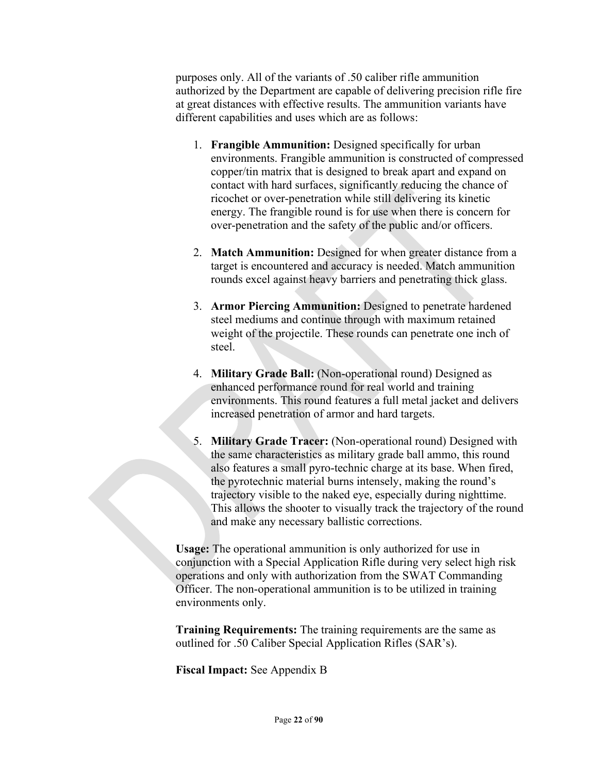purposes only. All of the variants of .50 caliber rifle ammunition authorized by the Department are capable of delivering precision rifle fire at great distances with effective results. The ammunition variants have different capabilities and uses which are as follows:

- 1. **Frangible Ammunition:** Designed specifically for urban environments. Frangible ammunition is constructed of compressed copper/tin matrix that is designed to break apart and expand on contact with hard surfaces, significantly reducing the chance of ricochet or over-penetration while still delivering its kinetic energy. The frangible round is for use when there is concern for over-penetration and the safety of the public and/or officers.
- 2. **Match Ammunition:** Designed for when greater distance from a target is encountered and accuracy is needed. Match ammunition rounds excel against heavy barriers and penetrating thick glass.
- 3. **Armor Piercing Ammunition:** Designed to penetrate hardened steel mediums and continue through with maximum retained weight of the projectile. These rounds can penetrate one inch of steel.
- 4. **Military Grade Ball:** (Non-operational round) Designed as enhanced performance round for real world and training environments. This round features a full metal jacket and delivers increased penetration of armor and hard targets.
- 5. **Military Grade Tracer:** (Non-operational round) Designed with the same characteristics as military grade ball ammo, this round also features a small pyro-technic charge at its base. When fired, the pyrotechnic material burns intensely, making the round's trajectory visible to the naked eye, especially during nighttime. This allows the shooter to visually track the trajectory of the round and make any necessary ballistic corrections.

**Usage:** The operational ammunition is only authorized for use in conjunction with a Special Application Rifle during very select high risk operations and only with authorization from the SWAT Commanding Officer. The non-operational ammunition is to be utilized in training environments only.

**Training Requirements:** The training requirements are the same as outlined for .50 Caliber Special Application Rifles (SAR's).

**Fiscal Impact:** See Appendix B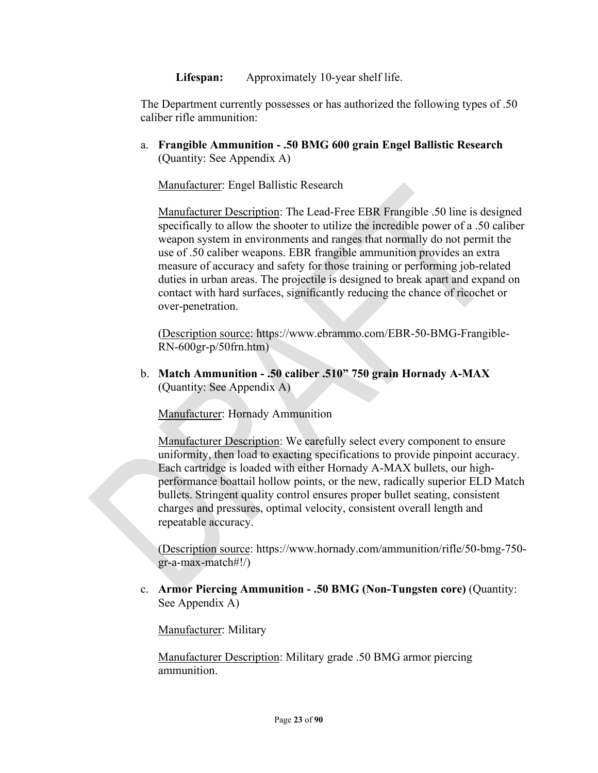**Lifespan:** Approximately 10-year shelf life.

The Department currently possesses or has authorized the following types of .50 caliber rifle ammunition:

a. **Frangible Ammunition - .50 BMG 600 grain Engel Ballistic Research** (Quantity: See Appendix A)

Manufacturer: Engel Ballistic Research

Manufacturer Description: The Lead-Free EBR Frangible .50 line is designed specifically to allow the shooter to utilize the incredible power of a .50 caliber weapon system in environments and ranges that normally do not permit the use of .50 caliber weapons. EBR frangible ammunition provides an extra measure of accuracy and safety for those training or performing job-related duties in urban areas. The projectile is designed to break apart and expand on contact with hard surfaces, significantly reducing the chance of ricochet or over-penetration.

(Description source: https://www.ebrammo.com/EBR-50-BMG-Frangible-RN-600gr-p/50frn.htm)

b. **Match Ammunition - .50 caliber .510" 750 grain Hornady A-MAX** (Quantity: See Appendix A)

Manufacturer: Hornady Ammunition

Manufacturer Description: We carefully select every component to ensure uniformity, then load to exacting specifications to provide pinpoint accuracy. Each cartridge is loaded with either Hornady A-MAX bullets, our highperformance boattail hollow points, or the new, radically superior ELD Match bullets. Stringent quality control ensures proper bullet seating, consistent charges and pressures, optimal velocity, consistent overall length and repeatable accuracy.

(Description source: https://www.hornady.com/ammunition/rifle/50-bmg-750 gr-a-max-match#!/)

c. **Armor Piercing Ammunition - .50 BMG (Non-Tungsten core)** (Quantity: See Appendix A)

Manufacturer: Military

Manufacturer Description: Military grade .50 BMG armor piercing ammunition.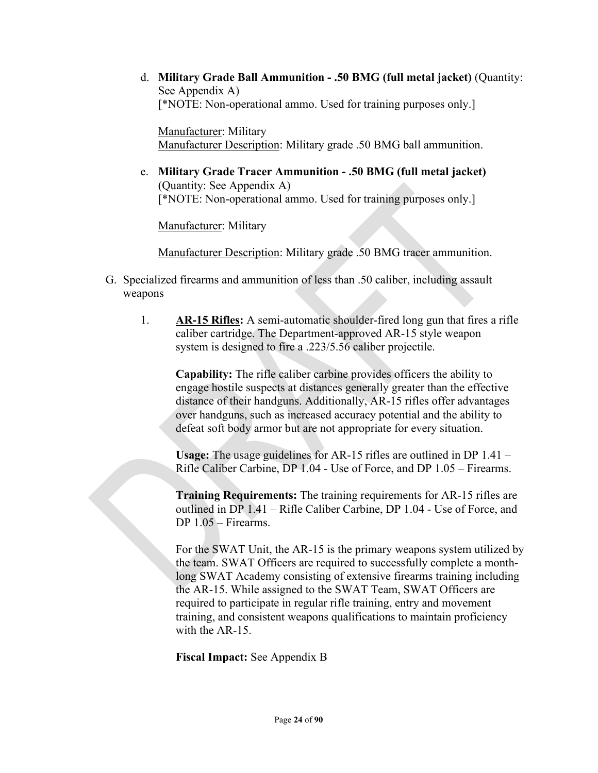d. **Military Grade Ball Ammunition - .50 BMG (full metal jacket)** (Quantity: See Appendix A) [\*NOTE: Non-operational ammo. Used for training purposes only.]

Manufacturer: Military Manufacturer Description: Military grade .50 BMG ball ammunition.

e. **Military Grade Tracer Ammunition - .50 BMG (full metal jacket)** (Quantity: See Appendix A) [\*NOTE: Non-operational ammo. Used for training purposes only.]

Manufacturer: Military

Manufacturer Description: Military grade .50 BMG tracer ammunition.

- G. Specialized firearms and ammunition of less than .50 caliber, including assault weapons
	- 1. **AR-15 Rifles:** A semi-automatic shoulder-fired long gun that fires a rifle caliber cartridge. The Department-approved AR-15 style weapon system is designed to fire a .223/5.56 caliber projectile.

**Capability:** The rifle caliber carbine provides officers the ability to engage hostile suspects at distances generally greater than the effective distance of their handguns. Additionally, AR-15 rifles offer advantages over handguns, such as increased accuracy potential and the ability to defeat soft body armor but are not appropriate for every situation.

**Usage:** The usage guidelines for AR-15 rifles are outlined in DP 1.41 – Rifle Caliber Carbine, DP 1.04 - Use of Force, and DP 1.05 – Firearms.

**Training Requirements:** The training requirements for AR-15 rifles are outlined in DP 1.41 – Rifle Caliber Carbine, DP 1.04 - Use of Force, and DP 1.05 – Firearms.

For the SWAT Unit, the AR-15 is the primary weapons system utilized by the team. SWAT Officers are required to successfully complete a monthlong SWAT Academy consisting of extensive firearms training including the AR-15. While assigned to the SWAT Team, SWAT Officers are required to participate in regular rifle training, entry and movement training, and consistent weapons qualifications to maintain proficiency with the AR-15.

**Fiscal Impact:** See Appendix B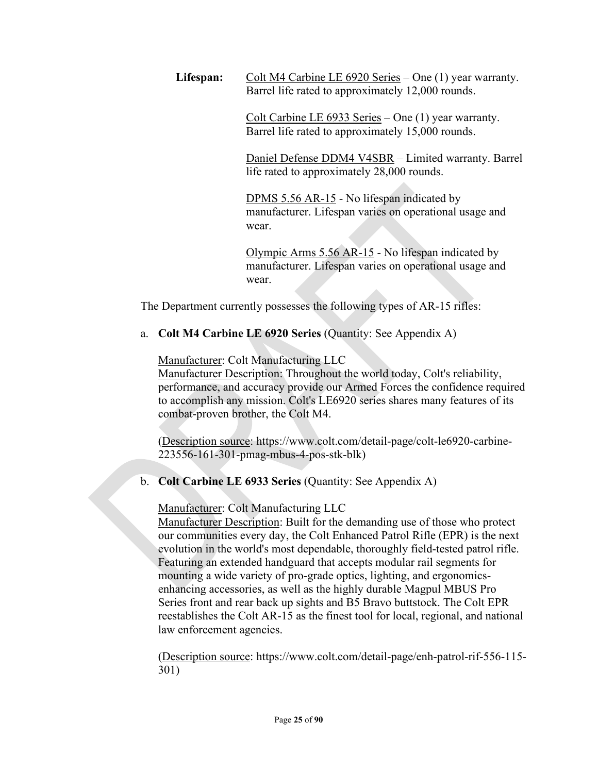Lifespan: Colt M4 Carbine LE 6920 Series – One (1) year warranty. Barrel life rated to approximately 12,000 rounds.

> Colt Carbine LE 6933 Series – One (1) year warranty. Barrel life rated to approximately 15,000 rounds.

Daniel Defense DDM4 V4SBR – Limited warranty. Barrel life rated to approximately 28,000 rounds.

DPMS 5.56 AR-15 - No lifespan indicated by manufacturer. Lifespan varies on operational usage and wear.

Olympic Arms 5.56 AR-15 - No lifespan indicated by manufacturer. Lifespan varies on operational usage and wear.

The Department currently possesses the following types of AR-15 rifles:

a. **Colt M4 Carbine LE 6920 Series** (Quantity: See Appendix A)

Manufacturer: Colt Manufacturing LLC

Manufacturer Description: Throughout the world today, Colt's reliability, performance, and accuracy provide our Armed Forces the confidence required to accomplish any mission. Colt's LE6920 series shares many features of its combat-proven brother, the Colt M4.

(Description source: https://www.colt.com/detail-page/colt-le6920-carbine-223556-161-301-pmag-mbus-4-pos-stk-blk)

# b. **Colt Carbine LE 6933 Series** (Quantity: See Appendix A)

## Manufacturer: Colt Manufacturing LLC

Manufacturer Description: Built for the demanding use of those who protect our communities every day, the Colt Enhanced Patrol Rifle (EPR) is the next evolution in the world's most dependable, thoroughly field-tested patrol rifle. Featuring an extended handguard that accepts modular rail segments for mounting a wide variety of pro-grade optics, lighting, and ergonomicsenhancing accessories, as well as the highly durable Magpul MBUS Pro Series front and rear back up sights and B5 Bravo buttstock. The Colt EPR reestablishes the Colt AR-15 as the finest tool for local, regional, and national law enforcement agencies.

(Description source: https://www.colt.com/detail-page/enh-patrol-rif-556-115- 301)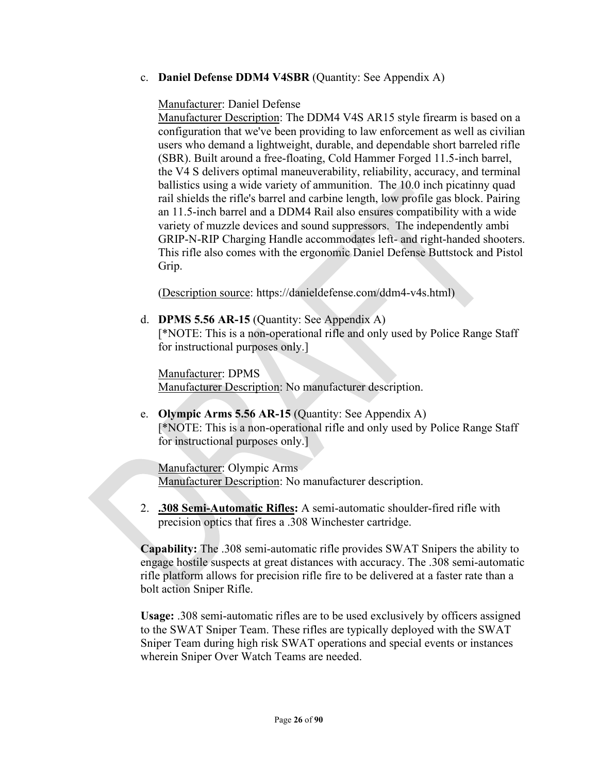#### c. **Daniel Defense DDM4 V4SBR** (Quantity: See Appendix A)

Manufacturer: Daniel Defense

Manufacturer Description: The DDM4 V4S AR15 style firearm is based on a configuration that we've been providing to law enforcement as well as civilian users who demand a lightweight, durable, and dependable short barreled rifle (SBR). Built around a free-floating, Cold Hammer Forged 11.5-inch barrel, the V4 S delivers optimal maneuverability, reliability, accuracy, and terminal ballistics using a wide variety of ammunition. The 10.0 inch picatinny quad rail shields the rifle's barrel and carbine length, low profile gas block. Pairing an 11.5-inch barrel and a DDM4 Rail also ensures compatibility with a wide variety of muzzle devices and sound suppressors. The independently ambi GRIP-N-RIP Charging Handle accommodates left- and right-handed shooters. This rifle also comes with the ergonomic Daniel Defense Buttstock and Pistol Grip.

(Description source: https://danieldefense.com/ddm4-v4s.html)

d. **DPMS 5.56 AR-15** (Quantity: See Appendix A) [\*NOTE: This is a non-operational rifle and only used by Police Range Staff for instructional purposes only.]

Manufacturer: DPMS Manufacturer Description: No manufacturer description.

e. **Olympic Arms 5.56 AR-15** (Quantity: See Appendix A) [\*NOTE: This is a non-operational rifle and only used by Police Range Staff for instructional purposes only.]

Manufacturer: Olympic Arms Manufacturer Description: No manufacturer description.

2. **.308 Semi-Automatic Rifles:** A semi-automatic shoulder-fired rifle with precision optics that fires a .308 Winchester cartridge.

**Capability:** The .308 semi-automatic rifle provides SWAT Snipers the ability to engage hostile suspects at great distances with accuracy. The .308 semi-automatic rifle platform allows for precision rifle fire to be delivered at a faster rate than a bolt action Sniper Rifle.

**Usage:** .308 semi-automatic rifles are to be used exclusively by officers assigned to the SWAT Sniper Team. These rifles are typically deployed with the SWAT Sniper Team during high risk SWAT operations and special events or instances wherein Sniper Over Watch Teams are needed.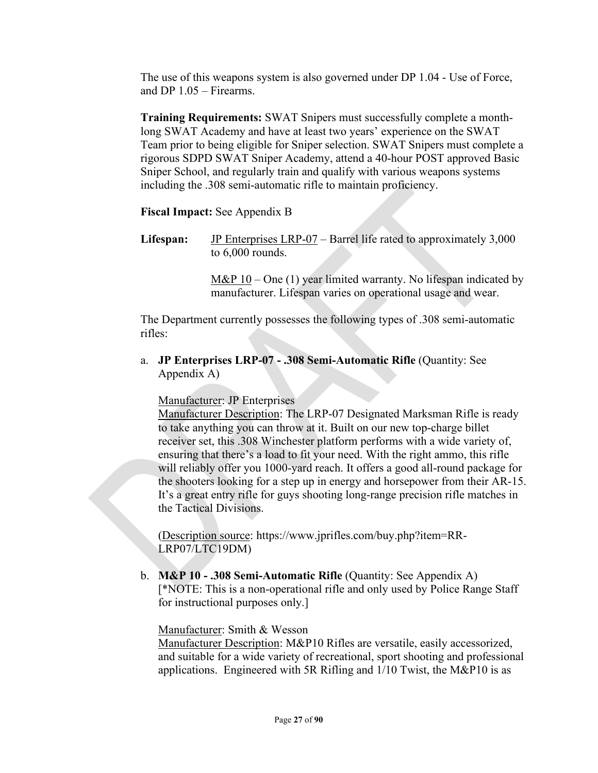The use of this weapons system is also governed under DP 1.04 - Use of Force, and DP 1.05 – Firearms.

**Training Requirements:** SWAT Snipers must successfully complete a monthlong SWAT Academy and have at least two years' experience on the SWAT Team prior to being eligible for Sniper selection. SWAT Snipers must complete a rigorous SDPD SWAT Sniper Academy, attend a 40-hour POST approved Basic Sniper School, and regularly train and qualify with various weapons systems including the .308 semi-automatic rifle to maintain proficiency.

## **Fiscal Impact:** See Appendix B

Lifespan: JP Enterprises LRP-07 – Barrel life rated to approximately 3,000 to 6,000 rounds.

> M&P  $10 - One$  (1) year limited warranty. No lifespan indicated by manufacturer. Lifespan varies on operational usage and wear.

The Department currently possesses the following types of .308 semi-automatic rifles:

a. **JP Enterprises LRP-07 - .308 Semi-Automatic Rifle** (Quantity: See Appendix A)

Manufacturer: JP Enterprises

Manufacturer Description: The LRP-07 Designated Marksman Rifle is ready to take anything you can throw at it. Built on our new top-charge billet receiver set, this .308 Winchester platform performs with a wide variety of, ensuring that there's a load to fit your need. With the right ammo, this rifle will reliably offer you 1000-yard reach. It offers a good all-round package for the shooters looking for a step up in energy and horsepower from their AR-15. It's a great entry rifle for guys shooting long-range precision rifle matches in the Tactical Divisions.

(Description source: https://www.jprifles.com/buy.php?item=RR-LRP07/LTC19DM)

b. **M&P 10 - .308 Semi-Automatic Rifle** (Quantity: See Appendix A) [\*NOTE: This is a non-operational rifle and only used by Police Range Staff for instructional purposes only.]

## Manufacturer: Smith & Wesson

Manufacturer Description: M&P10 Rifles are versatile, easily accessorized, and suitable for a wide variety of recreational, sport shooting and professional applications. Engineered with 5R Rifling and 1/10 Twist, the M&P10 is as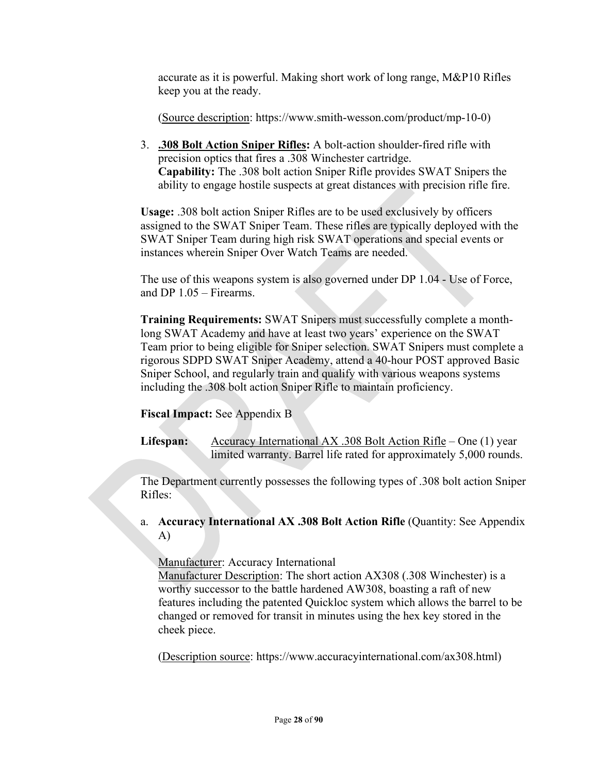accurate as it is powerful. Making short work of long range, M&P10 Rifles keep you at the ready.

(Source description: https://www.smith-wesson.com/product/mp-10-0)

3. **.308 Bolt Action Sniper Rifles:** A bolt-action shoulder-fired rifle with precision optics that fires a .308 Winchester cartridge. **Capability:** The .308 bolt action Sniper Rifle provides SWAT Snipers the ability to engage hostile suspects at great distances with precision rifle fire.

**Usage:** .308 bolt action Sniper Rifles are to be used exclusively by officers assigned to the SWAT Sniper Team. These rifles are typically deployed with the SWAT Sniper Team during high risk SWAT operations and special events or instances wherein Sniper Over Watch Teams are needed.

The use of this weapons system is also governed under DP 1.04 - Use of Force, and DP 1.05 – Firearms.

**Training Requirements:** SWAT Snipers must successfully complete a monthlong SWAT Academy and have at least two years' experience on the SWAT Team prior to being eligible for Sniper selection. SWAT Snipers must complete a rigorous SDPD SWAT Sniper Academy, attend a 40-hour POST approved Basic Sniper School, and regularly train and qualify with various weapons systems including the .308 bolt action Sniper Rifle to maintain proficiency.

# **Fiscal Impact:** See Appendix B

Lifespan: **Accuracy International AX .308 Bolt Action Rifle – One (1) year** limited warranty. Barrel life rated for approximately 5,000 rounds.

The Department currently possesses the following types of .308 bolt action Sniper Rifles:

a. **Accuracy International AX .308 Bolt Action Rifle** (Quantity: See Appendix A)

Manufacturer: Accuracy International

Manufacturer Description: The short action AX308 (.308 Winchester) is a worthy successor to the battle hardened AW308, boasting a raft of new features including the patented Quickloc system which allows the barrel to be changed or removed for transit in minutes using the hex key stored in the cheek piece.

(Description source: https://www.accuracyinternational.com/ax308.html)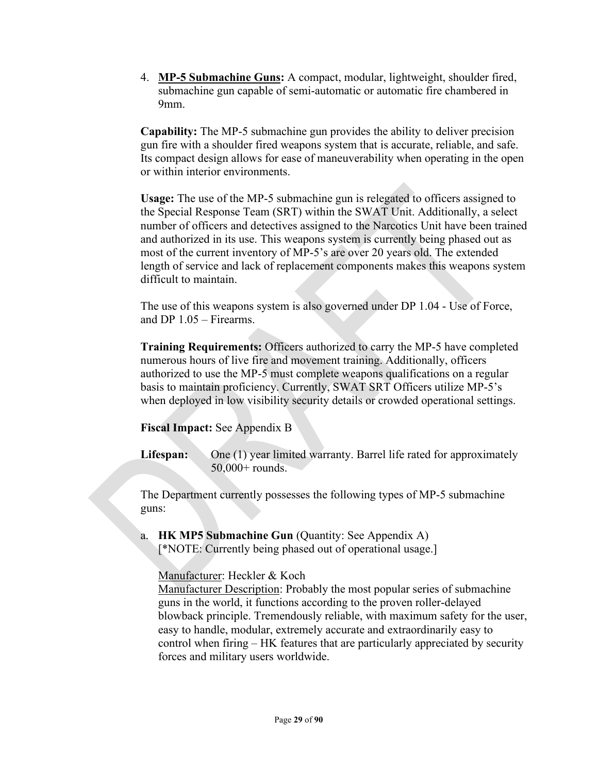4. **MP-5 Submachine Guns:** A compact, modular, lightweight, shoulder fired, submachine gun capable of semi-automatic or automatic fire chambered in 9mm.

**Capability:** The MP-5 submachine gun provides the ability to deliver precision gun fire with a shoulder fired weapons system that is accurate, reliable, and safe. Its compact design allows for ease of maneuverability when operating in the open or within interior environments.

**Usage:** The use of the MP-5 submachine gun is relegated to officers assigned to the Special Response Team (SRT) within the SWAT Unit. Additionally, a select number of officers and detectives assigned to the Narcotics Unit have been trained and authorized in its use. This weapons system is currently being phased out as most of the current inventory of MP-5's are over 20 years old. The extended length of service and lack of replacement components makes this weapons system difficult to maintain.

The use of this weapons system is also governed under DP 1.04 - Use of Force, and DP 1.05 – Firearms.

**Training Requirements:** Officers authorized to carry the MP-5 have completed numerous hours of live fire and movement training. Additionally, officers authorized to use the MP-5 must complete weapons qualifications on a regular basis to maintain proficiency. Currently, SWAT SRT Officers utilize MP-5's when deployed in low visibility security details or crowded operational settings.

**Fiscal Impact:** See Appendix B

Lifespan: One (1) year limited warranty. Barrel life rated for approximately 50,000+ rounds.

The Department currently possesses the following types of MP-5 submachine guns:

a. **HK MP5 Submachine Gun** (Quantity: See Appendix A) [\*NOTE: Currently being phased out of operational usage.]

Manufacturer: Heckler & Koch

Manufacturer Description: Probably the most popular series of submachine guns in the world, it functions according to the proven roller-delayed blowback principle. Tremendously reliable, with maximum safety for the user, easy to handle, modular, extremely accurate and extraordinarily easy to control when firing – HK features that are particularly appreciated by security forces and military users worldwide.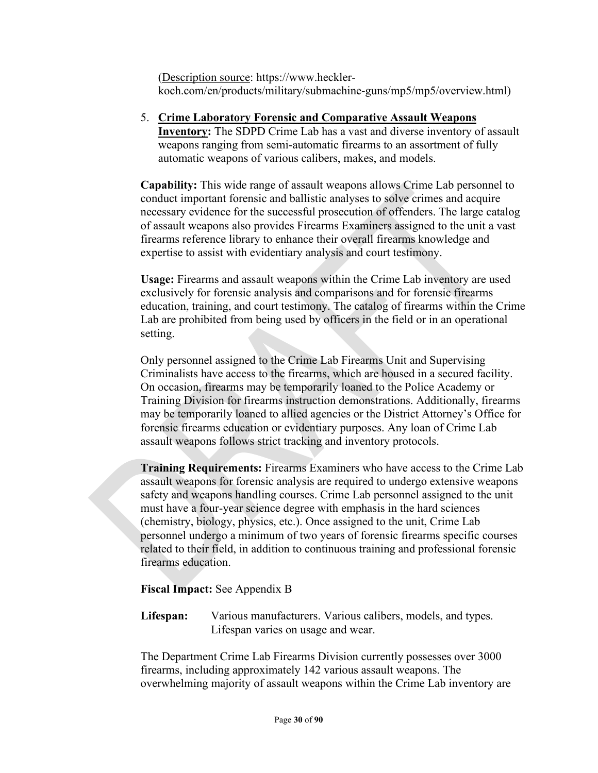(Description source: https://www.hecklerkoch.com/en/products/military/submachine-guns/mp5/mp5/overview.html)

5. **Crime Laboratory Forensic and Comparative Assault Weapons Inventory:** The SDPD Crime Lab has a vast and diverse inventory of assault weapons ranging from semi-automatic firearms to an assortment of fully automatic weapons of various calibers, makes, and models.

**Capability:** This wide range of assault weapons allows Crime Lab personnel to conduct important forensic and ballistic analyses to solve crimes and acquire necessary evidence for the successful prosecution of offenders. The large catalog of assault weapons also provides Firearms Examiners assigned to the unit a vast firearms reference library to enhance their overall firearms knowledge and expertise to assist with evidentiary analysis and court testimony.

**Usage:** Firearms and assault weapons within the Crime Lab inventory are used exclusively for forensic analysis and comparisons and for forensic firearms education, training, and court testimony. The catalog of firearms within the Crime Lab are prohibited from being used by officers in the field or in an operational setting.

Only personnel assigned to the Crime Lab Firearms Unit and Supervising Criminalists have access to the firearms, which are housed in a secured facility. On occasion, firearms may be temporarily loaned to the Police Academy or Training Division for firearms instruction demonstrations. Additionally, firearms may be temporarily loaned to allied agencies or the District Attorney's Office for forensic firearms education or evidentiary purposes. Any loan of Crime Lab assault weapons follows strict tracking and inventory protocols.

**Training Requirements:** Firearms Examiners who have access to the Crime Lab assault weapons for forensic analysis are required to undergo extensive weapons safety and weapons handling courses. Crime Lab personnel assigned to the unit must have a four-year science degree with emphasis in the hard sciences (chemistry, biology, physics, etc.). Once assigned to the unit, Crime Lab personnel undergo a minimum of two years of forensic firearms specific courses related to their field, in addition to continuous training and professional forensic firearms education.

**Fiscal Impact:** See Appendix B

**Lifespan:** Various manufacturers. Various calibers, models, and types. Lifespan varies on usage and wear.

The Department Crime Lab Firearms Division currently possesses over 3000 firearms, including approximately 142 various assault weapons. The overwhelming majority of assault weapons within the Crime Lab inventory are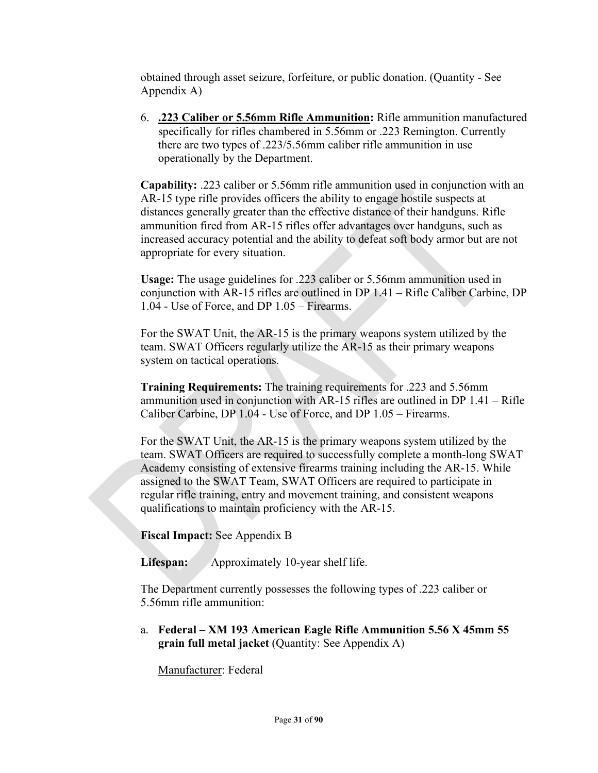obtained through asset seizure, forfeiture, or public donation. (Quantity - See Appendix A)

6. **.223 Caliber or 5.56mm Rifle Ammunition:** Rifle ammunition manufactured specifically for rifles chambered in 5.56mm or .223 Remington. Currently there are two types of .223/5.56mm caliber rifle ammunition in use operationally by the Department.

**Capability:** .223 caliber or 5.56mm rifle ammunition used in conjunction with an AR-15 type rifle provides officers the ability to engage hostile suspects at distances generally greater than the effective distance of their handguns. Rifle ammunition fired from AR-15 rifles offer advantages over handguns, such as increased accuracy potential and the ability to defeat soft body armor but are not appropriate for every situation.

**Usage:** The usage guidelines for .223 caliber or 5.56mm ammunition used in conjunction with AR-15 rifles are outlined in DP 1.41 – Rifle Caliber Carbine, DP 1.04 - Use of Force, and DP 1.05 – Firearms.

For the SWAT Unit, the AR-15 is the primary weapons system utilized by the team. SWAT Officers regularly utilize the AR-15 as their primary weapons system on tactical operations.

**Training Requirements:** The training requirements for .223 and 5.56mm ammunition used in conjunction with AR-15 rifles are outlined in DP 1.41 – Rifle Caliber Carbine, DP 1.04 - Use of Force, and DP 1.05 – Firearms.

For the SWAT Unit, the AR-15 is the primary weapons system utilized by the team. SWAT Officers are required to successfully complete a month-long SWAT Academy consisting of extensive firearms training including the AR-15. While assigned to the SWAT Team, SWAT Officers are required to participate in regular rifle training, entry and movement training, and consistent weapons qualifications to maintain proficiency with the AR-15.

**Fiscal Impact:** See Appendix B

**Lifespan:** Approximately 10-year shelf life.

The Department currently possesses the following types of .223 caliber or 5.56mm rifle ammunition:

a. **Federal – XM 193 American Eagle Rifle Ammunition 5.56 X 45mm 55 grain full metal jacket** (Quantity: See Appendix A)

Manufacturer: Federal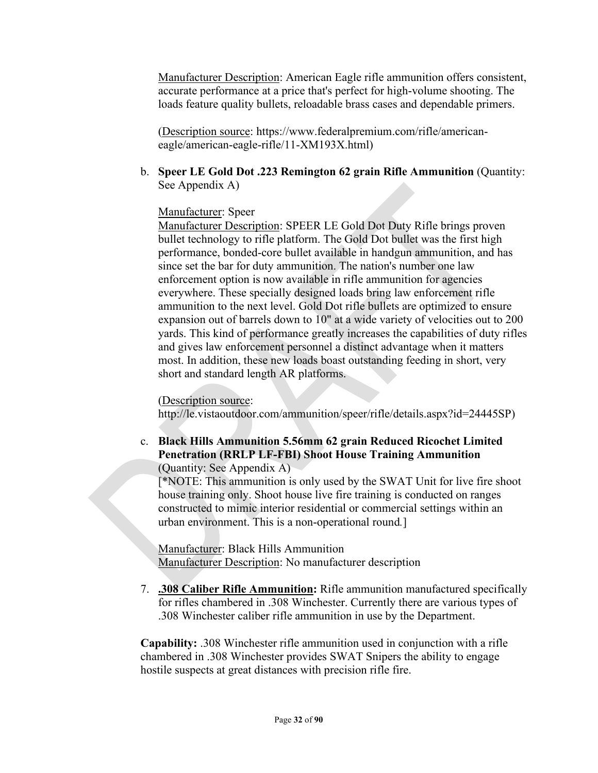Manufacturer Description: American Eagle rifle ammunition offers consistent, accurate performance at a price that's perfect for high-volume shooting. The loads feature quality bullets, reloadable brass cases and dependable primers.

(Description source: https://www.federalpremium.com/rifle/americaneagle/american-eagle-rifle/11-XM193X.html)

b. **Speer LE Gold Dot .223 Remington 62 grain Rifle Ammunition** (Quantity: See Appendix A)

## Manufacturer: Speer

Manufacturer Description: SPEER LE Gold Dot Duty Rifle brings proven bullet technology to rifle platform. The Gold Dot bullet was the first high performance, bonded-core bullet available in handgun ammunition, and has since set the bar for duty ammunition. The nation's number one law enforcement option is now available in rifle ammunition for agencies everywhere. These specially designed loads bring law enforcement rifle ammunition to the next level. Gold Dot rifle bullets are optimized to ensure expansion out of barrels down to 10" at a wide variety of velocities out to 200 yards. This kind of performance greatly increases the capabilities of duty rifles and gives law enforcement personnel a distinct advantage when it matters most. In addition, these new loads boast outstanding feeding in short, very short and standard length AR platforms.

## (Description source:

http://le.vistaoutdoor.com/ammunition/speer/rifle/details.aspx?id=24445SP)

# c. **Black Hills Ammunition 5.56mm 62 grain Reduced Ricochet Limited Penetration (RRLP LF-FBI) Shoot House Training Ammunition**

(Quantity: See Appendix A)

[\*NOTE: This ammunition is only used by the SWAT Unit for live fire shoot house training only. Shoot house live fire training is conducted on ranges constructed to mimic interior residential or commercial settings within an urban environment. This is a non-operational round*.*]

Manufacturer: Black Hills Ammunition Manufacturer Description: No manufacturer description

7. **.308 Caliber Rifle Ammunition:** Rifle ammunition manufactured specifically for rifles chambered in .308 Winchester. Currently there are various types of .308 Winchester caliber rifle ammunition in use by the Department.

**Capability:** .308 Winchester rifle ammunition used in conjunction with a rifle chambered in .308 Winchester provides SWAT Snipers the ability to engage hostile suspects at great distances with precision rifle fire.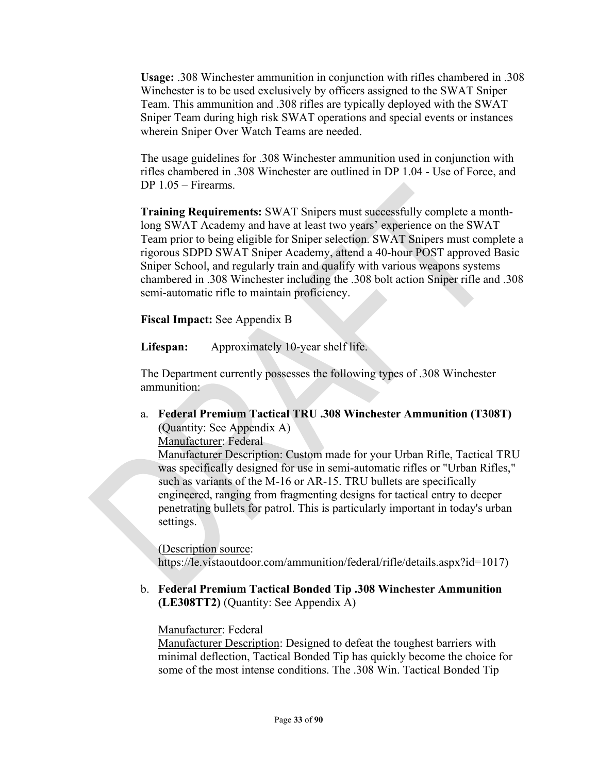**Usage:** .308 Winchester ammunition in conjunction with rifles chambered in .308 Winchester is to be used exclusively by officers assigned to the SWAT Sniper Team. This ammunition and .308 rifles are typically deployed with the SWAT Sniper Team during high risk SWAT operations and special events or instances wherein Sniper Over Watch Teams are needed.

The usage guidelines for .308 Winchester ammunition used in conjunction with rifles chambered in .308 Winchester are outlined in DP 1.04 - Use of Force, and DP 1.05 – Firearms.

**Training Requirements:** SWAT Snipers must successfully complete a monthlong SWAT Academy and have at least two years' experience on the SWAT Team prior to being eligible for Sniper selection. SWAT Snipers must complete a rigorous SDPD SWAT Sniper Academy, attend a 40-hour POST approved Basic Sniper School, and regularly train and qualify with various weapons systems chambered in .308 Winchester including the .308 bolt action Sniper rifle and .308 semi-automatic rifle to maintain proficiency.

**Fiscal Impact:** See Appendix B

**Lifespan:** Approximately 10-year shelf life.

The Department currently possesses the following types of .308 Winchester ammunition:

a. **Federal Premium Tactical TRU .308 Winchester Ammunition (T308T)** (Quantity: See Appendix A)

Manufacturer: Federal

Manufacturer Description: Custom made for your Urban Rifle, Tactical TRU was specifically designed for use in semi-automatic rifles or "Urban Rifles," such as variants of the M-16 or AR-15. TRU bullets are specifically engineered, ranging from fragmenting designs for tactical entry to deeper penetrating bullets for patrol. This is particularly important in today's urban settings.

#### (Description source:

https://le.vistaoutdoor.com/ammunition/federal/rifle/details.aspx?id=1017)

b. **Federal Premium Tactical Bonded Tip .308 Winchester Ammunition (LE308TT2)** (Quantity: See Appendix A)

## Manufacturer: Federal

Manufacturer Description: Designed to defeat the toughest barriers with minimal deflection, Tactical Bonded Tip has quickly become the choice for some of the most intense conditions. The .308 Win. Tactical Bonded Tip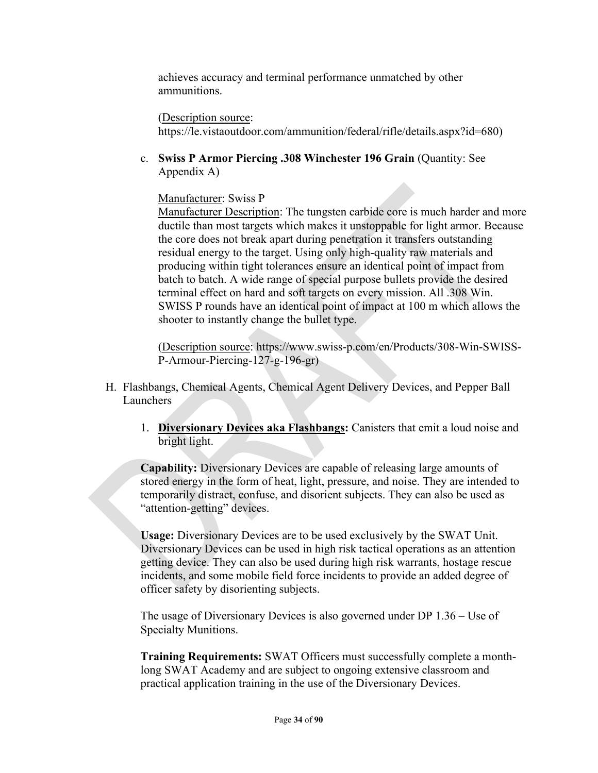achieves accuracy and terminal performance unmatched by other ammunitions.

(Description source:

https://le.vistaoutdoor.com/ammunition/federal/rifle/details.aspx?id=680)

c. **Swiss P Armor Piercing .308 Winchester 196 Grain** (Quantity: See Appendix A)

Manufacturer: Swiss P

Manufacturer Description: The tungsten carbide core is much harder and more ductile than most targets which makes it unstoppable for light armor. Because the core does not break apart during penetration it transfers outstanding residual energy to the target. Using only high-quality raw materials and producing within tight tolerances ensure an identical point of impact from batch to batch. A wide range of special purpose bullets provide the desired terminal effect on hard and soft targets on every mission. All .308 Win. SWISS P rounds have an identical point of impact at 100 m which allows the shooter to instantly change the bullet type.

(Description source: https://www.swiss-p.com/en/Products/308-Win-SWISS-P-Armour-Piercing-127-g-196-gr)

- H. Flashbangs, Chemical Agents, Chemical Agent Delivery Devices, and Pepper Ball Launchers
	- 1. **Diversionary Devices aka Flashbangs:** Canisters that emit a loud noise and bright light.

**Capability:** Diversionary Devices are capable of releasing large amounts of stored energy in the form of heat, light, pressure, and noise. They are intended to temporarily distract, confuse, and disorient subjects. They can also be used as "attention-getting" devices.

**Usage:** Diversionary Devices are to be used exclusively by the SWAT Unit. Diversionary Devices can be used in high risk tactical operations as an attention getting device. They can also be used during high risk warrants, hostage rescue incidents, and some mobile field force incidents to provide an added degree of officer safety by disorienting subjects.

The usage of Diversionary Devices is also governed under DP 1.36 – Use of Specialty Munitions.

**Training Requirements:** SWAT Officers must successfully complete a monthlong SWAT Academy and are subject to ongoing extensive classroom and practical application training in the use of the Diversionary Devices.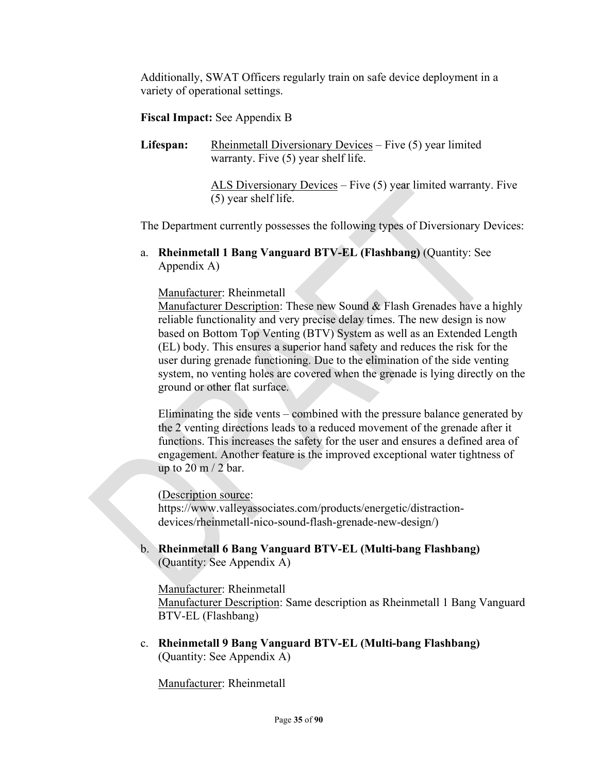Additionally, SWAT Officers regularly train on safe device deployment in a variety of operational settings.

## **Fiscal Impact:** See Appendix B

Lifespan: Rheinmetall Diversionary Devices – Five (5) year limited warranty. Five (5) year shelf life.

> ALS Diversionary Devices - Five (5) year limited warranty. Five (5) year shelf life.

The Department currently possesses the following types of Diversionary Devices:

a. **Rheinmetall 1 Bang Vanguard BTV-EL (Flashbang)** (Quantity: See Appendix A)

Manufacturer: Rheinmetall

Manufacturer Description: These new Sound & Flash Grenades have a highly reliable functionality and very precise delay times. The new design is now based on Bottom Top Venting (BTV) System as well as an Extended Length (EL) body. This ensures a superior hand safety and reduces the risk for the user during grenade functioning. Due to the elimination of the side venting system, no venting holes are covered when the grenade is lying directly on the ground or other flat surface.

Eliminating the side vents – combined with the pressure balance generated by the 2 venting directions leads to a reduced movement of the grenade after it functions. This increases the safety for the user and ensures a defined area of engagement. Another feature is the improved exceptional water tightness of up to  $20 \text{ m}$  /  $2 \text{ bar}$ .

(Description source:

https://www.valleyassociates.com/products/energetic/distractiondevices/rheinmetall-nico-sound-flash-grenade-new-design/)

b. **Rheinmetall 6 Bang Vanguard BTV-EL (Multi-bang Flashbang)** (Quantity: See Appendix A)

Manufacturer: Rheinmetall Manufacturer Description: Same description as Rheinmetall 1 Bang Vanguard BTV-EL (Flashbang)

c. **Rheinmetall 9 Bang Vanguard BTV-EL (Multi-bang Flashbang)** (Quantity: See Appendix A)

Manufacturer: Rheinmetall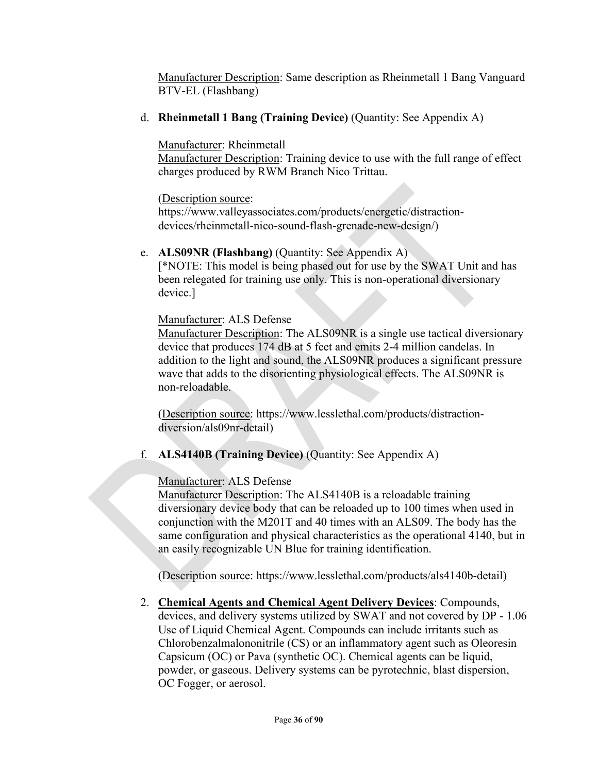Manufacturer Description: Same description as Rheinmetall 1 Bang Vanguard BTV-EL (Flashbang)

d. **Rheinmetall 1 Bang (Training Device)** (Quantity: See Appendix A)

## Manufacturer: Rheinmetall

Manufacturer Description: Training device to use with the full range of effect charges produced by RWM Branch Nico Trittau.

## (Description source:

https://www.valleyassociates.com/products/energetic/distractiondevices/rheinmetall-nico-sound-flash-grenade-new-design/)

## e. **ALS09NR (Flashbang)** (Quantity: See Appendix A)

[\*NOTE: This model is being phased out for use by the SWAT Unit and has been relegated for training use only. This is non-operational diversionary device.]

## Manufacturer: ALS Defense

Manufacturer Description: The ALS09NR is a single use tactical diversionary device that produces 174 dB at 5 feet and emits 2-4 million candelas. In addition to the light and sound, the ALS09NR produces a significant pressure wave that adds to the disorienting physiological effects. The ALS09NR is non-reloadable.

(Description source: https://www.lesslethal.com/products/distractiondiversion/als09nr-detail)

# f. **ALS4140B (Training Device)** (Quantity: See Appendix A)

# Manufacturer: ALS Defense

Manufacturer Description: The ALS4140B is a reloadable training diversionary device body that can be reloaded up to 100 times when used in conjunction with the M201T and 40 times with an ALS09. The body has the same configuration and physical characteristics as the operational 4140, but in an easily recognizable UN Blue for training identification.

(Description source: https://www.lesslethal.com/products/als4140b-detail)

2. **Chemical Agents and Chemical Agent Delivery Devices**: Compounds, devices, and delivery systems utilized by SWAT and not covered by DP - 1.06 Use of Liquid Chemical Agent. Compounds can include irritants such as Chlorobenzalmalononitrile (CS) or an inflammatory agent such as Oleoresin Capsicum (OC) or Pava (synthetic OC). Chemical agents can be liquid, powder, or gaseous. Delivery systems can be pyrotechnic, blast dispersion, OC Fogger, or aerosol.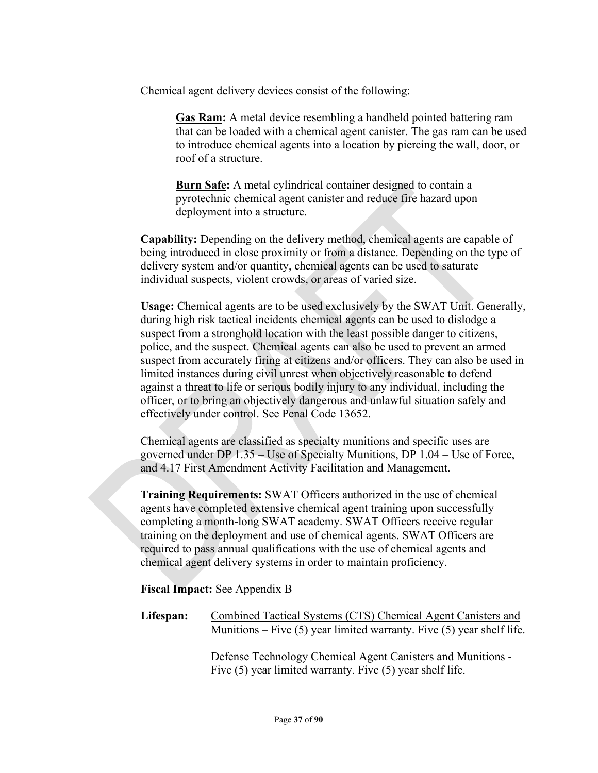Chemical agent delivery devices consist of the following:

**Gas Ram:** A metal device resembling a handheld pointed battering ram that can be loaded with a chemical agent canister. The gas ram can be used to introduce chemical agents into a location by piercing the wall, door, or roof of a structure.

**Burn Safe:** A metal cylindrical container designed to contain a pyrotechnic chemical agent canister and reduce fire hazard upon deployment into a structure.

**Capability:** Depending on the delivery method, chemical agents are capable of being introduced in close proximity or from a distance. Depending on the type of delivery system and/or quantity, chemical agents can be used to saturate individual suspects, violent crowds, or areas of varied size.

**Usage:** Chemical agents are to be used exclusively by the SWAT Unit. Generally, during high risk tactical incidents chemical agents can be used to dislodge a suspect from a stronghold location with the least possible danger to citizens, police, and the suspect. Chemical agents can also be used to prevent an armed suspect from accurately firing at citizens and/or officers. They can also be used in limited instances during civil unrest when objectively reasonable to defend against a threat to life or serious bodily injury to any individual, including the officer, or to bring an objectively dangerous and unlawful situation safely and effectively under control. See Penal Code 13652.

Chemical agents are classified as specialty munitions and specific uses are governed under DP 1.35 – Use of Specialty Munitions, DP 1.04 – Use of Force, and 4.17 First Amendment Activity Facilitation and Management.

**Training Requirements:** SWAT Officers authorized in the use of chemical agents have completed extensive chemical agent training upon successfully completing a month-long SWAT academy. SWAT Officers receive regular training on the deployment and use of chemical agents. SWAT Officers are required to pass annual qualifications with the use of chemical agents and chemical agent delivery systems in order to maintain proficiency.

**Fiscal Impact:** See Appendix B

| Lifespan: | Combined Tactical Systems (CTS) Chemical Agent Canisters and              |
|-----------|---------------------------------------------------------------------------|
|           | Munitions – Five $(5)$ year limited warranty. Five $(5)$ year shelf life. |
|           |                                                                           |

Defense Technology Chemical Agent Canisters and Munitions - Five (5) year limited warranty. Five (5) year shelf life.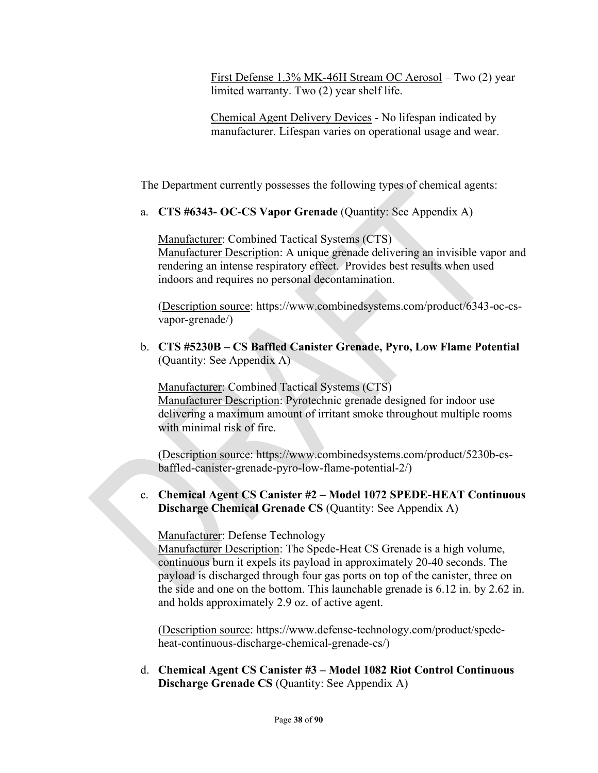First Defense 1.3% MK-46H Stream OC Aerosol – Two (2) year limited warranty. Two (2) year shelf life.

Chemical Agent Delivery Devices - No lifespan indicated by manufacturer. Lifespan varies on operational usage and wear.

The Department currently possesses the following types of chemical agents:

a. **CTS #6343- OC-CS Vapor Grenade** (Quantity: See Appendix A)

Manufacturer: Combined Tactical Systems (CTS) Manufacturer Description: A unique grenade delivering an invisible vapor and rendering an intense respiratory effect. Provides best results when used indoors and requires no personal decontamination.

(Description source: https://www.combinedsystems.com/product/6343-oc-csvapor-grenade/)

b. **CTS #5230B – CS Baffled Canister Grenade, Pyro, Low Flame Potential** (Quantity: See Appendix A)

Manufacturer: Combined Tactical Systems (CTS) Manufacturer Description: Pyrotechnic grenade designed for indoor use delivering a maximum amount of irritant smoke throughout multiple rooms with minimal risk of fire.

(Description source: https://www.combinedsystems.com/product/5230b-csbaffled-canister-grenade-pyro-low-flame-potential-2/)

c. **Chemical Agent CS Canister #2 – Model 1072 SPEDE-HEAT Continuous Discharge Chemical Grenade CS** (Quantity: See Appendix A)

Manufacturer: Defense Technology

Manufacturer Description: The Spede-Heat CS Grenade is a high volume, continuous burn it expels its payload in approximately 20-40 seconds. The payload is discharged through four gas ports on top of the canister, three on the side and one on the bottom. This launchable grenade is 6.12 in. by 2.62 in. and holds approximately 2.9 oz. of active agent.

(Description source: https://www.defense-technology.com/product/spedeheat-continuous-discharge-chemical-grenade-cs/)

d. **Chemical Agent CS Canister #3 – Model 1082 Riot Control Continuous Discharge Grenade CS** (Quantity: See Appendix A)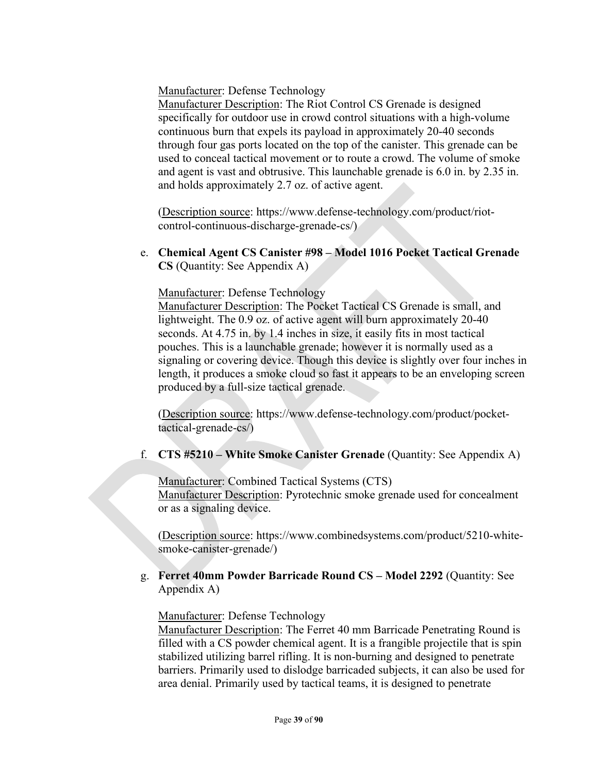Manufacturer: Defense Technology

Manufacturer Description: The Riot Control CS Grenade is designed specifically for outdoor use in crowd control situations with a high-volume continuous burn that expels its payload in approximately 20-40 seconds through four gas ports located on the top of the canister. This grenade can be used to conceal tactical movement or to route a crowd. The volume of smoke and agent is vast and obtrusive. This launchable grenade is 6.0 in. by 2.35 in. and holds approximately 2.7 oz. of active agent.

(Description source: https://www.defense-technology.com/product/riotcontrol-continuous-discharge-grenade-cs/)

e. **Chemical Agent CS Canister #98 – Model 1016 Pocket Tactical Grenade CS** (Quantity: See Appendix A)

Manufacturer: Defense Technology

Manufacturer Description: The Pocket Tactical CS Grenade is small, and lightweight. The 0.9 oz. of active agent will burn approximately 20-40 seconds. At 4.75 in. by 1.4 inches in size, it easily fits in most tactical pouches. This is a launchable grenade; however it is normally used as a signaling or covering device. Though this device is slightly over four inches in length, it produces a smoke cloud so fast it appears to be an enveloping screen produced by a full-size tactical grenade.

(Description source: https://www.defense-technology.com/product/pockettactical-grenade-cs/)

#### f. **CTS #5210 – White Smoke Canister Grenade** (Quantity: See Appendix A)

Manufacturer: Combined Tactical Systems (CTS) Manufacturer Description: Pyrotechnic smoke grenade used for concealment or as a signaling device.

(Description source: https://www.combinedsystems.com/product/5210-whitesmoke-canister-grenade/)

g. **Ferret 40mm Powder Barricade Round CS – Model 2292** (Quantity: See Appendix A)

Manufacturer: Defense Technology

Manufacturer Description: The Ferret 40 mm Barricade Penetrating Round is filled with a CS powder chemical agent. It is a frangible projectile that is spin stabilized utilizing barrel rifling. It is non-burning and designed to penetrate barriers. Primarily used to dislodge barricaded subjects, it can also be used for area denial. Primarily used by tactical teams, it is designed to penetrate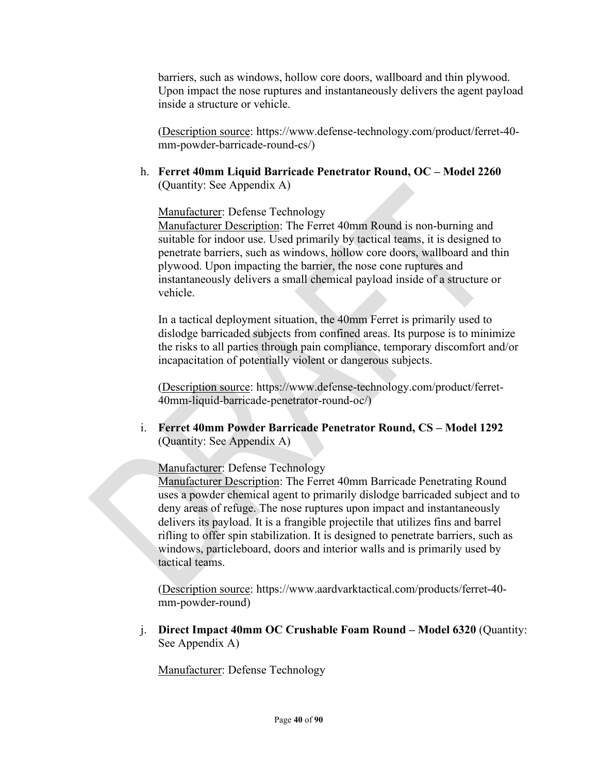barriers, such as windows, hollow core doors, wallboard and thin plywood. Upon impact the nose ruptures and instantaneously delivers the agent payload inside a structure or vehicle.

(Description source: https://www.defense-technology.com/product/ferret-40 mm-powder-barricade-round-cs/)

h. **Ferret 40mm Liquid Barricade Penetrator Round, OC – Model 2260**  (Quantity: See Appendix A)

Manufacturer: Defense Technology

Manufacturer Description: The Ferret 40mm Round is non-burning and suitable for indoor use. Used primarily by tactical teams, it is designed to penetrate barriers, such as windows, hollow core doors, wallboard and thin plywood. Upon impacting the barrier, the nose cone ruptures and instantaneously delivers a small chemical payload inside of a structure or vehicle.

In a tactical deployment situation, the 40mm Ferret is primarily used to dislodge barricaded subjects from confined areas. Its purpose is to minimize the risks to all parties through pain compliance, temporary discomfort and/or incapacitation of potentially violent or dangerous subjects.

(Description source: https://www.defense-technology.com/product/ferret-40mm-liquid-barricade-penetrator-round-oc/)

i. **Ferret 40mm Powder Barricade Penetrator Round, CS – Model 1292**  (Quantity: See Appendix A)

Manufacturer: Defense Technology

Manufacturer Description: The Ferret 40mm Barricade Penetrating Round uses a powder chemical agent to primarily dislodge barricaded subject and to deny areas of refuge. The nose ruptures upon impact and instantaneously delivers its payload. It is a frangible projectile that utilizes fins and barrel rifling to offer spin stabilization. It is designed to penetrate barriers, such as windows, particleboard, doors and interior walls and is primarily used by tactical teams.

(Description source: https://www.aardvarktactical.com/products/ferret-40 mm-powder-round)

j. **Direct Impact 40mm OC Crushable Foam Round – Model 6320** (Quantity: See Appendix A)

Manufacturer: Defense Technology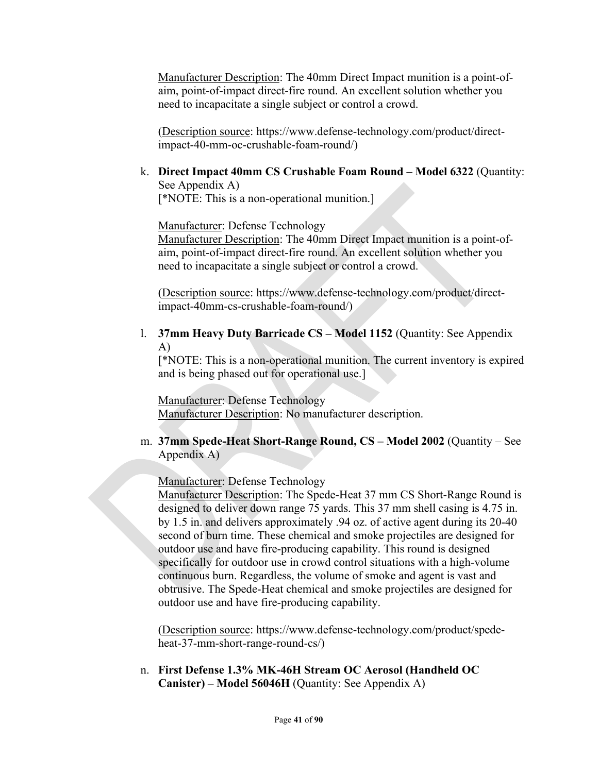Manufacturer Description: The 40mm Direct Impact munition is a point-ofaim, point-of-impact direct-fire round. An excellent solution whether you need to incapacitate a single subject or control a crowd.

(Description source: https://www.defense-technology.com/product/directimpact-40-mm-oc-crushable-foam-round/)

k. **Direct Impact 40mm CS Crushable Foam Round – Model 6322** (Quantity: See Appendix A)

[\*NOTE: This is a non-operational munition.]

Manufacturer: Defense Technology

Manufacturer Description: The 40mm Direct Impact munition is a point-ofaim, point-of-impact direct-fire round. An excellent solution whether you need to incapacitate a single subject or control a crowd.

(Description source: https://www.defense-technology.com/product/directimpact-40mm-cs-crushable-foam-round/)

l. **37mm Heavy Duty Barricade CS – Model 1152** (Quantity: See Appendix A)

[\*NOTE: This is a non-operational munition. The current inventory is expired and is being phased out for operational use.]

Manufacturer: Defense Technology Manufacturer Description: No manufacturer description.

#### m. **37mm Spede-Heat Short-Range Round, CS – Model 2002** (Quantity – See Appendix A)

Manufacturer: Defense Technology

Manufacturer Description: The Spede-Heat 37 mm CS Short-Range Round is designed to deliver down range 75 yards. This 37 mm shell casing is 4.75 in. by 1.5 in. and delivers approximately .94 oz. of active agent during its 20-40 second of burn time. These chemical and smoke projectiles are designed for outdoor use and have fire-producing capability. This round is designed specifically for outdoor use in crowd control situations with a high-volume continuous burn. Regardless, the volume of smoke and agent is vast and obtrusive. The Spede-Heat chemical and smoke projectiles are designed for outdoor use and have fire-producing capability.

(Description source: https://www.defense-technology.com/product/spedeheat-37-mm-short-range-round-cs/)

n. **First Defense 1.3% MK-46H Stream OC Aerosol (Handheld OC Canister) – Model 56046H** (Quantity: See Appendix A)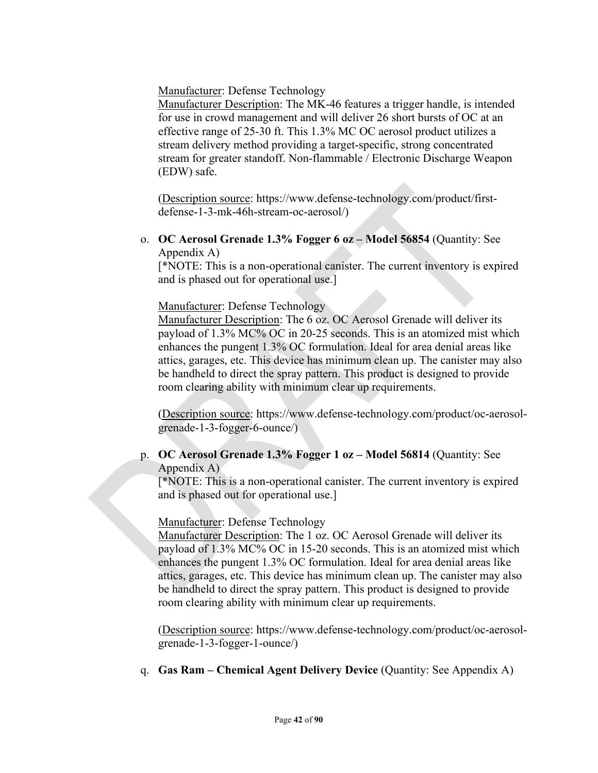Manufacturer: Defense Technology

Manufacturer Description: The MK-46 features a trigger handle, is intended for use in crowd management and will deliver 26 short bursts of OC at an effective range of 25-30 ft. This 1.3% MC OC aerosol product utilizes a stream delivery method providing a target-specific, strong concentrated stream for greater standoff. Non-flammable / Electronic Discharge Weapon (EDW) safe.

(Description source: https://www.defense-technology.com/product/firstdefense-1-3-mk-46h-stream-oc-aerosol/)

o. **OC Aerosol Grenade 1.3% Fogger 6 oz – Model 56854** (Quantity: See Appendix A)

[\*NOTE: This is a non-operational canister. The current inventory is expired and is phased out for operational use.]

#### Manufacturer: Defense Technology

Manufacturer Description: The 6 oz. OC Aerosol Grenade will deliver its payload of 1.3% MC% OC in 20-25 seconds. This is an atomized mist which enhances the pungent 1.3% OC formulation. Ideal for area denial areas like attics, garages, etc. This device has minimum clean up. The canister may also be handheld to direct the spray pattern. This product is designed to provide room clearing ability with minimum clear up requirements.

(Description source: https://www.defense-technology.com/product/oc-aerosolgrenade-1-3-fogger-6-ounce/)

#### p. **OC Aerosol Grenade 1.3% Fogger 1 oz – Model 56814** (Quantity: See Appendix A)

[\*NOTE: This is a non-operational canister. The current inventory is expired and is phased out for operational use.]

#### Manufacturer: Defense Technology

Manufacturer Description: The 1 oz. OC Aerosol Grenade will deliver its payload of 1.3% MC% OC in 15-20 seconds. This is an atomized mist which enhances the pungent 1.3% OC formulation. Ideal for area denial areas like attics, garages, etc. This device has minimum clean up. The canister may also be handheld to direct the spray pattern. This product is designed to provide room clearing ability with minimum clear up requirements.

(Description source: https://www.defense-technology.com/product/oc-aerosolgrenade-1-3-fogger-1-ounce/)

q. **Gas Ram – Chemical Agent Delivery Device** (Quantity: See Appendix A)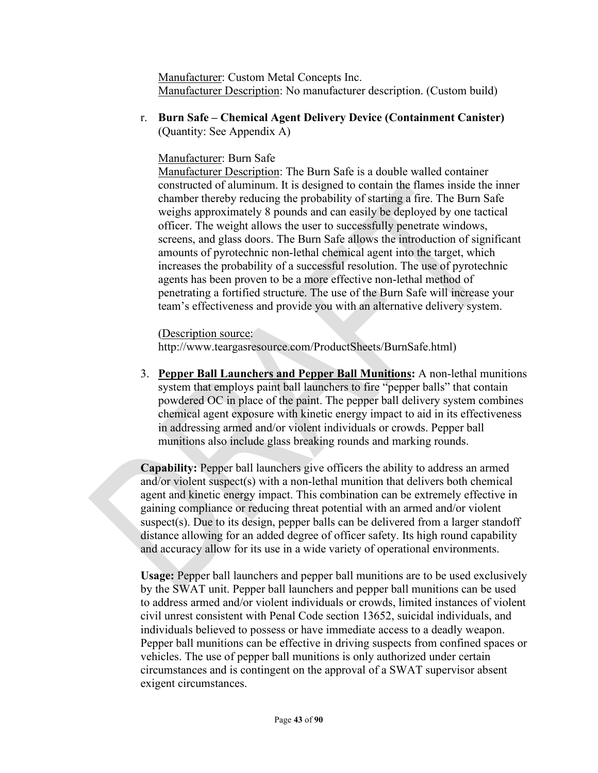Manufacturer: Custom Metal Concepts Inc. Manufacturer Description: No manufacturer description. (Custom build)

r. **Burn Safe – Chemical Agent Delivery Device (Containment Canister)** (Quantity: See Appendix A)

## Manufacturer: Burn Safe

Manufacturer Description: The Burn Safe is a double walled container constructed of aluminum. It is designed to contain the flames inside the inner chamber thereby reducing the probability of starting a fire. The Burn Safe weighs approximately 8 pounds and can easily be deployed by one tactical officer. The weight allows the user to successfully penetrate windows, screens, and glass doors. The Burn Safe allows the introduction of significant amounts of pyrotechnic non-lethal chemical agent into the target, which increases the probability of a successful resolution. The use of pyrotechnic agents has been proven to be a more effective non-lethal method of penetrating a fortified structure. The use of the Burn Safe will increase your team's effectiveness and provide you with an alternative delivery system.

(Description source:

http://www.teargasresource.com/ProductSheets/BurnSafe.html)

3. **Pepper Ball Launchers and Pepper Ball Munitions:** A non-lethal munitions system that employs paint ball launchers to fire "pepper balls" that contain powdered OC in place of the paint. The pepper ball delivery system combines chemical agent exposure with kinetic energy impact to aid in its effectiveness in addressing armed and/or violent individuals or crowds. Pepper ball munitions also include glass breaking rounds and marking rounds.

**Capability:** Pepper ball launchers give officers the ability to address an armed and/or violent suspect(s) with a non-lethal munition that delivers both chemical agent and kinetic energy impact. This combination can be extremely effective in gaining compliance or reducing threat potential with an armed and/or violent suspect(s). Due to its design, pepper balls can be delivered from a larger standoff distance allowing for an added degree of officer safety. Its high round capability and accuracy allow for its use in a wide variety of operational environments.

**Usage:** Pepper ball launchers and pepper ball munitions are to be used exclusively by the SWAT unit. Pepper ball launchers and pepper ball munitions can be used to address armed and/or violent individuals or crowds, limited instances of violent civil unrest consistent with Penal Code section 13652, suicidal individuals, and individuals believed to possess or have immediate access to a deadly weapon. Pepper ball munitions can be effective in driving suspects from confined spaces or vehicles. The use of pepper ball munitions is only authorized under certain circumstances and is contingent on the approval of a SWAT supervisor absent exigent circumstances.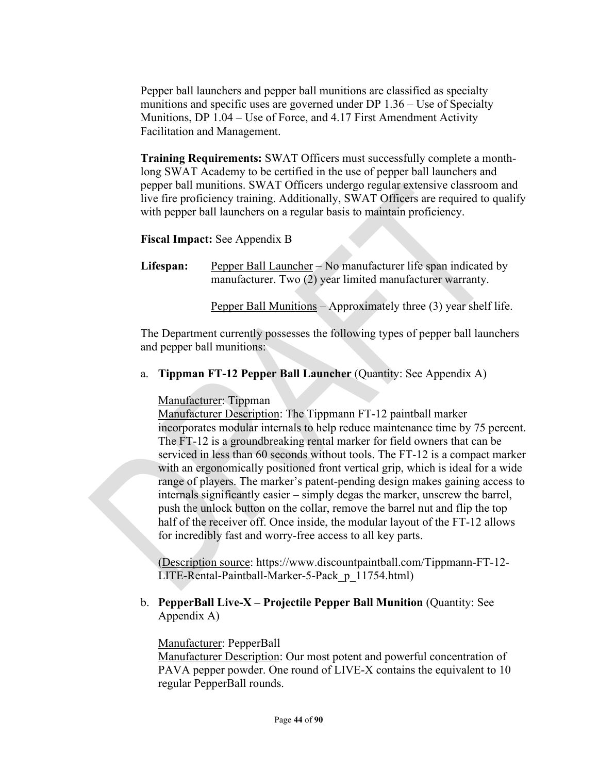Pepper ball launchers and pepper ball munitions are classified as specialty munitions and specific uses are governed under DP 1.36 – Use of Specialty Munitions, DP 1.04 – Use of Force, and 4.17 First Amendment Activity Facilitation and Management.

**Training Requirements:** SWAT Officers must successfully complete a monthlong SWAT Academy to be certified in the use of pepper ball launchers and pepper ball munitions. SWAT Officers undergo regular extensive classroom and live fire proficiency training. Additionally, SWAT Officers are required to qualify with pepper ball launchers on a regular basis to maintain proficiency.

## **Fiscal Impact:** See Appendix B

**Lifespan:** Pepper Ball Launcher – No manufacturer life span indicated by manufacturer. Two (2) year limited manufacturer warranty.

Pepper Ball Munitions – Approximately three (3) year shelf life.

The Department currently possesses the following types of pepper ball launchers and pepper ball munitions:

a. **Tippman FT-12 Pepper Ball Launcher** (Quantity: See Appendix A)

Manufacturer: Tippman

Manufacturer Description: The Tippmann FT-12 paintball marker incorporates modular internals to help reduce maintenance time by 75 percent. The FT-12 is a groundbreaking rental marker for field owners that can be serviced in less than 60 seconds without tools. The FT-12 is a compact marker with an ergonomically positioned front vertical grip, which is ideal for a wide range of players. The marker's patent-pending design makes gaining access to internals significantly easier – simply degas the marker, unscrew the barrel, push the unlock button on the collar, remove the barrel nut and flip the top half of the receiver off. Once inside, the modular layout of the FT-12 allows for incredibly fast and worry-free access to all key parts.

(Description source: https://www.discountpaintball.com/Tippmann-FT-12- LITE-Rental-Paintball-Marker-5-Pack\_p\_11754.html)

### b. **PepperBall Live-X – Projectile Pepper Ball Munition** (Quantity: See Appendix A)

### Manufacturer: PepperBall

Manufacturer Description: Our most potent and powerful concentration of PAVA pepper powder. One round of LIVE-X contains the equivalent to 10 regular PepperBall rounds.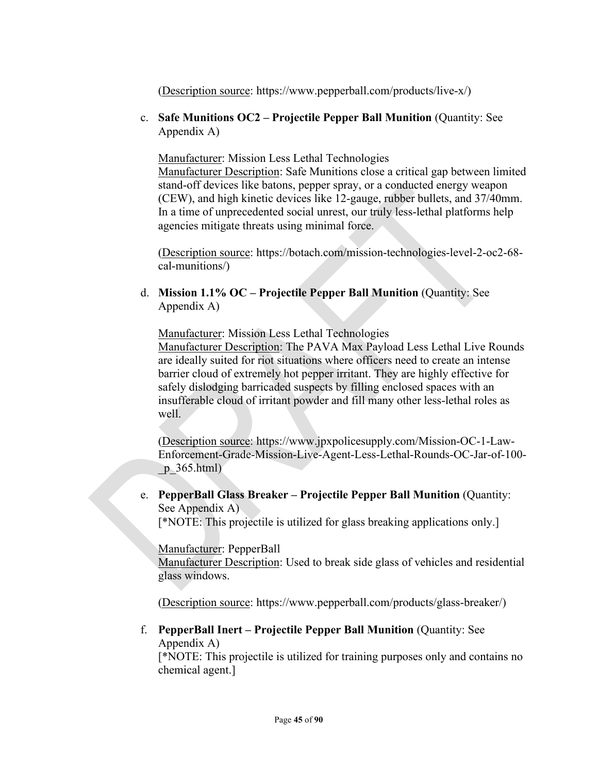(Description source: https://www.pepperball.com/products/live-x/)

c. **Safe Munitions OC2 – Projectile Pepper Ball Munition** (Quantity: See Appendix A)

Manufacturer: Mission Less Lethal Technologies Manufacturer Description: Safe Munitions close a critical gap between limited stand-off devices like batons, pepper spray, or a conducted energy weapon (CEW), and high kinetic devices like 12-gauge, rubber bullets, and 37/40mm. In a time of unprecedented social unrest, our truly less-lethal platforms help agencies mitigate threats using minimal force.

(Description source: https://botach.com/mission-technologies-level-2-oc2-68 cal-munitions/)

d. **Mission 1.1% OC – Projectile Pepper Ball Munition** (Quantity: See Appendix A)

Manufacturer: Mission Less Lethal Technologies

Manufacturer Description: The PAVA Max Payload Less Lethal Live Rounds are ideally suited for riot situations where officers need to create an intense barrier cloud of extremely hot pepper irritant. They are highly effective for safely dislodging barricaded suspects by filling enclosed spaces with an insufferable cloud of irritant powder and fill many other less-lethal roles as well.

(Description source: https://www.jpxpolicesupply.com/Mission-OC-1-Law-Enforcement-Grade-Mission-Live-Agent-Less-Lethal-Rounds-OC-Jar-of-100  $p\,365.html)$ 

e. **PepperBall Glass Breaker – Projectile Pepper Ball Munition** (Quantity: See Appendix A).

[\*NOTE: This projectile is utilized for glass breaking applications only.]

Manufacturer: PepperBall

Manufacturer Description: Used to break side glass of vehicles and residential glass windows.

(Description source: https://www.pepperball.com/products/glass-breaker/)

f. **PepperBall Inert – Projectile Pepper Ball Munition** (Quantity: See Appendix A)

[\*NOTE: This projectile is utilized for training purposes only and contains no chemical agent.]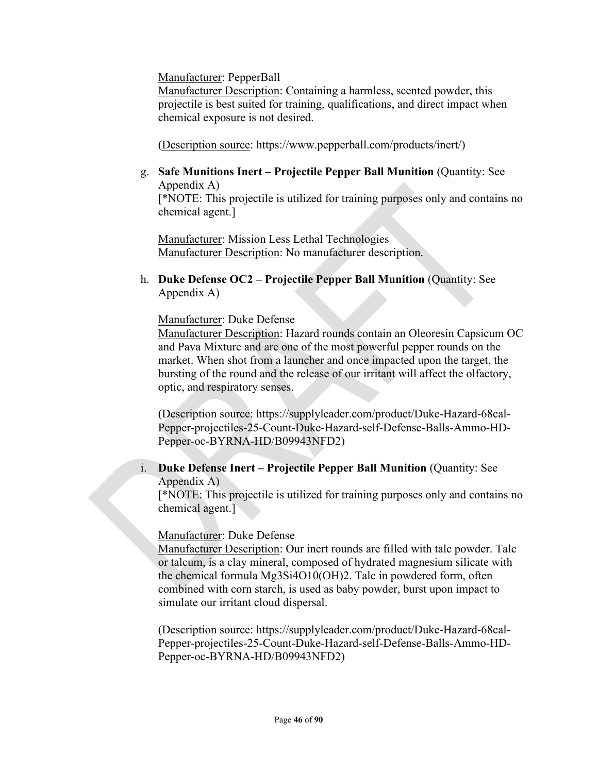Manufacturer: PepperBall

Manufacturer Description: Containing a harmless, scented powder, this projectile is best suited for training, qualifications, and direct impact when chemical exposure is not desired.

(Description source: https://www.pepperball.com/products/inert/)

g. **Safe Munitions Inert – Projectile Pepper Ball Munition** (Quantity: See Appendix A)

[\*NOTE: This projectile is utilized for training purposes only and contains no chemical agent.]

Manufacturer: Mission Less Lethal Technologies Manufacturer Description: No manufacturer description.

h. **Duke Defense OC2 – Projectile Pepper Ball Munition** (Quantity: See Appendix A)

Manufacturer: Duke Defense

Manufacturer Description: Hazard rounds contain an Oleoresin Capsicum OC and Pava Mixture and are one of the most powerful pepper rounds on the market. When shot from a launcher and once impacted upon the target, the bursting of the round and the release of our irritant will affect the olfactory, optic, and respiratory senses.

(Description source: https://supplyleader.com/product/Duke-Hazard-68cal-Pepper-projectiles-25-Count-Duke-Hazard-self-Defense-Balls-Ammo-HD-Pepper-oc-BYRNA-HD/B09943NFD2)

## i. **Duke Defense Inert – Projectile Pepper Ball Munition** (Quantity: See Appendix A)

[\*NOTE: This projectile is utilized for training purposes only and contains no chemical agent.]

Manufacturer: Duke Defense

Manufacturer Description: Our inert rounds are filled with talc powder. Talc or talcum, is a clay mineral, composed of hydrated magnesium silicate with the chemical formula Mg3Si4O10(OH)2. Talc in powdered form, often combined with corn starch, is used as baby powder, burst upon impact to simulate our irritant cloud dispersal.

(Description source: https://supplyleader.com/product/Duke-Hazard-68cal-Pepper-projectiles-25-Count-Duke-Hazard-self-Defense-Balls-Ammo-HD-Pepper-oc-BYRNA-HD/B09943NFD2)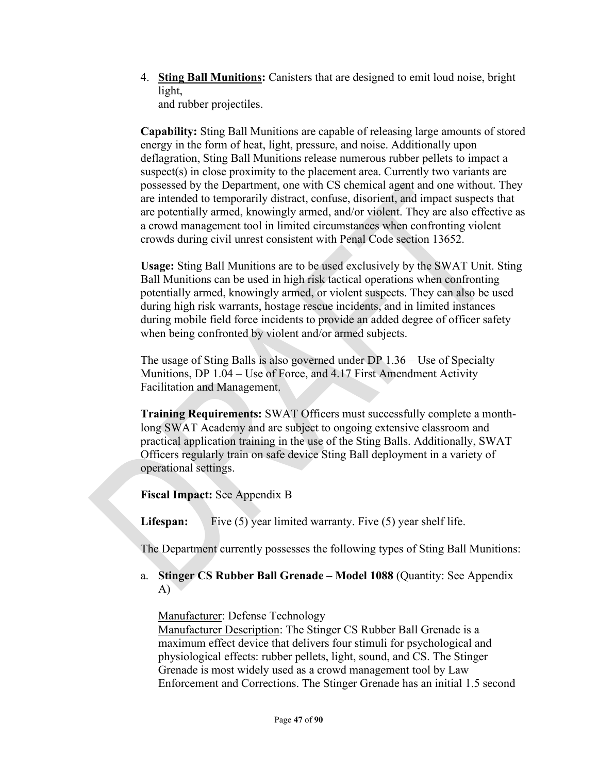4. **Sting Ball Munitions:** Canisters that are designed to emit loud noise, bright light,

and rubber projectiles.

**Capability:** Sting Ball Munitions are capable of releasing large amounts of stored energy in the form of heat, light, pressure, and noise. Additionally upon deflagration, Sting Ball Munitions release numerous rubber pellets to impact a suspect(s) in close proximity to the placement area. Currently two variants are possessed by the Department, one with CS chemical agent and one without. They are intended to temporarily distract, confuse, disorient, and impact suspects that are potentially armed, knowingly armed, and/or violent. They are also effective as a crowd management tool in limited circumstances when confronting violent crowds during civil unrest consistent with Penal Code section 13652.

**Usage:** Sting Ball Munitions are to be used exclusively by the SWAT Unit. Sting Ball Munitions can be used in high risk tactical operations when confronting potentially armed, knowingly armed, or violent suspects. They can also be used during high risk warrants, hostage rescue incidents, and in limited instances during mobile field force incidents to provide an added degree of officer safety when being confronted by violent and/or armed subjects.

The usage of Sting Balls is also governed under DP 1.36 – Use of Specialty Munitions, DP 1.04 – Use of Force, and 4.17 First Amendment Activity Facilitation and Management.

**Training Requirements:** SWAT Officers must successfully complete a monthlong SWAT Academy and are subject to ongoing extensive classroom and practical application training in the use of the Sting Balls. Additionally, SWAT Officers regularly train on safe device Sting Ball deployment in a variety of operational settings.

**Fiscal Impact:** See Appendix B

**Lifespan:** Five (5) year limited warranty. Five (5) year shelf life.

The Department currently possesses the following types of Sting Ball Munitions:

a. **Stinger CS Rubber Ball Grenade – Model 1088** (Quantity: See Appendix A)

Manufacturer: Defense Technology

Manufacturer Description: The Stinger CS Rubber Ball Grenade is a maximum effect device that delivers four stimuli for psychological and physiological effects: rubber pellets, light, sound, and CS. The Stinger Grenade is most widely used as a crowd management tool by Law Enforcement and Corrections. The Stinger Grenade has an initial 1.5 second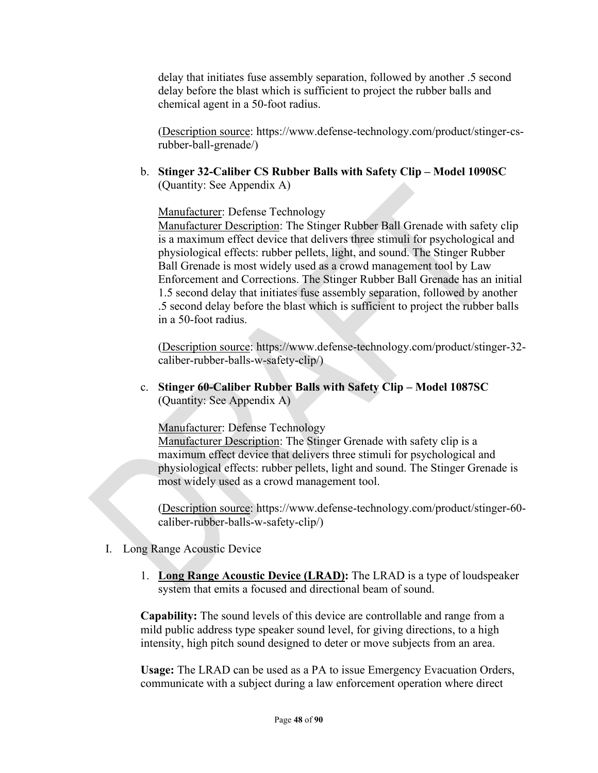delay that initiates fuse assembly separation, followed by another .5 second delay before the blast which is sufficient to project the rubber balls and chemical agent in a 50-foot radius.

(Description source: https://www.defense-technology.com/product/stinger-csrubber-ball-grenade/)

b. **Stinger 32-Caliber CS Rubber Balls with Safety Clip – Model 1090SC** (Quantity: See Appendix A)

Manufacturer: Defense Technology

Manufacturer Description: The Stinger Rubber Ball Grenade with safety clip is a maximum effect device that delivers three stimuli for psychological and physiological effects: rubber pellets, light, and sound. The Stinger Rubber Ball Grenade is most widely used as a crowd management tool by Law Enforcement and Corrections. The Stinger Rubber Ball Grenade has an initial 1.5 second delay that initiates fuse assembly separation, followed by another .5 second delay before the blast which is sufficient to project the rubber balls in a 50-foot radius.

(Description source: https://www.defense-technology.com/product/stinger-32 caliber-rubber-balls-w-safety-clip/)

c. **Stinger 60-Caliber Rubber Balls with Safety Clip – Model 1087SC** (Quantity: See Appendix A)

Manufacturer: Defense Technology

Manufacturer Description: The Stinger Grenade with safety clip is a maximum effect device that delivers three stimuli for psychological and physiological effects: rubber pellets, light and sound. The Stinger Grenade is most widely used as a crowd management tool.

(Description source: https://www.defense-technology.com/product/stinger-60 caliber-rubber-balls-w-safety-clip/)

- I. Long Range Acoustic Device
	- 1. **Long Range Acoustic Device (LRAD):** The LRAD is a type of loudspeaker system that emits a focused and directional beam of sound.

**Capability:** The sound levels of this device are controllable and range from a mild public address type speaker sound level, for giving directions, to a high intensity, high pitch sound designed to deter or move subjects from an area.

**Usage:** The LRAD can be used as a PA to issue Emergency Evacuation Orders, communicate with a subject during a law enforcement operation where direct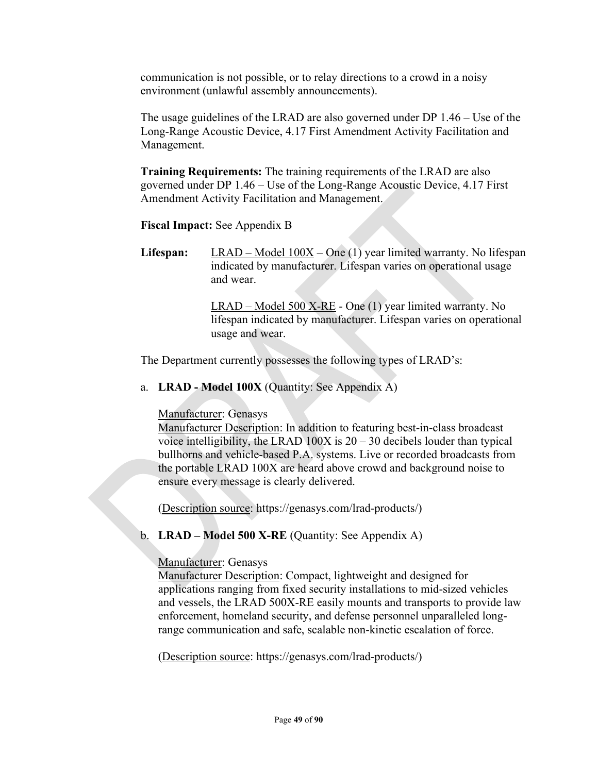communication is not possible, or to relay directions to a crowd in a noisy environment (unlawful assembly announcements).

The usage guidelines of the LRAD are also governed under DP 1.46 – Use of the Long-Range Acoustic Device, 4.17 First Amendment Activity Facilitation and Management.

**Training Requirements:** The training requirements of the LRAD are also governed under DP 1.46 – Use of the Long-Range Acoustic Device, 4.17 First Amendment Activity Facilitation and Management.

**Fiscal Impact:** See Appendix B

Lifespan: LRAD – Model 100X – One (1) year limited warranty. No lifespan indicated by manufacturer. Lifespan varies on operational usage and wear.

> LRAD – Model 500 X-RE - One (1) year limited warranty. No lifespan indicated by manufacturer. Lifespan varies on operational usage and wear.

The Department currently possesses the following types of LRAD's:

a. **LRAD - Model 100X** (Quantity: See Appendix A)

Manufacturer: Genasys

Manufacturer Description: In addition to featuring best-in-class broadcast voice intelligibility, the LRAD  $100X$  is  $20 - 30$  decibels louder than typical bullhorns and vehicle-based P.A. systems. Live or recorded broadcasts from the portable LRAD 100X are heard above crowd and background noise to ensure every message is clearly delivered.

(Description source: https://genasys.com/lrad-products/)

b. **LRAD – Model 500 X-RE** (Quantity: See Appendix A)

Manufacturer: Genasys

Manufacturer Description: Compact, lightweight and designed for applications ranging from fixed security installations to mid-sized vehicles and vessels, the LRAD 500X-RE easily mounts and transports to provide law enforcement, homeland security, and defense personnel unparalleled longrange communication and safe, scalable non-kinetic escalation of force.

(Description source: https://genasys.com/lrad-products/)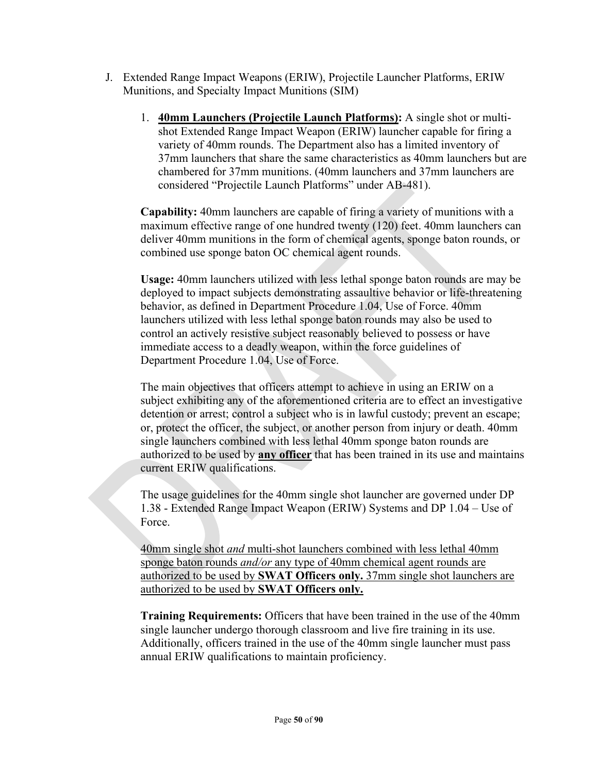- J. Extended Range Impact Weapons (ERIW), Projectile Launcher Platforms, ERIW Munitions, and Specialty Impact Munitions (SIM)
	- 1. **40mm Launchers (Projectile Launch Platforms):** A single shot or multishot Extended Range Impact Weapon (ERIW) launcher capable for firing a variety of 40mm rounds. The Department also has a limited inventory of 37mm launchers that share the same characteristics as 40mm launchers but are chambered for 37mm munitions. (40mm launchers and 37mm launchers are considered "Projectile Launch Platforms" under AB-481).

**Capability:** 40mm launchers are capable of firing a variety of munitions with a maximum effective range of one hundred twenty (120) feet. 40mm launchers can deliver 40mm munitions in the form of chemical agents, sponge baton rounds, or combined use sponge baton OC chemical agent rounds.

**Usage:** 40mm launchers utilized with less lethal sponge baton rounds are may be deployed to impact subjects demonstrating assaultive behavior or life-threatening behavior, as defined in Department Procedure 1.04, Use of Force. 40mm launchers utilized with less lethal sponge baton rounds may also be used to control an actively resistive subject reasonably believed to possess or have immediate access to a deadly weapon, within the force guidelines of Department Procedure 1.04, Use of Force.

The main objectives that officers attempt to achieve in using an ERIW on a subject exhibiting any of the aforementioned criteria are to effect an investigative detention or arrest; control a subject who is in lawful custody; prevent an escape; or, protect the officer, the subject, or another person from injury or death. 40mm single launchers combined with less lethal 40mm sponge baton rounds are authorized to be used by **any officer** that has been trained in its use and maintains current ERIW qualifications.

The usage guidelines for the 40mm single shot launcher are governed under DP 1.38 - Extended Range Impact Weapon (ERIW) Systems and DP 1.04 – Use of Force.

40mm single shot *and* multi-shot launchers combined with less lethal 40mm sponge baton rounds *and/or* any type of 40mm chemical agent rounds are authorized to be used by **SWAT Officers only.** 37mm single shot launchers are authorized to be used by **SWAT Officers only.**

**Training Requirements:** Officers that have been trained in the use of the 40mm single launcher undergo thorough classroom and live fire training in its use. Additionally, officers trained in the use of the 40mm single launcher must pass annual ERIW qualifications to maintain proficiency.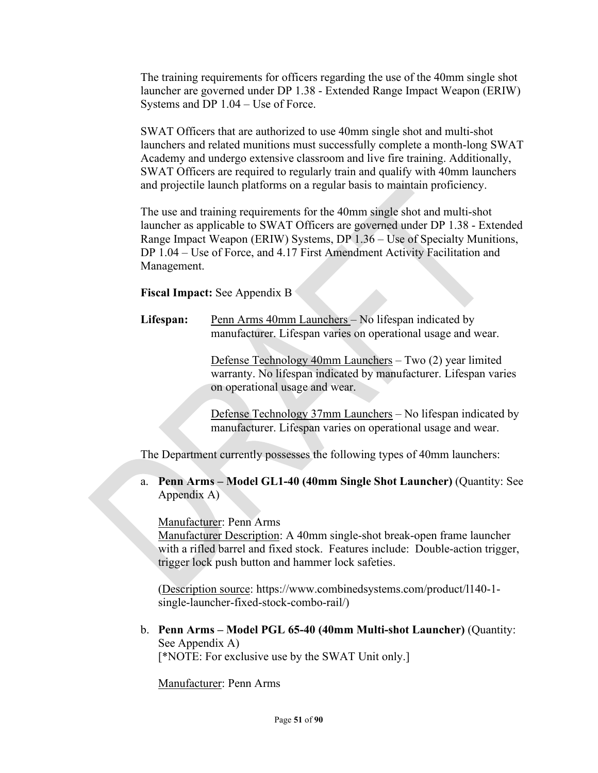The training requirements for officers regarding the use of the 40mm single shot launcher are governed under DP 1.38 - Extended Range Impact Weapon (ERIW) Systems and DP 1.04 – Use of Force.

SWAT Officers that are authorized to use 40mm single shot and multi-shot launchers and related munitions must successfully complete a month-long SWAT Academy and undergo extensive classroom and live fire training. Additionally, SWAT Officers are required to regularly train and qualify with 40mm launchers and projectile launch platforms on a regular basis to maintain proficiency.

The use and training requirements for the 40mm single shot and multi-shot launcher as applicable to SWAT Officers are governed under DP 1.38 - Extended Range Impact Weapon (ERIW) Systems, DP 1.36 – Use of Specialty Munitions, DP 1.04 – Use of Force, and 4.17 First Amendment Activity Facilitation and Management.

### **Fiscal Impact:** See Appendix B

**Lifespan:** Penn Arms 40mm Launchers – No lifespan indicated by manufacturer. Lifespan varies on operational usage and wear.

> Defense Technology 40mm Launchers – Two (2) year limited warranty. No lifespan indicated by manufacturer. Lifespan varies on operational usage and wear.

> Defense Technology 37mm Launchers – No lifespan indicated by manufacturer. Lifespan varies on operational usage and wear.

The Department currently possesses the following types of 40mm launchers:

a. **Penn Arms – Model GL1-40 (40mm Single Shot Launcher)** (Quantity: See Appendix A)

Manufacturer: Penn Arms

Manufacturer Description: A 40mm single-shot break-open frame launcher with a rifled barrel and fixed stock. Features include: Double-action trigger, trigger lock push button and hammer lock safeties.

(Description source: https://www.combinedsystems.com/product/l140-1 single-launcher-fixed-stock-combo-rail/)

b. **Penn Arms – Model PGL 65-40 (40mm Multi-shot Launcher)** (Quantity: See Appendix A) [\*NOTE: For exclusive use by the SWAT Unit only.]

Manufacturer: Penn Arms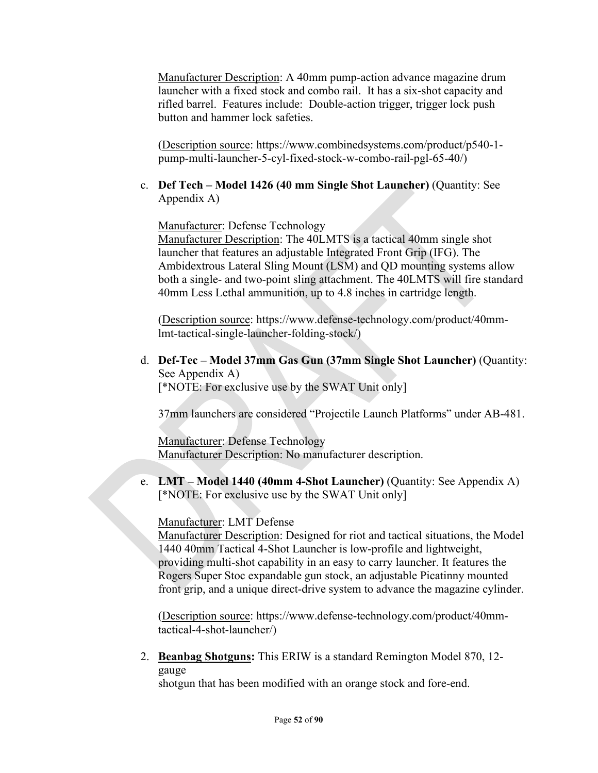Manufacturer Description: A 40mm pump-action advance magazine drum launcher with a fixed stock and combo rail. It has a six-shot capacity and rifled barrel. Features include: Double-action trigger, trigger lock push button and hammer lock safeties.

(Description source: https://www.combinedsystems.com/product/p540-1 pump-multi-launcher-5-cyl-fixed-stock-w-combo-rail-pgl-65-40/)

c. **Def Tech – Model 1426 (40 mm Single Shot Launcher)** (Quantity: See Appendix A)

Manufacturer: Defense Technology

Manufacturer Description: The 40LMTS is a tactical 40mm single shot launcher that features an adjustable Integrated Front Grip (IFG). The Ambidextrous Lateral Sling Mount (LSM) and QD mounting systems allow both a single- and two-point sling attachment. The 40LMTS will fire standard 40mm Less Lethal ammunition, up to 4.8 inches in cartridge length.

(Description source: https://www.defense-technology.com/product/40mmlmt-tactical-single-launcher-folding-stock/)

d. **Def-Tec – Model 37mm Gas Gun (37mm Single Shot Launcher)** (Quantity: See Appendix A) [\*NOTE: For exclusive use by the SWAT Unit only]

37mm launchers are considered "Projectile Launch Platforms" under AB-481.

Manufacturer: Defense Technology Manufacturer Description: No manufacturer description.

e. **LMT – Model 1440 (40mm 4-Shot Launcher)** (Quantity: See Appendix A) [\*NOTE: For exclusive use by the SWAT Unit only]

Manufacturer: LMT Defense

Manufacturer Description: Designed for riot and tactical situations, the Model 1440 40mm Tactical 4-Shot Launcher is low-profile and lightweight, providing multi-shot capability in an easy to carry launcher. It features the Rogers Super Stoc expandable gun stock, an adjustable Picatinny mounted front grip, and a unique direct-drive system to advance the magazine cylinder.

(Description source: https://www.defense-technology.com/product/40mmtactical-4-shot-launcher/)

2. **Beanbag Shotguns:** This ERIW is a standard Remington Model 870, 12 gauge

shotgun that has been modified with an orange stock and fore-end.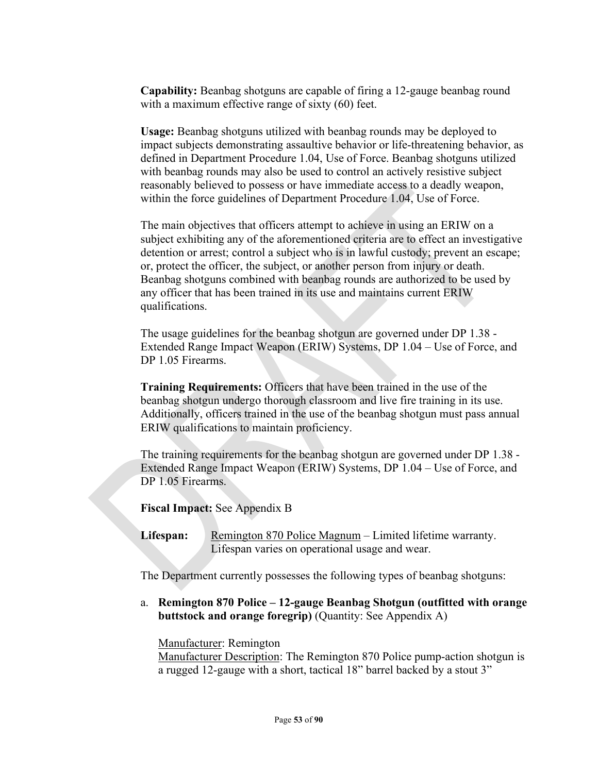**Capability:** Beanbag shotguns are capable of firing a 12-gauge beanbag round with a maximum effective range of sixty (60) feet.

**Usage:** Beanbag shotguns utilized with beanbag rounds may be deployed to impact subjects demonstrating assaultive behavior or life-threatening behavior, as defined in Department Procedure 1.04, Use of Force. Beanbag shotguns utilized with beanbag rounds may also be used to control an actively resistive subject reasonably believed to possess or have immediate access to a deadly weapon, within the force guidelines of Department Procedure 1.04, Use of Force.

The main objectives that officers attempt to achieve in using an ERIW on a subject exhibiting any of the aforementioned criteria are to effect an investigative detention or arrest; control a subject who is in lawful custody; prevent an escape; or, protect the officer, the subject, or another person from injury or death. Beanbag shotguns combined with beanbag rounds are authorized to be used by any officer that has been trained in its use and maintains current ERIW qualifications.

The usage guidelines for the beanbag shotgun are governed under DP 1.38 - Extended Range Impact Weapon (ERIW) Systems, DP 1.04 – Use of Force, and DP 1.05 Firearms.

**Training Requirements:** Officers that have been trained in the use of the beanbag shotgun undergo thorough classroom and live fire training in its use. Additionally, officers trained in the use of the beanbag shotgun must pass annual ERIW qualifications to maintain proficiency.

The training requirements for the beanbag shotgun are governed under DP 1.38 - Extended Range Impact Weapon (ERIW) Systems, DP 1.04 – Use of Force, and DP 1.05 Firearms.

**Fiscal Impact:** See Appendix B

Lifespan: Remington 870 Police Magnum – Limited lifetime warranty. Lifespan varies on operational usage and wear.

The Department currently possesses the following types of beanbag shotguns:

a. **Remington 870 Police – 12-gauge Beanbag Shotgun (outfitted with orange buttstock and orange foregrip)** (Quantity: See Appendix A)

Manufacturer: Remington

Manufacturer Description: The Remington 870 Police pump-action shotgun is a rugged 12-gauge with a short, tactical 18" barrel backed by a stout 3"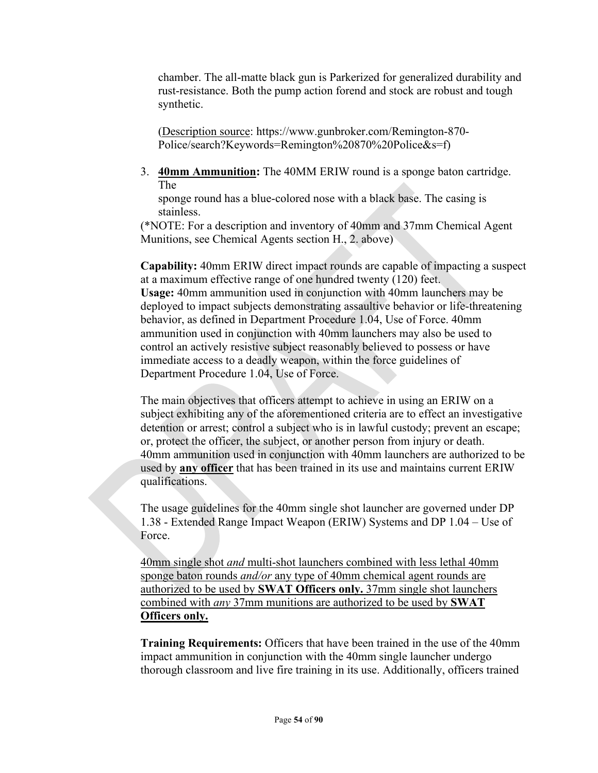chamber. The all-matte black gun is Parkerized for generalized durability and rust-resistance. Both the pump action forend and stock are robust and tough synthetic.

(Description source: https://www.gunbroker.com/Remington-870- Police/search?Keywords=Remington%20870%20Police&s=f)

3. **40mm Ammunition:** The 40MM ERIW round is a sponge baton cartridge. The

sponge round has a blue-colored nose with a black base. The casing is stainless.

(\*NOTE: For a description and inventory of 40mm and 37mm Chemical Agent Munitions, see Chemical Agents section H., 2. above)

**Capability:** 40mm ERIW direct impact rounds are capable of impacting a suspect at a maximum effective range of one hundred twenty (120) feet. **Usage:** 40mm ammunition used in conjunction with 40mm launchers may be deployed to impact subjects demonstrating assaultive behavior or life-threatening behavior, as defined in Department Procedure 1.04, Use of Force. 40mm ammunition used in conjunction with 40mm launchers may also be used to control an actively resistive subject reasonably believed to possess or have immediate access to a deadly weapon, within the force guidelines of Department Procedure 1.04, Use of Force.

The main objectives that officers attempt to achieve in using an ERIW on a subject exhibiting any of the aforementioned criteria are to effect an investigative detention or arrest; control a subject who is in lawful custody; prevent an escape; or, protect the officer, the subject, or another person from injury or death. 40mm ammunition used in conjunction with 40mm launchers are authorized to be used by **any officer** that has been trained in its use and maintains current ERIW qualifications.

The usage guidelines for the 40mm single shot launcher are governed under DP 1.38 - Extended Range Impact Weapon (ERIW) Systems and DP 1.04 – Use of Force.

40mm single shot *and* multi-shot launchers combined with less lethal 40mm sponge baton rounds *and/or* any type of 40mm chemical agent rounds are authorized to be used by **SWAT Officers only.** 37mm single shot launchers combined with *any* 37mm munitions are authorized to be used by **SWAT Officers only.**

**Training Requirements:** Officers that have been trained in the use of the 40mm impact ammunition in conjunction with the 40mm single launcher undergo thorough classroom and live fire training in its use. Additionally, officers trained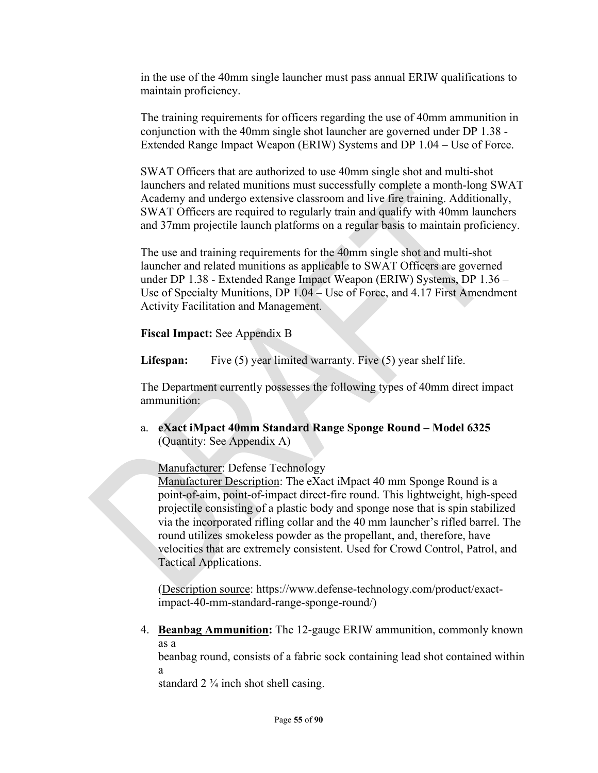in the use of the 40mm single launcher must pass annual ERIW qualifications to maintain proficiency.

The training requirements for officers regarding the use of 40mm ammunition in conjunction with the 40mm single shot launcher are governed under DP 1.38 - Extended Range Impact Weapon (ERIW) Systems and DP 1.04 – Use of Force.

SWAT Officers that are authorized to use 40mm single shot and multi-shot launchers and related munitions must successfully complete a month-long SWAT Academy and undergo extensive classroom and live fire training. Additionally, SWAT Officers are required to regularly train and qualify with 40mm launchers and 37mm projectile launch platforms on a regular basis to maintain proficiency.

The use and training requirements for the 40mm single shot and multi-shot launcher and related munitions as applicable to SWAT Officers are governed under DP 1.38 - Extended Range Impact Weapon (ERIW) Systems, DP 1.36 – Use of Specialty Munitions, DP 1.04 – Use of Force, and 4.17 First Amendment Activity Facilitation and Management.

**Fiscal Impact:** See Appendix B

Lifespan: Five (5) year limited warranty. Five (5) year shelf life.

The Department currently possesses the following types of 40mm direct impact ammunition:

a. **eXact iMpact 40mm Standard Range Sponge Round – Model 6325** (Quantity: See Appendix A)

Manufacturer: Defense Technology

Manufacturer Description: The eXact iMpact 40 mm Sponge Round is a point-of-aim, point-of-impact direct-fire round. This lightweight, high-speed projectile consisting of a plastic body and sponge nose that is spin stabilized via the incorporated rifling collar and the 40 mm launcher's rifled barrel. The round utilizes smokeless powder as the propellant, and, therefore, have velocities that are extremely consistent. Used for Crowd Control, Patrol, and Tactical Applications.

(Description source: https://www.defense-technology.com/product/exactimpact-40-mm-standard-range-sponge-round/)

4. **Beanbag Ammunition:** The 12-gauge ERIW ammunition, commonly known as a

beanbag round, consists of a fabric sock containing lead shot contained within a

standard  $2\frac{3}{4}$  inch shot shell casing.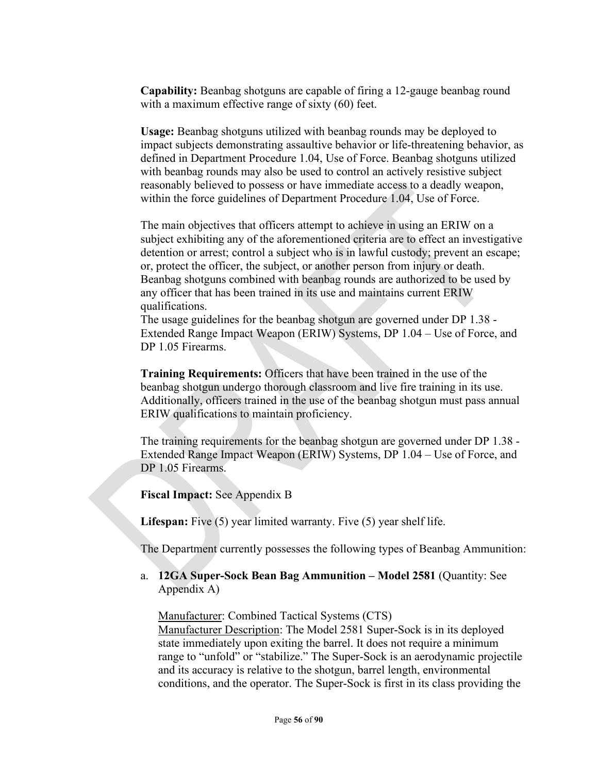**Capability:** Beanbag shotguns are capable of firing a 12-gauge beanbag round with a maximum effective range of sixty (60) feet.

**Usage:** Beanbag shotguns utilized with beanbag rounds may be deployed to impact subjects demonstrating assaultive behavior or life-threatening behavior, as defined in Department Procedure 1.04, Use of Force. Beanbag shotguns utilized with beanbag rounds may also be used to control an actively resistive subject reasonably believed to possess or have immediate access to a deadly weapon, within the force guidelines of Department Procedure 1.04, Use of Force.

The main objectives that officers attempt to achieve in using an ERIW on a subject exhibiting any of the aforementioned criteria are to effect an investigative detention or arrest; control a subject who is in lawful custody; prevent an escape; or, protect the officer, the subject, or another person from injury or death. Beanbag shotguns combined with beanbag rounds are authorized to be used by any officer that has been trained in its use and maintains current ERIW qualifications.

The usage guidelines for the beanbag shotgun are governed under DP 1.38 - Extended Range Impact Weapon (ERIW) Systems, DP 1.04 – Use of Force, and DP 1.05 Firearms.

**Training Requirements:** Officers that have been trained in the use of the beanbag shotgun undergo thorough classroom and live fire training in its use. Additionally, officers trained in the use of the beanbag shotgun must pass annual ERIW qualifications to maintain proficiency.

The training requirements for the beanbag shotgun are governed under DP 1.38 - Extended Range Impact Weapon (ERIW) Systems, DP 1.04 – Use of Force, and DP 1.05 Firearms.

**Fiscal Impact:** See Appendix B

**Lifespan:** Five (5) year limited warranty. Five (5) year shelf life.

The Department currently possesses the following types of Beanbag Ammunition:

a. **12GA Super-Sock Bean Bag Ammunition – Model 2581** (Quantity: See Appendix A)

Manufacturer: Combined Tactical Systems (CTS)

Manufacturer Description: The Model 2581 Super-Sock is in its deployed state immediately upon exiting the barrel. It does not require a minimum range to "unfold" or "stabilize." The Super-Sock is an aerodynamic projectile and its accuracy is relative to the shotgun, barrel length, environmental conditions, and the operator. The Super-Sock is first in its class providing the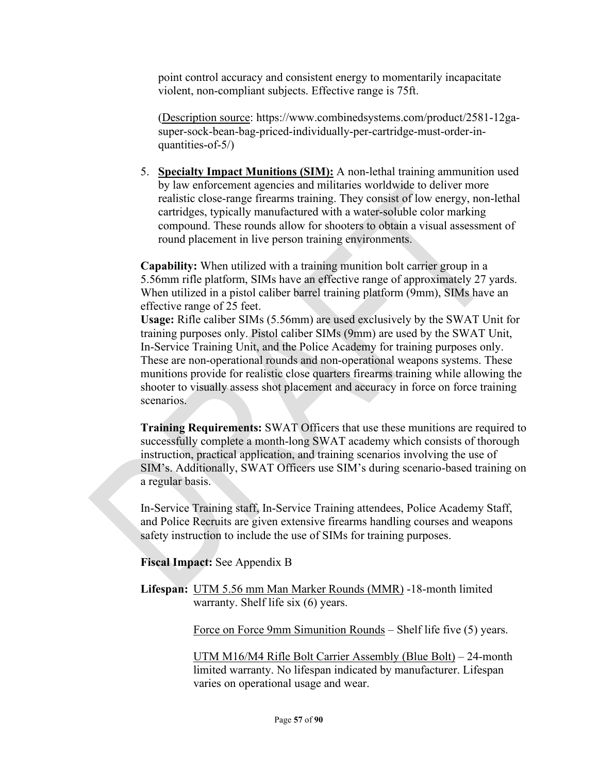point control accuracy and consistent energy to momentarily incapacitate violent, non-compliant subjects. Effective range is 75ft.

(Description source: https://www.combinedsystems.com/product/2581-12gasuper-sock-bean-bag-priced-individually-per-cartridge-must-order-inquantities-of-5/)

5. **Specialty Impact Munitions (SIM):** A non-lethal training ammunition used by law enforcement agencies and militaries worldwide to deliver more realistic close-range firearms training. They consist of low energy, non-lethal cartridges, typically manufactured with a water-soluble color marking compound. These rounds allow for shooters to obtain a visual assessment of round placement in live person training environments.

**Capability:** When utilized with a training munition bolt carrier group in a 5.56mm rifle platform, SIMs have an effective range of approximately 27 yards. When utilized in a pistol caliber barrel training platform (9mm), SIMs have an effective range of 25 feet.

**Usage:** Rifle caliber SIMs (5.56mm) are used exclusively by the SWAT Unit for training purposes only. Pistol caliber SIMs (9mm) are used by the SWAT Unit, In-Service Training Unit, and the Police Academy for training purposes only. These are non-operational rounds and non-operational weapons systems. These munitions provide for realistic close quarters firearms training while allowing the shooter to visually assess shot placement and accuracy in force on force training scenarios.

**Training Requirements:** SWAT Officers that use these munitions are required to successfully complete a month-long SWAT academy which consists of thorough instruction, practical application, and training scenarios involving the use of SIM's. Additionally, SWAT Officers use SIM's during scenario-based training on a regular basis.

In-Service Training staff, In-Service Training attendees, Police Academy Staff, and Police Recruits are given extensive firearms handling courses and weapons safety instruction to include the use of SIMs for training purposes.

**Fiscal Impact:** See Appendix B

**Lifespan:** UTM 5.56 mm Man Marker Rounds (MMR) -18-month limited warranty. Shelf life six (6) years.

Force on Force 9mm Simunition Rounds – Shelf life five (5) years.

UTM M16/M4 Rifle Bolt Carrier Assembly (Blue Bolt) – 24-month limited warranty. No lifespan indicated by manufacturer. Lifespan varies on operational usage and wear.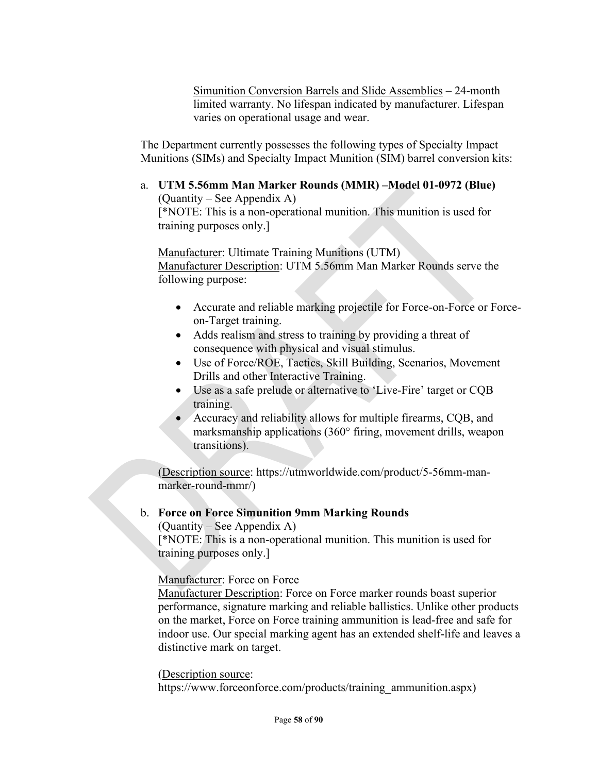Simunition Conversion Barrels and Slide Assemblies – 24-month limited warranty. No lifespan indicated by manufacturer. Lifespan varies on operational usage and wear.

The Department currently possesses the following types of Specialty Impact Munitions (SIMs) and Specialty Impact Munition (SIM) barrel conversion kits:

#### a. **UTM 5.56mm Man Marker Rounds (MMR) –Model 01-0972 (Blue)**  (Quantity – See Appendix A)

[\*NOTE: This is a non-operational munition. This munition is used for training purposes only.]

Manufacturer: Ultimate Training Munitions (UTM) Manufacturer Description: UTM 5.56mm Man Marker Rounds serve the following purpose:

- Accurate and reliable marking projectile for Force-on-Force or Forceon-Target training.
- Adds realism and stress to training by providing a threat of consequence with physical and visual stimulus.
- Use of Force/ROE, Tactics, Skill Building, Scenarios, Movement Drills and other Interactive Training.
- Use as a safe prelude or alternative to 'Live-Fire' target or CQB training.
- Accuracy and reliability allows for multiple firearms, CQB, and marksmanship applications (360° firing, movement drills, weapon transitions).

(Description source: https://utmworldwide.com/product/5-56mm-manmarker-round-mmr/)

## b. **Force on Force Simunition 9mm Marking Rounds**

(Quantity – See Appendix A) [\*NOTE: This is a non-operational munition. This munition is used for training purposes only.]

Manufacturer: Force on Force

Manufacturer Description: Force on Force marker rounds boast superior performance, signature marking and reliable ballistics. Unlike other products on the market, Force on Force training ammunition is lead-free and safe for indoor use. Our special marking agent has an extended shelf-life and leaves a distinctive mark on target.

(Description source:

https://www.forceonforce.com/products/training\_ammunition.aspx)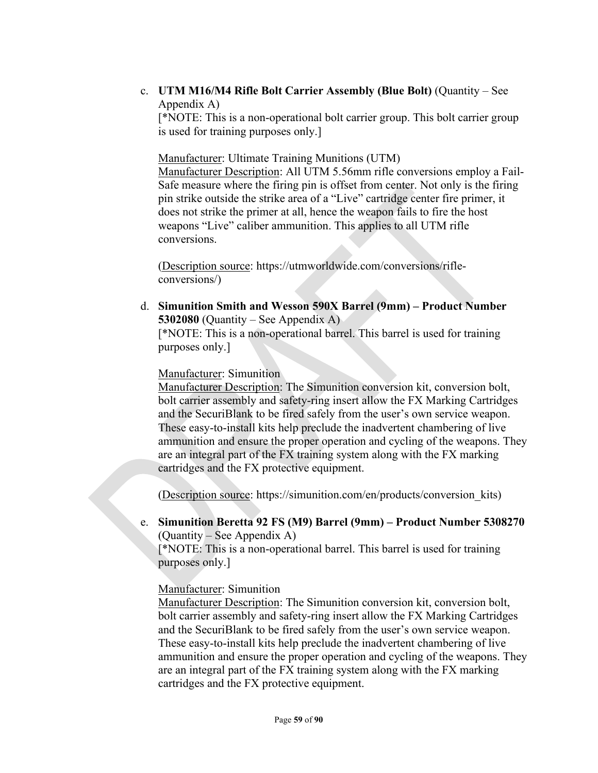c. **UTM M16/M4 Rifle Bolt Carrier Assembly (Blue Bolt)** (Quantity – See Appendix A)

[\*NOTE: This is a non-operational bolt carrier group. This bolt carrier group is used for training purposes only.]

Manufacturer: Ultimate Training Munitions (UTM)

Manufacturer Description: All UTM 5.56mm rifle conversions employ a Fail-Safe measure where the firing pin is offset from center. Not only is the firing pin strike outside the strike area of a "Live" cartridge center fire primer, it does not strike the primer at all, hence the weapon fails to fire the host weapons "Live" caliber ammunition. This applies to all UTM rifle conversions.

(Description source: https://utmworldwide.com/conversions/rifleconversions/)

d. **Simunition Smith and Wesson 590X Barrel (9mm) – Product Number 5302080** (Quantity – See Appendix A)

[\*NOTE: This is a non-operational barrel. This barrel is used for training purposes only.]

#### Manufacturer: Simunition

Manufacturer Description: The Simunition conversion kit, conversion bolt, bolt carrier assembly and safety-ring insert allow the FX Marking Cartridges and the SecuriBlank to be fired safely from the user's own service weapon. These easy-to-install kits help preclude the inadvertent chambering of live ammunition and ensure the proper operation and cycling of the weapons. They are an integral part of the FX training system along with the FX marking cartridges and the FX protective equipment.

(Description source: https://simunition.com/en/products/conversion\_kits)

## e. **Simunition Beretta 92 FS (M9) Barrel (9mm) – Product Number 5308270** (Quantity – See Appendix A)

[\*NOTE: This is a non-operational barrel. This barrel is used for training purposes only.]

### Manufacturer: Simunition

Manufacturer Description: The Simunition conversion kit, conversion bolt, bolt carrier assembly and safety-ring insert allow the FX Marking Cartridges and the SecuriBlank to be fired safely from the user's own service weapon. These easy-to-install kits help preclude the inadvertent chambering of live ammunition and ensure the proper operation and cycling of the weapons. They are an integral part of the FX training system along with the FX marking cartridges and the FX protective equipment.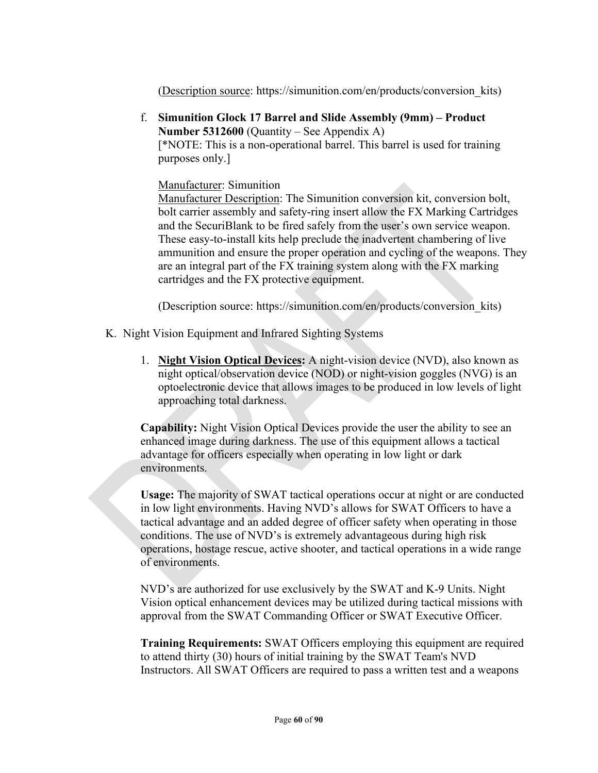(Description source: https://simunition.com/en/products/conversion\_kits)

f. **Simunition Glock 17 Barrel and Slide Assembly (9mm) – Product Number 5312600** (Quantity – See Appendix A) [\*NOTE: This is a non-operational barrel. This barrel is used for training purposes only.]

Manufacturer: Simunition

Manufacturer Description: The Simunition conversion kit, conversion bolt, bolt carrier assembly and safety-ring insert allow the FX Marking Cartridges and the SecuriBlank to be fired safely from the user's own service weapon. These easy-to-install kits help preclude the inadvertent chambering of live ammunition and ensure the proper operation and cycling of the weapons. They are an integral part of the FX training system along with the FX marking cartridges and the FX protective equipment.

(Description source: https://simunition.com/en/products/conversion\_kits)

- K. Night Vision Equipment and Infrared Sighting Systems
	- 1. **Night Vision Optical Devices:** A night-vision device (NVD), also known as night optical/observation device (NOD) or night-vision goggles (NVG) is an optoelectronic device that allows images to be produced in low levels of light approaching total darkness.

**Capability:** Night Vision Optical Devices provide the user the ability to see an enhanced image during darkness. The use of this equipment allows a tactical advantage for officers especially when operating in low light or dark environments.

**Usage:** The majority of SWAT tactical operations occur at night or are conducted in low light environments. Having NVD's allows for SWAT Officers to have a tactical advantage and an added degree of officer safety when operating in those conditions. The use of NVD's is extremely advantageous during high risk operations, hostage rescue, active shooter, and tactical operations in a wide range of environments.

NVD's are authorized for use exclusively by the SWAT and K-9 Units. Night Vision optical enhancement devices may be utilized during tactical missions with approval from the SWAT Commanding Officer or SWAT Executive Officer.

**Training Requirements:** SWAT Officers employing this equipment are required to attend thirty (30) hours of initial training by the SWAT Team's NVD Instructors. All SWAT Officers are required to pass a written test and a weapons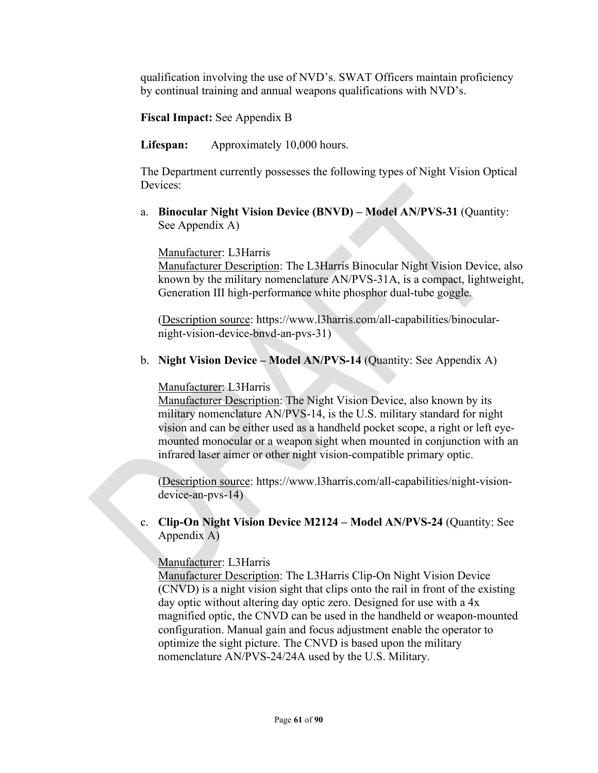qualification involving the use of NVD's. SWAT Officers maintain proficiency by continual training and annual weapons qualifications with NVD's.

**Fiscal Impact:** See Appendix B

**Lifespan:** Approximately 10,000 hours.

The Department currently possesses the following types of Night Vision Optical Devices:

a. **Binocular Night Vision Device (BNVD) – Model AN/PVS-31** (Quantity: See Appendix A)

Manufacturer: L3Harris

Manufacturer Description: The L3Harris Binocular Night Vision Device, also known by the military nomenclature AN/PVS-31A, is a compact, lightweight, Generation III high-performance white phosphor dual-tube goggle.

(Description source: https://www.l3harris.com/all-capabilities/binocularnight-vision-device-bnvd-an-pvs-31)

b. **Night Vision Device – Model AN/PVS-14** (Quantity: See Appendix A)

Manufacturer: L3Harris

Manufacturer Description: The Night Vision Device, also known by its military nomenclature AN/PVS-14, is the U.S. military standard for night vision and can be either used as a handheld pocket scope, a right or left eyemounted monocular or a weapon sight when mounted in conjunction with an infrared laser aimer or other night vision-compatible primary optic.

(Description source: https://www.l3harris.com/all-capabilities/night-visiondevice-an-pvs-14)

c. **Clip-On Night Vision Device M2124 – Model AN/PVS-24** (Quantity: See Appendix A)

Manufacturer: L3Harris

Manufacturer Description: The L3Harris Clip-On Night Vision Device (CNVD) is a night vision sight that clips onto the rail in front of the existing day optic without altering day optic zero. Designed for use with a 4x magnified optic, the CNVD can be used in the handheld or weapon-mounted configuration. Manual gain and focus adjustment enable the operator to optimize the sight picture. The CNVD is based upon the military nomenclature AN/PVS-24/24A used by the U.S. Military.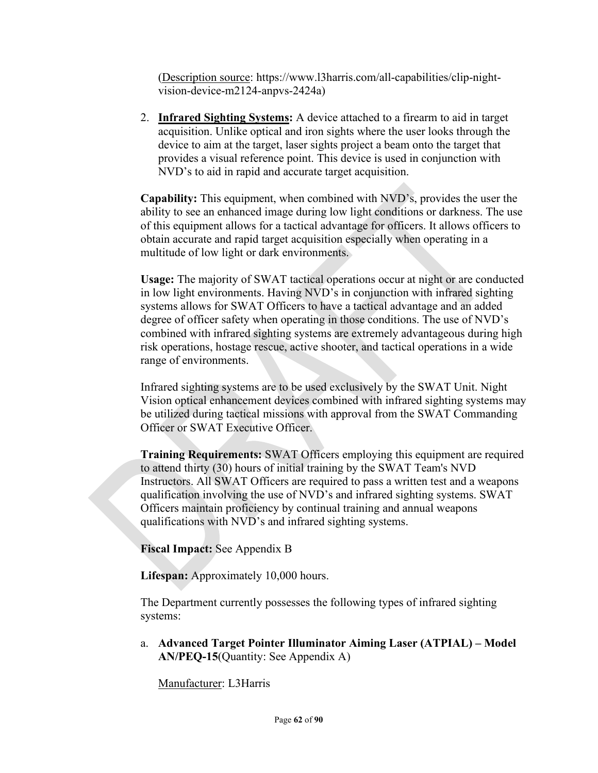(Description source: https://www.l3harris.com/all-capabilities/clip-nightvision-device-m2124-anpvs-2424a)

2. **Infrared Sighting Systems:** A device attached to a firearm to aid in target acquisition. Unlike [optical](https://en.wikipedia.org/wiki/Telescopic_sight) and [iron](https://en.wikipedia.org/wiki/Iron_sights) [sights](https://en.wikipedia.org/wiki/Sight_(device)) where the user looks through the device to aim at the target, laser sights project a beam onto the target that provides a visual reference point. This device is used in conjunction with NVD's to aid in rapid and accurate target acquisition.

**Capability:** This equipment, when combined with NVD's, provides the user the ability to see an enhanced image during low light conditions or darkness. The use of this equipment allows for a tactical advantage for officers. It allows officers to obtain accurate and rapid target acquisition especially when operating in a multitude of low light or dark environments.

**Usage:** The majority of SWAT tactical operations occur at night or are conducted in low light environments. Having NVD's in conjunction with infrared sighting systems allows for SWAT Officers to have a tactical advantage and an added degree of officer safety when operating in those conditions. The use of NVD's combined with infrared sighting systems are extremely advantageous during high risk operations, hostage rescue, active shooter, and tactical operations in a wide range of environments.

Infrared sighting systems are to be used exclusively by the SWAT Unit. Night Vision optical enhancement devices combined with infrared sighting systems may be utilized during tactical missions with approval from the SWAT Commanding Officer or SWAT Executive Officer.

**Training Requirements:** SWAT Officers employing this equipment are required to attend thirty (30) hours of initial training by the SWAT Team's NVD Instructors. All SWAT Officers are required to pass a written test and a weapons qualification involving the use of NVD's and infrared sighting systems. SWAT Officers maintain proficiency by continual training and annual weapons qualifications with NVD's and infrared sighting systems.

**Fiscal Impact:** See Appendix B

**Lifespan:** Approximately 10,000 hours.

The Department currently possesses the following types of infrared sighting systems:

a. **Advanced Target Pointer Illuminator Aiming Laser (ATPIAL) – Model AN/PEQ-15**(Quantity: See Appendix A)

Manufacturer: L3Harris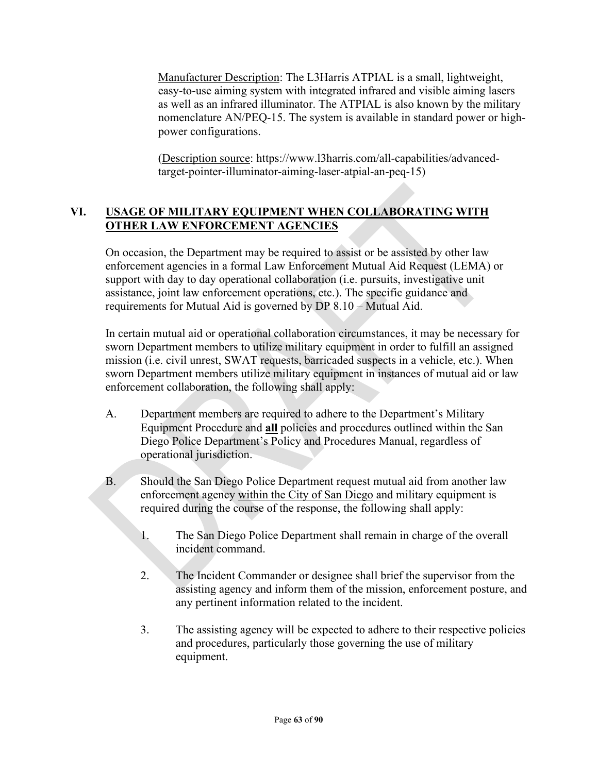Manufacturer Description: The L3Harris ATPIAL is a small, lightweight, easy-to-use aiming system with integrated infrared and visible aiming lasers as well as an infrared illuminator. The ATPIAL is also known by the military nomenclature AN/PEQ-15. The system is available in standard power or highpower configurations.

(Description source: https://www.l3harris.com/all-capabilities/advancedtarget-pointer-illuminator-aiming-laser-atpial-an-peq-15)

## **VI. USAGE OF MILITARY EQUIPMENT WHEN COLLABORATING WITH OTHER LAW ENFORCEMENT AGENCIES**

On occasion, the Department may be required to assist or be assisted by other law enforcement agencies in a formal Law Enforcement Mutual Aid Request (LEMA) or support with day to day operational collaboration (i.e. pursuits, investigative unit assistance, joint law enforcement operations, etc.). The specific guidance and requirements for Mutual Aid is governed by DP 8.10 – Mutual Aid.

In certain mutual aid or operational collaboration circumstances, it may be necessary for sworn Department members to utilize military equipment in order to fulfill an assigned mission (i.e. civil unrest, SWAT requests, barricaded suspects in a vehicle, etc.). When sworn Department members utilize military equipment in instances of mutual aid or law enforcement collaboration, the following shall apply:

- A. Department members are required to adhere to the Department's Military Equipment Procedure and **all** policies and procedures outlined within the San Diego Police Department's Policy and Procedures Manual, regardless of operational jurisdiction.
- B. Should the San Diego Police Department request mutual aid from another law enforcement agency within the City of San Diego and military equipment is required during the course of the response, the following shall apply:
	- 1. The San Diego Police Department shall remain in charge of the overall incident command.
	- 2. The Incident Commander or designee shall brief the supervisor from the assisting agency and inform them of the mission, enforcement posture, and any pertinent information related to the incident.
	- 3. The assisting agency will be expected to adhere to their respective policies and procedures, particularly those governing the use of military equipment.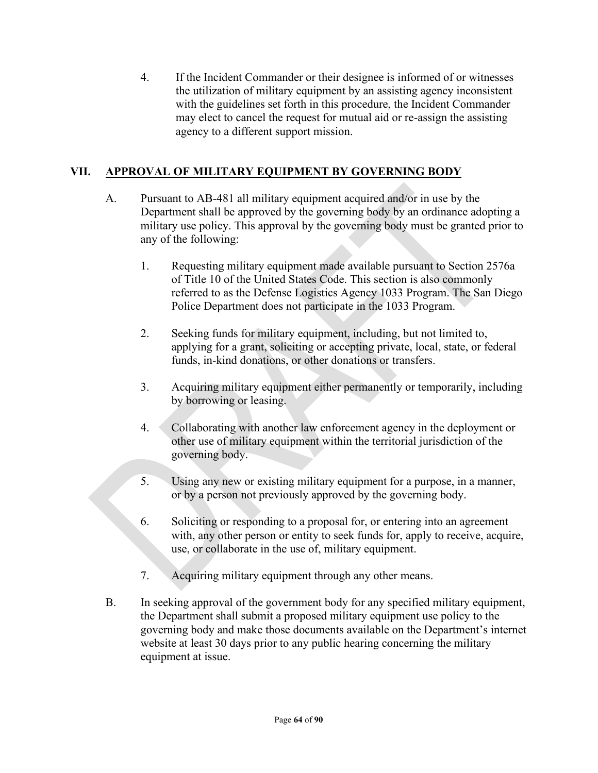4. If the Incident Commander or their designee is informed of or witnesses the utilization of military equipment by an assisting agency inconsistent with the guidelines set forth in this procedure, the Incident Commander may elect to cancel the request for mutual aid or re-assign the assisting agency to a different support mission.

## **VII. APPROVAL OF MILITARY EQUIPMENT BY GOVERNING BODY**

- A. Pursuant to AB-481 all military equipment acquired and/or in use by the Department shall be approved by the governing body by an ordinance adopting a military use policy. This approval by the governing body must be granted prior to any of the following:
	- 1. Requesting military equipment made available pursuant to Section 2576a of Title 10 of the United States Code. This section is also commonly referred to as the Defense Logistics Agency 1033 Program. The San Diego Police Department does not participate in the 1033 Program.
	- 2. Seeking funds for military equipment, including, but not limited to, applying for a grant, soliciting or accepting private, local, state, or federal funds, in-kind donations, or other donations or transfers.
	- 3. Acquiring military equipment either permanently or temporarily, including by borrowing or leasing.
	- 4. Collaborating with another law enforcement agency in the deployment or other use of military equipment within the territorial jurisdiction of the governing body.
	- 5. Using any new or existing military equipment for a purpose, in a manner, or by a person not previously approved by the governing body.
	- 6. Soliciting or responding to a proposal for, or entering into an agreement with, any other person or entity to seek funds for, apply to receive, acquire, use, or collaborate in the use of, military equipment.
	- 7. Acquiring military equipment through any other means.
- B. In seeking approval of the government body for any specified military equipment, the Department shall submit a proposed military equipment use policy to the governing body and make those documents available on the Department's internet website at least 30 days prior to any public hearing concerning the military equipment at issue.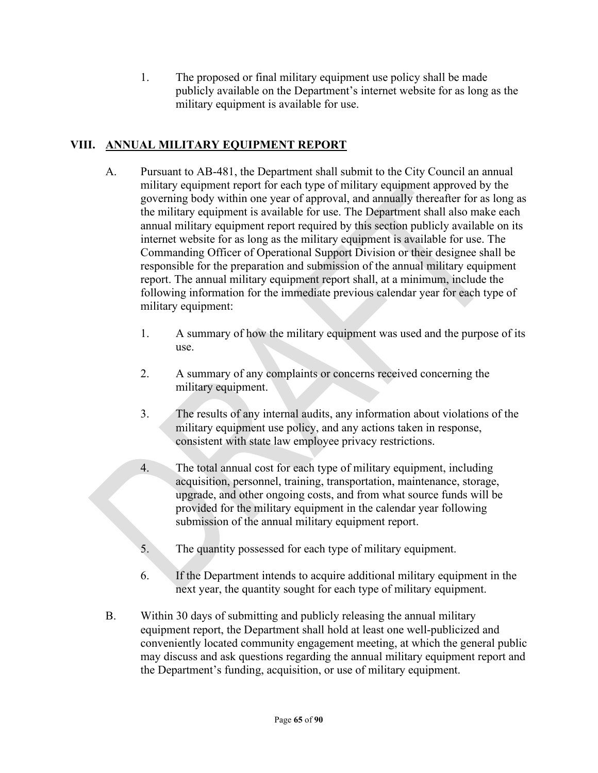1. The proposed or final military equipment use policy shall be made publicly available on the Department's internet website for as long as the military equipment is available for use.

## **VIII. ANNUAL MILITARY EQUIPMENT REPORT**

- A. Pursuant to AB-481, the Department shall submit to the City Council an annual military equipment report for each type of military equipment approved by the governing body within one year of approval, and annually thereafter for as long as the military equipment is available for use. The Department shall also make each annual military equipment report required by this section publicly available on its internet website for as long as the military equipment is available for use. The Commanding Officer of Operational Support Division or their designee shall be responsible for the preparation and submission of the annual military equipment report. The annual military equipment report shall, at a minimum, include the following information for the immediate previous calendar year for each type of military equipment:
	- 1. A summary of how the military equipment was used and the purpose of its use.
	- 2. A summary of any complaints or concerns received concerning the military equipment.
	- 3. The results of any internal audits, any information about violations of the military equipment use policy, and any actions taken in response, consistent with state law employee privacy restrictions.
	- 4. The total annual cost for each type of military equipment, including acquisition, personnel, training, transportation, maintenance, storage, upgrade, and other ongoing costs, and from what source funds will be provided for the military equipment in the calendar year following submission of the annual military equipment report.
	- 5. The quantity possessed for each type of military equipment.
	- 6. If the Department intends to acquire additional military equipment in the next year, the quantity sought for each type of military equipment.
- B. Within 30 days of submitting and publicly releasing the annual military equipment report, the Department shall hold at least one well-publicized and conveniently located community engagement meeting, at which the general public may discuss and ask questions regarding the annual military equipment report and the Department's funding, acquisition, or use of military equipment.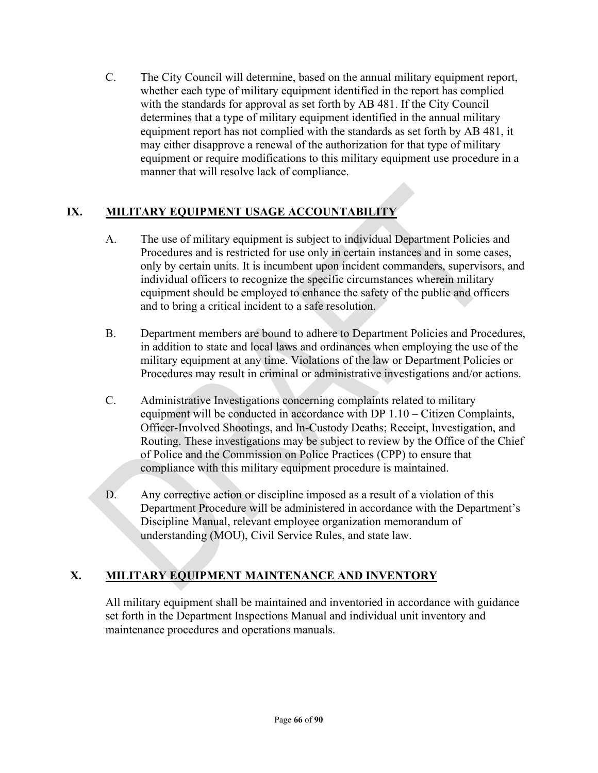C. The City Council will determine, based on the annual military equipment report, whether each type of military equipment identified in the report has complied with the standards for approval as set forth by AB 481. If the City Council determines that a type of military equipment identified in the annual military equipment report has not complied with the standards as set forth by AB 481, it may either disapprove a renewal of the authorization for that type of military equipment or require modifications to this military equipment use procedure in a manner that will resolve lack of compliance.

## **IX. MILITARY EQUIPMENT USAGE ACCOUNTABILITY**

- A. The use of military equipment is subject to individual Department Policies and Procedures and is restricted for use only in certain instances and in some cases, only by certain units. It is incumbent upon incident commanders, supervisors, and individual officers to recognize the specific circumstances wherein military equipment should be employed to enhance the safety of the public and officers and to bring a critical incident to a safe resolution.
- B. Department members are bound to adhere to Department Policies and Procedures, in addition to state and local laws and ordinances when employing the use of the military equipment at any time. Violations of the law or Department Policies or Procedures may result in criminal or administrative investigations and/or actions.
- C. Administrative Investigations concerning complaints related to military equipment will be conducted in accordance with DP 1.10 – Citizen Complaints, Officer-Involved Shootings, and In-Custody Deaths; Receipt, Investigation, and Routing. These investigations may be subject to review by the Office of the Chief of Police and the Commission on Police Practices (CPP) to ensure that compliance with this military equipment procedure is maintained.
- D. Any corrective action or discipline imposed as a result of a violation of this Department Procedure will be administered in accordance with the Department's Discipline Manual, relevant employee organization memorandum of understanding (MOU), Civil Service Rules, and state law.

## **X. MILITARY EQUIPMENT MAINTENANCE AND INVENTORY**

All military equipment shall be maintained and inventoried in accordance with guidance set forth in the Department Inspections Manual and individual unit inventory and maintenance procedures and operations manuals.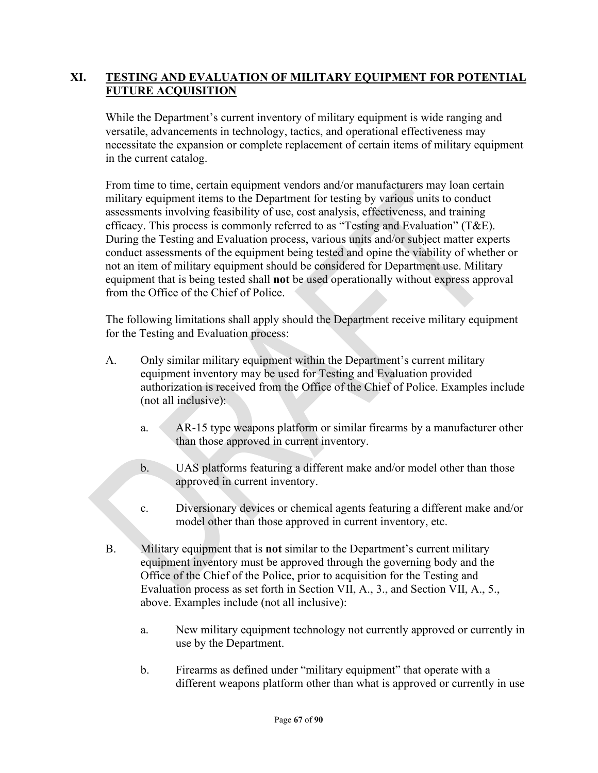## **XI. TESTING AND EVALUATION OF MILITARY EQUIPMENT FOR POTENTIAL FUTURE ACQUISITION**

While the Department's current inventory of military equipment is wide ranging and versatile, advancements in technology, tactics, and operational effectiveness may necessitate the expansion or complete replacement of certain items of military equipment in the current catalog.

From time to time, certain equipment vendors and/or manufacturers may loan certain military equipment items to the Department for testing by various units to conduct assessments involving feasibility of use, cost analysis, effectiveness, and training efficacy. This process is commonly referred to as "Testing and Evaluation" (T&E). During the Testing and Evaluation process, various units and/or subject matter experts conduct assessments of the equipment being tested and opine the viability of whether or not an item of military equipment should be considered for Department use. Military equipment that is being tested shall **not** be used operationally without express approval from the Office of the Chief of Police.

The following limitations shall apply should the Department receive military equipment for the Testing and Evaluation process:

- A. Only similar military equipment within the Department's current military equipment inventory may be used for Testing and Evaluation provided authorization is received from the Office of the Chief of Police. Examples include (not all inclusive):
	- a. AR-15 type weapons platform or similar firearms by a manufacturer other than those approved in current inventory.
	- b. UAS platforms featuring a different make and/or model other than those approved in current inventory.
	- c. Diversionary devices or chemical agents featuring a different make and/or model other than those approved in current inventory, etc.
- B. Military equipment that is **not** similar to the Department's current military equipment inventory must be approved through the governing body and the Office of the Chief of the Police, prior to acquisition for the Testing and Evaluation process as set forth in Section VII, A., 3., and Section VII, A., 5., above. Examples include (not all inclusive):
	- a. New military equipment technology not currently approved or currently in use by the Department.
	- b. Firearms as defined under "military equipment" that operate with a different weapons platform other than what is approved or currently in use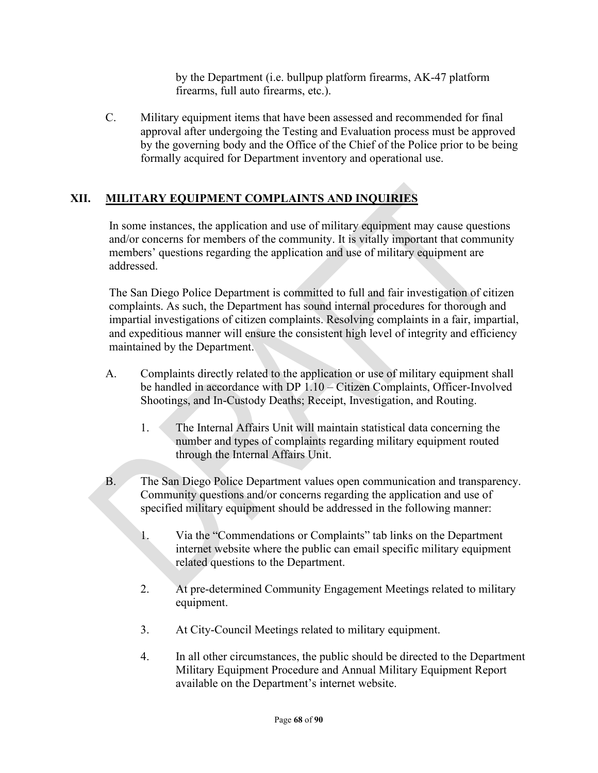by the Department (i.e. bullpup platform firearms, AK-47 platform firearms, full auto firearms, etc.).

C. Military equipment items that have been assessed and recommended for final approval after undergoing the Testing and Evaluation process must be approved by the governing body and the Office of the Chief of the Police prior to be being formally acquired for Department inventory and operational use.

## **XII. MILITARY EQUIPMENT COMPLAINTS AND INQUIRIES**

In some instances, the application and use of military equipment may cause questions and/or concerns for members of the community. It is vitally important that community members' questions regarding the application and use of military equipment are addressed.

The San Diego Police Department is committed to full and fair investigation of citizen complaints. As such, the Department has sound internal procedures for thorough and impartial investigations of citizen complaints. Resolving complaints in a fair, impartial, and expeditious manner will ensure the consistent high level of integrity and efficiency maintained by the Department.

- A. Complaints directly related to the application or use of military equipment shall be handled in accordance with DP 1.10 – Citizen Complaints, Officer-Involved Shootings, and In-Custody Deaths; Receipt, Investigation, and Routing.
	- 1. The Internal Affairs Unit will maintain statistical data concerning the number and types of complaints regarding military equipment routed through the Internal Affairs Unit.
- B. The San Diego Police Department values open communication and transparency. Community questions and/or concerns regarding the application and use of specified military equipment should be addressed in the following manner:
	- 1. Via the "Commendations or Complaints" tab links on the Department internet website where the public can email specific military equipment related questions to the Department.
	- 2. At pre-determined Community Engagement Meetings related to military equipment.
	- 3. At City-Council Meetings related to military equipment.
	- 4. In all other circumstances, the public should be directed to the Department Military Equipment Procedure and Annual Military Equipment Report available on the Department's internet website.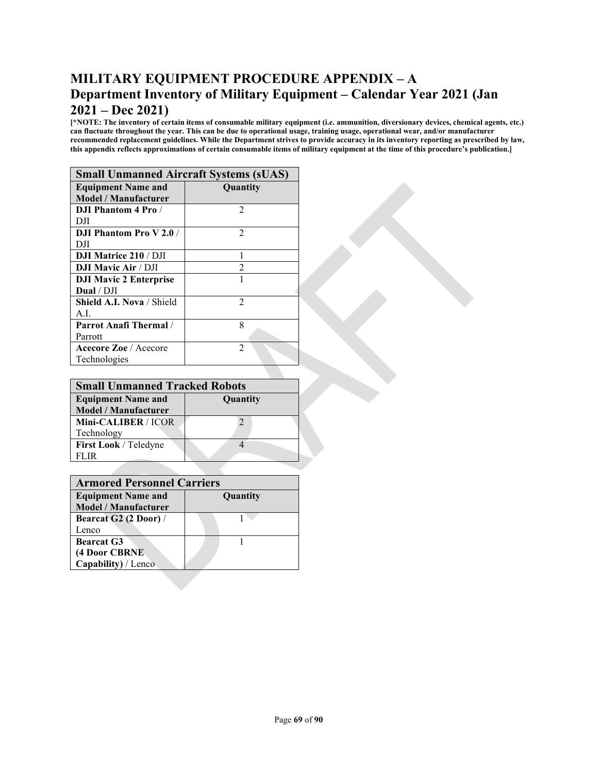## **MILITARY EQUIPMENT PROCEDURE APPENDIX – A Department Inventory of Military Equipment – Calendar Year 2021 (Jan 2021 – Dec 2021)**

**[\*NOTE: The inventory of certain items of consumable military equipment (i.e. ammunition, diversionary devices, chemical agents, etc.) can fluctuate throughout the year. This can be due to operational usage, training usage, operational wear, and/or manufacturer recommended replacement guidelines. While the Department strives to provide accuracy in its inventory reporting as prescribed by law, this appendix reflects approximations of certain consumable items of military equipment at the time of this procedure's publication.]**

| <b>Small Unmanned Aircraft Systems (sUAS)</b> |                 |  |
|-----------------------------------------------|-----------------|--|
| <b>Equipment Name and</b>                     | <b>Quantity</b> |  |
| <b>Model / Manufacturer</b>                   |                 |  |
| <b>DJI Phantom 4 Pro/</b>                     | 2               |  |
| DЛ                                            |                 |  |
| <b>DJI Phantom Pro V2.0/</b>                  | $\mathfrak{D}$  |  |
| DЛ                                            |                 |  |
| <b>DJI Matrice 210 / DJI</b>                  |                 |  |
| <b>DJI Mavic Air / DJI</b>                    | $\mathfrak{D}$  |  |
| <b>DJI Mavic 2 Enterprise</b>                 |                 |  |
| Dual / DJI                                    |                 |  |
| Shield A.I. Nova / Shield                     | $\mathfrak{D}$  |  |
| A.L                                           |                 |  |
| <b>Parrot Anafi Thermal</b> /                 | 8               |  |
| Parrott                                       |                 |  |
| <b>Acecore Zoe</b> / Acecore                  | $\mathfrak{D}$  |  |
| Technologies                                  |                 |  |

| <b>Small Unmanned Tracked Robots</b> |          |  |
|--------------------------------------|----------|--|
| <b>Equipment Name and</b>            | Quantity |  |
| <b>Model / Manufacturer</b>          |          |  |
| Mini-CALIBER / ICOR                  |          |  |
| Technology                           |          |  |
| First Look / Teledyne                |          |  |
| LIR                                  |          |  |

| <b>Armored Personnel Carriers</b> |                 |  |
|-----------------------------------|-----------------|--|
| <b>Equipment Name and</b>         | <b>Quantity</b> |  |
| <b>Model</b> / Manufacturer       |                 |  |
| Bearcat G2 (2 Door) /             |                 |  |
| Lenco                             |                 |  |
| <b>Bearcat G3</b>                 |                 |  |
| (4 Door CBRNE                     |                 |  |
| Capability) / Lenco               |                 |  |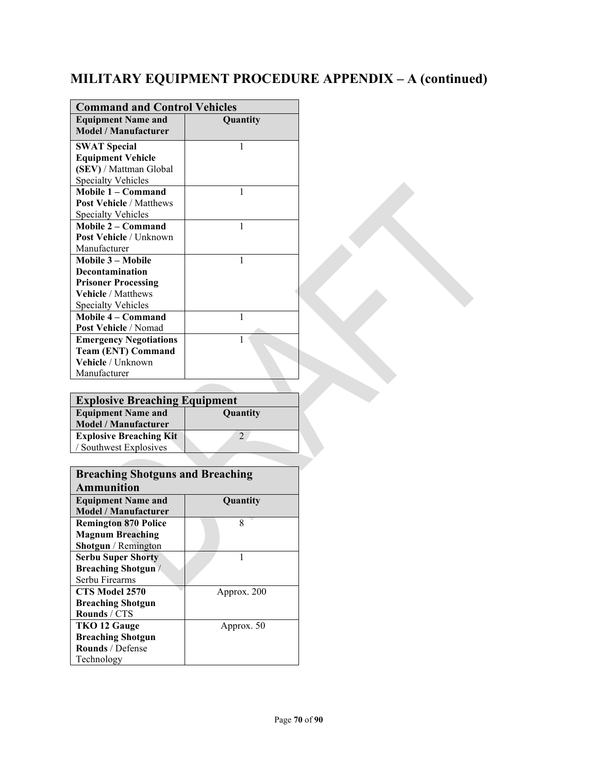## **MILITARY EQUIPMENT PROCEDURE APPENDIX – A (continued)**

| <b>Command and Control Vehicles</b>                      |          |  |
|----------------------------------------------------------|----------|--|
| <b>Equipment Name and</b><br><b>Model / Manufacturer</b> | Quantity |  |
| <b>SWAT Special</b>                                      | 1        |  |
| <b>Equipment Vehicle</b>                                 |          |  |
| (SEV) / Mattman Global                                   |          |  |
| <b>Specialty Vehicles</b>                                |          |  |
| Mobile 1 - Command                                       | 1        |  |
| <b>Post Vehicle / Matthews</b>                           |          |  |
| <b>Specialty Vehicles</b>                                |          |  |
| Mobile 2 – Command                                       | 1        |  |
| Post Vehicle / Unknown                                   |          |  |
| Manufacturer                                             |          |  |
| Mobile 3 – Mobile                                        | 1        |  |
| Decontamination                                          |          |  |
| <b>Prisoner Processing</b>                               |          |  |
| Vehicle / Matthews                                       |          |  |
| <b>Specialty Vehicles</b>                                |          |  |
| Mobile 4 – Command                                       | 1        |  |
| <b>Post Vehicle / Nomad</b>                              |          |  |
| <b>Emergency Negotiations</b>                            | 1        |  |
| <b>Team (ENT) Command</b>                                |          |  |
| Vehicle / Unknown                                        |          |  |
| Manufacturer                                             |          |  |

| <b>Explosive Breaching Equipment</b> |          |
|--------------------------------------|----------|
| <b>Equipment Name and</b>            | Quantity |
| <b>Model / Manufacturer</b>          |          |
| <b>Explosive Breaching Kit</b>       |          |
| / Southwest Explosives               |          |
|                                      |          |

| <b>Breaching Shotguns and Breaching</b> |             |  |
|-----------------------------------------|-------------|--|
| <b>Ammunition</b>                       |             |  |
| <b>Equipment Name and</b>               | Quantity    |  |
| Model / Manufacturer                    |             |  |
| <b>Remington 870 Police</b>             | 8           |  |
| <b>Magnum Breaching</b>                 |             |  |
| <b>Shotgun</b> / Remington              |             |  |
| <b>Serbu Super Shorty</b>               |             |  |
| <b>Breaching Shotgun</b> /              |             |  |
| Serbu Firearms                          |             |  |
| CTS Model 2570                          | Approx. 200 |  |
| <b>Breaching Shotgun</b>                |             |  |
| Rounds / CTS                            |             |  |
| TKO 12 Gauge                            | Approx. 50  |  |
| <b>Breaching Shotgun</b>                |             |  |
| <b>Rounds</b> / Defense                 |             |  |
| Technology                              |             |  |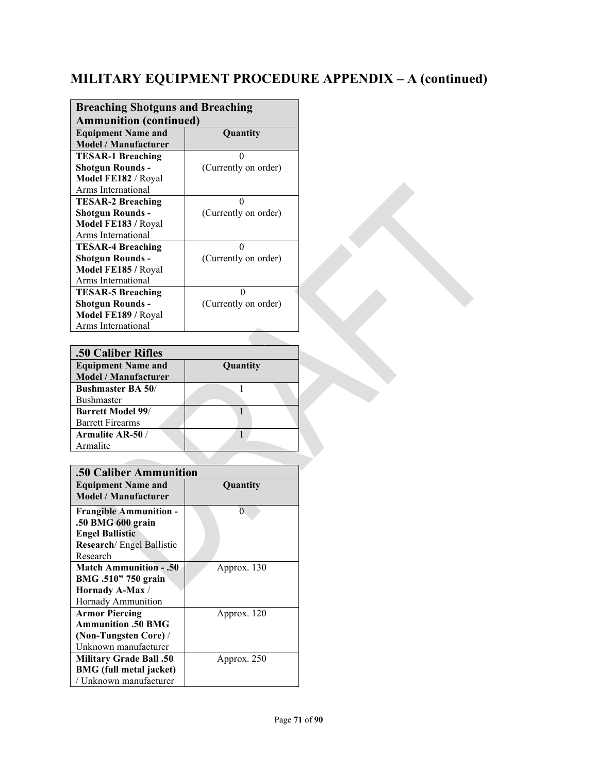## **MILITARY EQUIPMENT PROCEDURE APPENDIX – A (continued)**

| <b>Breaching Shotguns and Breaching</b> |                      |  |
|-----------------------------------------|----------------------|--|
| <b>Ammunition (continued)</b>           |                      |  |
| <b>Equipment Name and</b>               | Quantity             |  |
| <b>Model / Manufacturer</b>             |                      |  |
| <b>TESAR-1 Breaching</b>                | 0                    |  |
| <b>Shotgun Rounds -</b>                 | (Currently on order) |  |
| Model FE182 / Royal                     |                      |  |
| Arms International                      |                      |  |
| <b>TESAR-2 Breaching</b>                | 0                    |  |
| <b>Shotgun Rounds -</b>                 | (Currently on order) |  |
| Model FE183 / Royal                     |                      |  |
| Arms International                      |                      |  |
| <b>TESAR-4 Breaching</b>                | 0                    |  |
| <b>Shotgun Rounds -</b>                 | (Currently on order) |  |
| Model FE185 / Royal                     |                      |  |
| Arms International                      |                      |  |
| <b>TESAR-5 Breaching</b>                | 0                    |  |
| <b>Shotgun Rounds -</b>                 | (Currently on order) |  |
| Model FE189 / Royal                     |                      |  |
| Arms International                      |                      |  |

| .50 Caliber Rifles          |          |  |
|-----------------------------|----------|--|
| <b>Equipment Name and</b>   | Quantity |  |
| <b>Model / Manufacturer</b> |          |  |
| <b>Bushmaster BA 50/</b>    |          |  |
| <b>Bushmaster</b>           |          |  |
| <b>Barrett Model 99/</b>    |          |  |
| <b>Barrett Firearms</b>     |          |  |
| Armalite AR-50 /            |          |  |
| Armalite                    |          |  |

| .50 Caliber Ammunition                                                                                                        |             |  |
|-------------------------------------------------------------------------------------------------------------------------------|-------------|--|
| <b>Equipment Name and</b><br>Model / Manufacturer                                                                             | Quantity    |  |
| <b>Frangible Ammunition -</b><br>.50 BMG 600 grain<br><b>Engel Ballistic</b><br><b>Research</b> / Engel Ballistic<br>Research | 0           |  |
| <b>Match Ammunition - .50</b><br>BMG .510" 750 grain<br>Hornady A-Max /<br>Hornady Ammunition                                 | Approx. 130 |  |
| <b>Armor Piercing</b><br><b>Ammunition .50 BMG</b><br>(Non-Tungsten Core) /<br>Unknown manufacturer                           | Approx. 120 |  |
| <b>Military Grade Ball .50</b><br><b>BMG</b> (full metal jacket)<br>/ Unknown manufacturer                                    | Approx. 250 |  |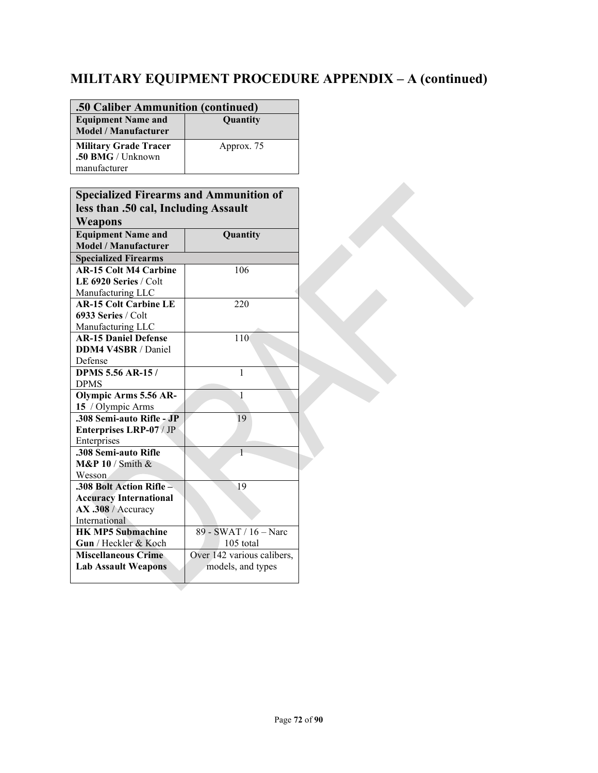# **MILITARY EQUIPMENT PROCEDURE APPENDIX – A (continued)**

| .50 Caliber Ammunition (continued)                                |            |  |
|-------------------------------------------------------------------|------------|--|
| <b>Equipment Name and</b><br><b>Model</b> / Manufacturer          | Quantity   |  |
| <b>Military Grade Tracer</b><br>.50 BMG / Unknown<br>manufacturer | Approx. 75 |  |

| <b>Specialized Firearms and Ammunition of</b> |                            |  |
|-----------------------------------------------|----------------------------|--|
| less than .50 cal, Including Assault          |                            |  |
| Weapons                                       |                            |  |
| <b>Equipment Name and</b>                     | Quantity                   |  |
| <b>Model / Manufacturer</b>                   |                            |  |
| <b>Specialized Firearms</b>                   |                            |  |
| <b>AR-15 Colt M4 Carbine</b>                  | 106                        |  |
| LE 6920 Series / Colt                         |                            |  |
| Manufacturing LLC                             |                            |  |
| <b>AR-15 Colt Carbine LE</b>                  | 220                        |  |
| 6933 Series / Colt                            |                            |  |
| Manufacturing LLC                             |                            |  |
| <b>AR-15 Daniel Defense</b>                   | 110                        |  |
| DDM4 V4SBR / Daniel                           |                            |  |
| Defense                                       |                            |  |
| <b>DPMS 5.56 AR-15/</b>                       | 1                          |  |
| <b>DPMS</b>                                   |                            |  |
| <b>Olympic Arms 5.56 AR-</b>                  | 1                          |  |
| 15 / Olympic Arms                             |                            |  |
| .308 Semi-auto Rifle - JP                     | 19                         |  |
| Enterprises LRP-07 / JP                       |                            |  |
| Enterprises                                   |                            |  |
| .308 Semi-auto Rifle                          | $\overline{1}$             |  |
| $M\&P 10 / S$ mith $\&$                       |                            |  |
| <b>Wesson</b>                                 |                            |  |
| .308 Bolt Action Rifle -                      | 19                         |  |
| <b>Accuracy International</b>                 |                            |  |
| AX .308 / Accuracy                            |                            |  |
| International                                 |                            |  |
| <b>HK MP5 Submachine</b>                      | $89 - SWAT / 16 - Narc$    |  |
| Gun / Heckler & Koch                          | 105 total                  |  |
| <b>Miscellaneous Crime</b>                    | Over 142 various calibers, |  |
| <b>Lab Assault Weapons</b>                    | models, and types          |  |
|                                               |                            |  |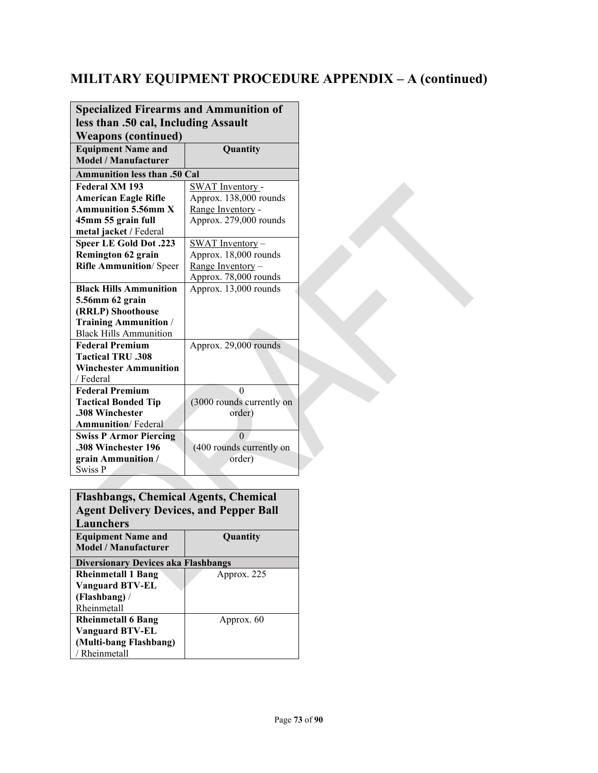| <b>Specialized Firearms and Ammunition of</b> |                           |  |  |
|-----------------------------------------------|---------------------------|--|--|
| less than .50 cal, Including Assault          |                           |  |  |
| <b>Weapons (continued)</b>                    |                           |  |  |
| <b>Equipment Name and</b><br>Quantity         |                           |  |  |
| Model / Manufacturer                          |                           |  |  |
| <b>Ammunition less than .50 Cal</b>           |                           |  |  |
| Federal XM 193                                | <b>SWAT</b> Inventory -   |  |  |
| <b>American Eagle Rifle</b>                   | Approx. 138,000 rounds    |  |  |
| <b>Ammunition 5.56mm X</b>                    | Range Inventory -         |  |  |
| 45mm 55 grain full                            | Approx. 279,000 rounds    |  |  |
| metal jacket / Federal                        |                           |  |  |
| <b>Speer LE Gold Dot .223</b>                 | SWAT Inventory-           |  |  |
| <b>Remington 62 grain</b>                     | Approx. 18,000 rounds     |  |  |
| <b>Rifle Ammunition/ Speer</b>                | Range Inventory -         |  |  |
|                                               | Approx. 78,000 rounds     |  |  |
| <b>Black Hills Ammunition</b>                 | Approx. 13,000 rounds     |  |  |
| 5.56mm 62 grain                               |                           |  |  |
| (RRLP) Shoothouse                             |                           |  |  |
| <b>Training Ammunition</b> /                  |                           |  |  |
| <b>Black Hills Ammunition</b>                 |                           |  |  |
| <b>Federal Premium</b>                        | Approx. 29,000 rounds     |  |  |
| <b>Tactical TRU .308</b>                      |                           |  |  |
| <b>Winchester Ammunition</b>                  |                           |  |  |
| / Federal                                     |                           |  |  |
| <b>Federal Premium</b>                        | $\theta$                  |  |  |
| <b>Tactical Bonded Tip</b>                    | (3000 rounds currently on |  |  |
| .308 Winchester                               | order)                    |  |  |
| <b>Ammunition</b> /Federal                    |                           |  |  |
| <b>Swiss P Armor Piercing</b>                 | $\Omega$                  |  |  |
| .308 Winchester 196                           | (400 rounds currently on  |  |  |
| grain Ammunition /                            | order)                    |  |  |
| <b>Swiss P</b>                                |                           |  |  |

#### **Flashbangs, Chemical Agents, Chemical Agent Delivery Devices, and Pepper Ball Launchers Equipment Name and Model / Manufacturer Quantity Diversionary Devices aka Flashbangs Rheinmetall 1 Bang Vanguard BTV-EL (Flashbang)** / Rheinmetall Approx. 225 **Rheinmetall 6 Bang Vanguard BTV-EL (Multi-bang Flashbang)**  / Rheinmetall Approx. 60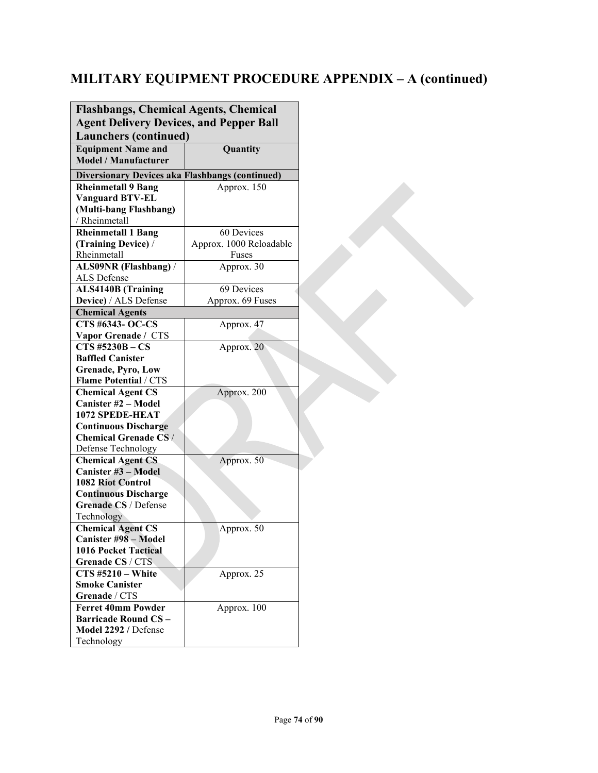| <b>Flashbangs, Chemical Agents, Chemical</b><br><b>Agent Delivery Devices, and Pepper Ball</b>                                                                                                                                                                        |                                         |  |  |
|-----------------------------------------------------------------------------------------------------------------------------------------------------------------------------------------------------------------------------------------------------------------------|-----------------------------------------|--|--|
| <b>Launchers (continued)</b><br><b>Equipment Name and</b><br>Quantity<br><b>Model / Manufacturer</b>                                                                                                                                                                  |                                         |  |  |
| <b>Diversionary Devices aka Flashbangs (continued)</b>                                                                                                                                                                                                                |                                         |  |  |
| <b>Rheinmetall 9 Bang</b>                                                                                                                                                                                                                                             | Approx. 150                             |  |  |
| <b>Vanguard BTV-EL</b>                                                                                                                                                                                                                                                |                                         |  |  |
| (Multi-bang Flashbang)                                                                                                                                                                                                                                                |                                         |  |  |
| / Rheinmetall                                                                                                                                                                                                                                                         |                                         |  |  |
| <b>Rheinmetall 1 Bang</b>                                                                                                                                                                                                                                             | 60 Devices                              |  |  |
| (Training Device) /                                                                                                                                                                                                                                                   | Approx. 1000 Reloadable                 |  |  |
| Rheinmetall                                                                                                                                                                                                                                                           | Fuses                                   |  |  |
| ALS09NR (Flashbang) /                                                                                                                                                                                                                                                 | Approx. 30                              |  |  |
| ALS Defense                                                                                                                                                                                                                                                           |                                         |  |  |
| <b>ALS4140B</b> (Training<br>Device) / ALS Defense                                                                                                                                                                                                                    | 69 Devices<br>Approx. 69 Fuses          |  |  |
| <b>Chemical Agents</b>                                                                                                                                                                                                                                                |                                         |  |  |
| <b>CTS #6343- OC-CS</b>                                                                                                                                                                                                                                               | Approx. 47                              |  |  |
| Vapor Grenade / CTS                                                                                                                                                                                                                                                   |                                         |  |  |
| $\overline{\text{CTS}}$ #5230B – $\text{CS}$                                                                                                                                                                                                                          | Approx. 20                              |  |  |
| <b>Baffled Canister</b>                                                                                                                                                                                                                                               |                                         |  |  |
| <b>Grenade, Pyro, Low</b>                                                                                                                                                                                                                                             |                                         |  |  |
| <b>Flame Potential / CTS</b>                                                                                                                                                                                                                                          |                                         |  |  |
| <b>Chemical Agent CS</b>                                                                                                                                                                                                                                              | Approx. 200                             |  |  |
| <b>Canister #2 - Model</b>                                                                                                                                                                                                                                            |                                         |  |  |
| 1072 SPEDE-HEAT                                                                                                                                                                                                                                                       |                                         |  |  |
| <b>Continuous Discharge</b>                                                                                                                                                                                                                                           |                                         |  |  |
| <b>Chemical Grenade CS/</b>                                                                                                                                                                                                                                           |                                         |  |  |
| Defense Technology                                                                                                                                                                                                                                                    |                                         |  |  |
| <b>Chemical Agent CS</b>                                                                                                                                                                                                                                              | Approx. 50                              |  |  |
| Canister #3 - Model                                                                                                                                                                                                                                                   |                                         |  |  |
| <b>1082 Riot Control</b>                                                                                                                                                                                                                                              |                                         |  |  |
| <b>Continuous Discharge</b>                                                                                                                                                                                                                                           |                                         |  |  |
| Grenade CS / Defense                                                                                                                                                                                                                                                  |                                         |  |  |
| Technology                                                                                                                                                                                                                                                            |                                         |  |  |
|                                                                                                                                                                                                                                                                       |                                         |  |  |
|                                                                                                                                                                                                                                                                       |                                         |  |  |
|                                                                                                                                                                                                                                                                       |                                         |  |  |
|                                                                                                                                                                                                                                                                       |                                         |  |  |
|                                                                                                                                                                                                                                                                       |                                         |  |  |
|                                                                                                                                                                                                                                                                       |                                         |  |  |
|                                                                                                                                                                                                                                                                       |                                         |  |  |
|                                                                                                                                                                                                                                                                       |                                         |  |  |
|                                                                                                                                                                                                                                                                       |                                         |  |  |
|                                                                                                                                                                                                                                                                       |                                         |  |  |
| <b>Chemical Agent CS</b><br>Canister #98 – Model<br><b>1016 Pocket Tactical</b><br>Grenade CS / CTS<br>$CTS$ #5210 - White<br><b>Smoke Canister</b><br>Grenade / CTS<br><b>Ferret 40mm Powder</b><br><b>Barricade Round CS-</b><br>Model 2292 / Defense<br>Technology | Approx. 50<br>Approx. 25<br>Approx. 100 |  |  |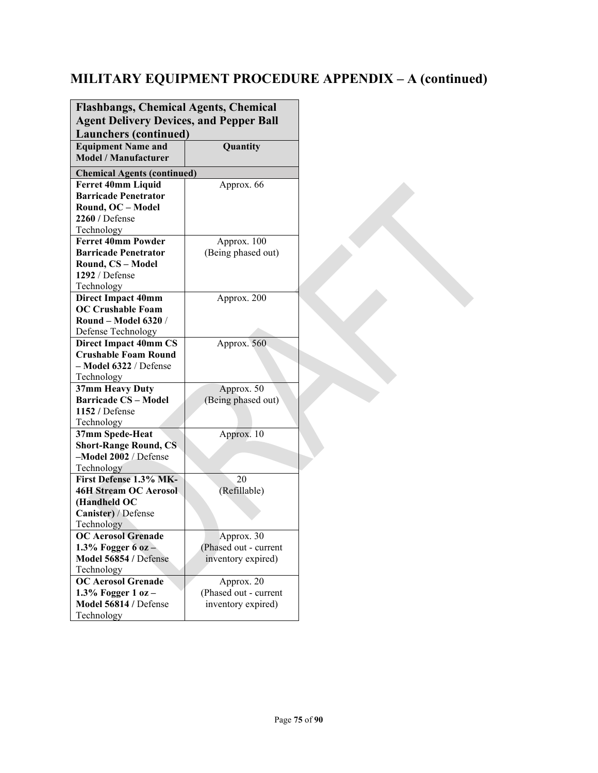| <b>Flashbangs, Chemical Agents, Chemical</b><br><b>Agent Delivery Devices, and Pepper Ball</b> |                       |  |  |
|------------------------------------------------------------------------------------------------|-----------------------|--|--|
| <b>Launchers (continued)</b>                                                                   |                       |  |  |
| <b>Equipment Name and</b><br><b>Model / Manufacturer</b>                                       | Quantity              |  |  |
|                                                                                                |                       |  |  |
| <b>Chemical Agents (continued)</b>                                                             |                       |  |  |
| <b>Ferret 40mm Liquid</b>                                                                      | Approx. 66            |  |  |
| <b>Barricade Penetrator</b>                                                                    |                       |  |  |
| Round, OC - Model<br>2260 / Defense                                                            |                       |  |  |
| Technology                                                                                     |                       |  |  |
| <b>Ferret 40mm Powder</b>                                                                      | Approx. 100           |  |  |
| <b>Barricade Penetrator</b>                                                                    | (Being phased out)    |  |  |
| Round, CS - Model                                                                              |                       |  |  |
| 1292 / Defense                                                                                 |                       |  |  |
| Technology                                                                                     |                       |  |  |
| <b>Direct Impact 40mm</b>                                                                      | Approx. 200           |  |  |
| <b>OC Crushable Foam</b>                                                                       |                       |  |  |
| <b>Round - Model 6320 /</b>                                                                    |                       |  |  |
| Defense Technology                                                                             |                       |  |  |
| <b>Direct Impact 40mm CS</b>                                                                   | Approx. 560           |  |  |
| <b>Crushable Foam Round</b>                                                                    |                       |  |  |
| - Model 6322 / Defense                                                                         |                       |  |  |
| Technology                                                                                     |                       |  |  |
| 37mm Heavy Duty                                                                                | Approx. 50            |  |  |
| <b>Barricade CS - Model</b>                                                                    | (Being phased out)    |  |  |
| 1152 / Defense                                                                                 |                       |  |  |
| Technology<br>37mm Spede-Heat                                                                  | Approx. 10            |  |  |
| <b>Short-Range Round, CS</b>                                                                   |                       |  |  |
| -Model 2002 / Defense                                                                          |                       |  |  |
| Technology                                                                                     |                       |  |  |
| First Defense 1.3% MK-                                                                         | 20                    |  |  |
| <b>46H Stream OC Aerosol</b>                                                                   | (Refillable)          |  |  |
| (Handheld OC                                                                                   |                       |  |  |
| Canister) / Defense                                                                            |                       |  |  |
| Technology                                                                                     |                       |  |  |
| <b>OC Aerosol Grenade</b>                                                                      | Approx. 30            |  |  |
| 1.3% Fogger 6 oz $-$                                                                           | (Phased out - current |  |  |
| Model 56854 / Defense                                                                          | inventory expired)    |  |  |
| Technology                                                                                     |                       |  |  |
| <b>OC Aerosol Grenade</b>                                                                      | Approx. 20            |  |  |
| 1.3% Fogger $1$ oz $-$                                                                         | (Phased out - current |  |  |
| Model 56814 / Defense                                                                          | inventory expired)    |  |  |
| Technology                                                                                     |                       |  |  |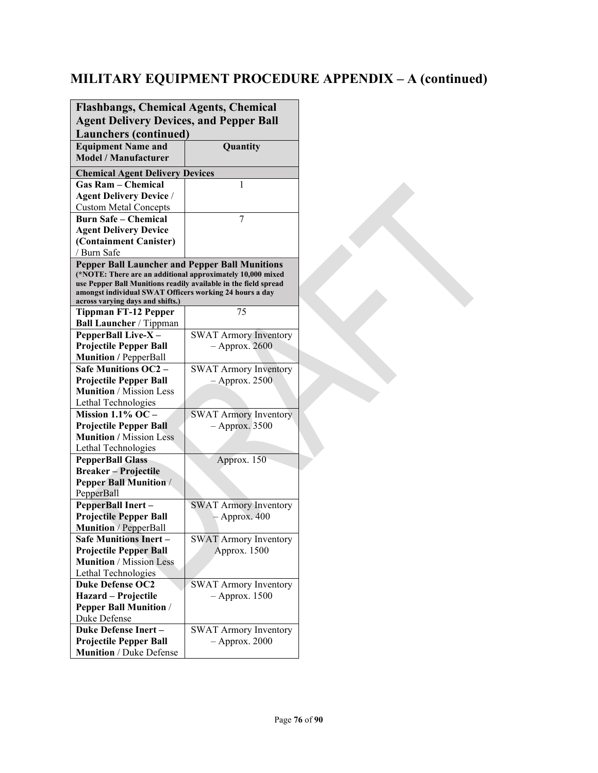| <b>Flashbangs, Chemical Agents, Chemical</b>                                                                        |                                                 |  |  |
|---------------------------------------------------------------------------------------------------------------------|-------------------------------------------------|--|--|
| <b>Agent Delivery Devices, and Pepper Ball</b>                                                                      |                                                 |  |  |
| <b>Launchers (continued)</b>                                                                                        |                                                 |  |  |
| <b>Equipment Name and</b>                                                                                           | Quantity                                        |  |  |
| <b>Model / Manufacturer</b>                                                                                         |                                                 |  |  |
| <b>Chemical Agent Delivery Devices</b>                                                                              |                                                 |  |  |
| <b>Gas Ram - Chemical</b>                                                                                           | 1                                               |  |  |
| <b>Agent Delivery Device /</b>                                                                                      |                                                 |  |  |
| <b>Custom Metal Concepts</b>                                                                                        |                                                 |  |  |
| <b>Burn Safe - Chemical</b>                                                                                         | 7                                               |  |  |
| <b>Agent Delivery Device</b>                                                                                        |                                                 |  |  |
| (Containment Canister)                                                                                              |                                                 |  |  |
| / Burn Safe                                                                                                         |                                                 |  |  |
| <b>Pepper Ball Launcher and Pepper Ball Munitions</b><br>(*NOTE: There are an additional approximately 10,000 mixed |                                                 |  |  |
| use Pepper Ball Munitions readily available in the field spread                                                     |                                                 |  |  |
| amongst individual SWAT Officers working 24 hours a day                                                             |                                                 |  |  |
| across varying days and shifts.)<br><b>Tippman FT-12 Pepper</b>                                                     | 75                                              |  |  |
| <b>Ball Launcher / Tippman</b>                                                                                      |                                                 |  |  |
| PepperBall Live-X-                                                                                                  | <b>SWAT Armory Inventory</b>                    |  |  |
| <b>Projectile Pepper Ball</b>                                                                                       | $-$ Approx. 2600                                |  |  |
| <b>Munition</b> / PepperBall                                                                                        |                                                 |  |  |
| <b>Safe Munitions OC2 -</b>                                                                                         | <b>SWAT Armory Inventory</b>                    |  |  |
| <b>Projectile Pepper Ball</b>                                                                                       | $-$ Approx. 2500                                |  |  |
| <b>Munition</b> / Mission Less                                                                                      |                                                 |  |  |
| Lethal Technologies                                                                                                 |                                                 |  |  |
| Mission $1.1\%$ OC -                                                                                                | SWAT Armory Inventory                           |  |  |
| <b>Projectile Pepper Ball</b>                                                                                       | $-$ Approx. 3500                                |  |  |
| <b>Munition</b> / Mission Less                                                                                      |                                                 |  |  |
| Lethal Technologies                                                                                                 |                                                 |  |  |
| <b>PepperBall Glass</b>                                                                                             | Approx. 150                                     |  |  |
| <b>Breaker-Projectile</b>                                                                                           |                                                 |  |  |
| <b>Pepper Ball Munition /</b>                                                                                       |                                                 |  |  |
| PepperBall                                                                                                          |                                                 |  |  |
| PepperBall Inert-<br><b>Projectile Pepper Ball</b>                                                                  | <b>SWAT Armory Inventory</b><br>$-$ Approx. 400 |  |  |
| Munition / PepperBall                                                                                               |                                                 |  |  |
| <b>Safe Munitions Inert -</b>                                                                                       | <b>SWAT</b> Armory Inventory                    |  |  |
| <b>Projectile Pepper Ball</b>                                                                                       | Approx. 1500                                    |  |  |
| <b>Munition</b> / Mission Less                                                                                      |                                                 |  |  |
| Lethal Technologies                                                                                                 |                                                 |  |  |
| <b>Duke Defense OC2</b>                                                                                             | <b>SWAT Armory Inventory</b>                    |  |  |
| Hazard - Projectile                                                                                                 | $-$ Approx. 1500                                |  |  |
| <b>Pepper Ball Munition /</b>                                                                                       |                                                 |  |  |
| Duke Defense                                                                                                        |                                                 |  |  |
| <b>Duke Defense Inert-</b>                                                                                          | <b>SWAT Armory Inventory</b>                    |  |  |
| Projectile Pepper Ball                                                                                              | $-$ Approx. 2000                                |  |  |
| Munition / Duke Defense                                                                                             |                                                 |  |  |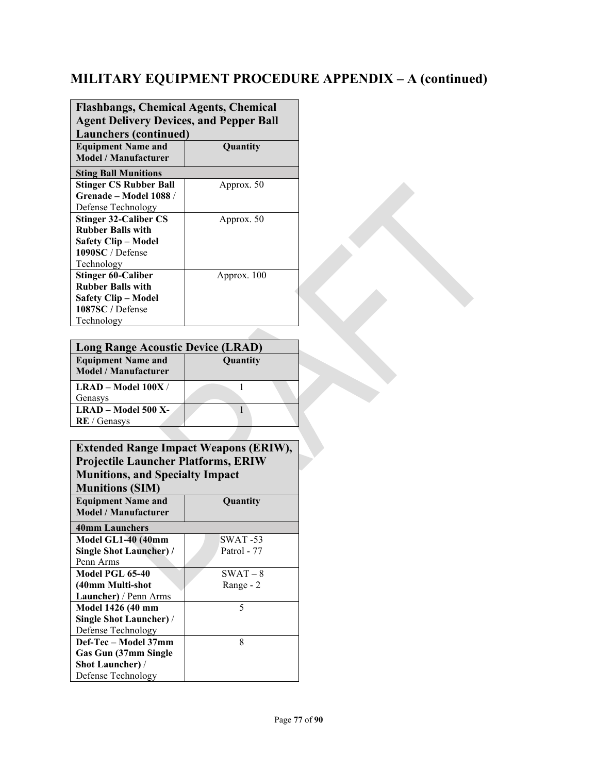| <b>Flashbangs, Chemical Agents, Chemical</b><br><b>Agent Delivery Devices, and Pepper Ball</b><br><b>Launchers (continued)</b><br><b>Equipment Name and</b><br>Quantity |             |  |
|-------------------------------------------------------------------------------------------------------------------------------------------------------------------------|-------------|--|
| <b>Model / Manufacturer</b>                                                                                                                                             |             |  |
| <b>Sting Ball Munitions</b><br><b>Stinger CS Rubber Ball</b><br>Grenade - Model 1088 /<br>Defense Technology                                                            | Approx. 50  |  |
| <b>Stinger 32-Caliber CS</b><br><b>Rubber Balls with</b><br><b>Safety Clip – Model</b><br>1090SC/Defense<br>Technology                                                  | Approx. 50  |  |
| <b>Stinger 60-Caliber</b><br><b>Rubber Balls with</b><br><b>Safety Clip – Model</b><br>1087SC / Defense<br>Technology                                                   | Approx. 100 |  |

| <b>Long Range Acoustic Device (LRAD)</b>                 |          |  |  |
|----------------------------------------------------------|----------|--|--|
| <b>Equipment Name and</b><br><b>Model / Manufacturer</b> | Quantity |  |  |
| $LRAD - Model 100X /$<br>Genasys                         |          |  |  |
| LRAD - Model 500 X-<br><b>RE</b> / Genasys               |          |  |  |
|                                                          |          |  |  |

| <b>Extended Range Impact Weapons (ERIW),</b> |             |  |  |
|----------------------------------------------|-------------|--|--|
| <b>Projectile Launcher Platforms, ERIW</b>   |             |  |  |
| <b>Munitions, and Specialty Impact</b>       |             |  |  |
| <b>Munitions (SIM)</b>                       |             |  |  |
| <b>Equipment Name and</b><br>Quantity        |             |  |  |
| <b>Model / Manufacturer</b>                  |             |  |  |
| <b>40mm Launchers</b>                        |             |  |  |
| Model GL1-40 (40mm                           | SWAT -53    |  |  |
| <b>Single Shot Launcher) /</b>               | Patrol - 77 |  |  |
| Penn Arms                                    |             |  |  |
| Model PGL 65-40                              | $SWAT - 8$  |  |  |
| (40mm Multi-shot                             | Range - 2   |  |  |
| Launcher) / Penn Arms                        |             |  |  |
| Model 1426 (40 mm                            | 5           |  |  |
| Single Shot Launcher) /                      |             |  |  |
| Defense Technology                           |             |  |  |
| Def-Tec - Model 37mm                         | 8           |  |  |
| Gas Gun (37mm Single                         |             |  |  |
| <b>Shot Launcher)</b> /                      |             |  |  |
| Defense Technology                           |             |  |  |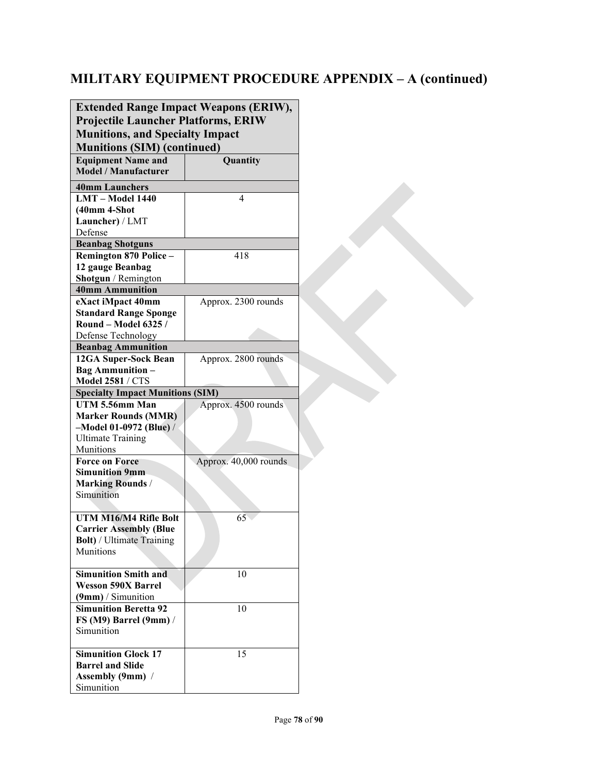| <b>Extended Range Impact Weapons (ERIW),</b><br><b>Projectile Launcher Platforms, ERIW</b> |                       |  |  |
|--------------------------------------------------------------------------------------------|-----------------------|--|--|
| <b>Munitions, and Specialty Impact</b><br><b>Munitions (SIM) (continued)</b>               |                       |  |  |
| <b>Equipment Name and</b><br><b>Model / Manufacturer</b>                                   | Quantity              |  |  |
| <b>40mm Launchers</b>                                                                      |                       |  |  |
| LMT - Model 1440                                                                           | 4                     |  |  |
| $(40mm 4-Shot$                                                                             |                       |  |  |
| Launcher) / LMT                                                                            |                       |  |  |
| Defense                                                                                    |                       |  |  |
| <b>Beanbag Shotguns</b>                                                                    |                       |  |  |
| Remington 870 Police -                                                                     | 418                   |  |  |
| 12 gauge Beanbag                                                                           |                       |  |  |
| Shotgun / Remington                                                                        |                       |  |  |
| <b>40mm Ammunition</b>                                                                     |                       |  |  |
| eXact iMpact 40mm                                                                          | Approx. 2300 rounds   |  |  |
| <b>Standard Range Sponge</b>                                                               |                       |  |  |
| Round - Model 6325 /                                                                       |                       |  |  |
| Defense Technology                                                                         |                       |  |  |
| <b>Beanbag Ammunition</b>                                                                  |                       |  |  |
| 12GA Super-Sock Bean                                                                       | Approx. 2800 rounds   |  |  |
| <b>Bag Ammunition -</b>                                                                    |                       |  |  |
| <b>Model 2581 / CTS</b>                                                                    |                       |  |  |
| <b>Specialty Impact Munitions (SIM)</b>                                                    |                       |  |  |
| UTM 5.56mm Man                                                                             | Approx. 4500 rounds   |  |  |
| <b>Marker Rounds (MMR)</b>                                                                 |                       |  |  |
| $-Model 01-0972 (Blue) /$                                                                  |                       |  |  |
| <b>Ultimate Training</b>                                                                   |                       |  |  |
| Munitions                                                                                  |                       |  |  |
| <b>Force on Force</b>                                                                      | Approx. 40,000 rounds |  |  |
| <b>Simunition 9mm</b>                                                                      |                       |  |  |
| <b>Marking Rounds/</b>                                                                     |                       |  |  |
| Simunition                                                                                 |                       |  |  |
| UTM M16/M4 Rifle Bolt                                                                      | 65                    |  |  |
| <b>Carrier Assembly (Blue</b>                                                              |                       |  |  |
| <b>Bolt)</b> / Ultimate Training                                                           |                       |  |  |
| Munitions                                                                                  |                       |  |  |
|                                                                                            |                       |  |  |
| <b>Simunition Smith and</b>                                                                | 10                    |  |  |
| <b>Wesson 590X Barrel</b>                                                                  |                       |  |  |
| $(9mm)$ / Simunition                                                                       |                       |  |  |
| <b>Simunition Beretta 92</b>                                                               | 10                    |  |  |
| FS (M9) Barrel (9mm) /                                                                     |                       |  |  |
| Simunition                                                                                 |                       |  |  |
|                                                                                            |                       |  |  |
| <b>Simunition Glock 17</b>                                                                 | 15                    |  |  |
| <b>Barrel and Slide</b>                                                                    |                       |  |  |
| <b>Assembly (9mm)</b> /                                                                    |                       |  |  |
| Simunition                                                                                 |                       |  |  |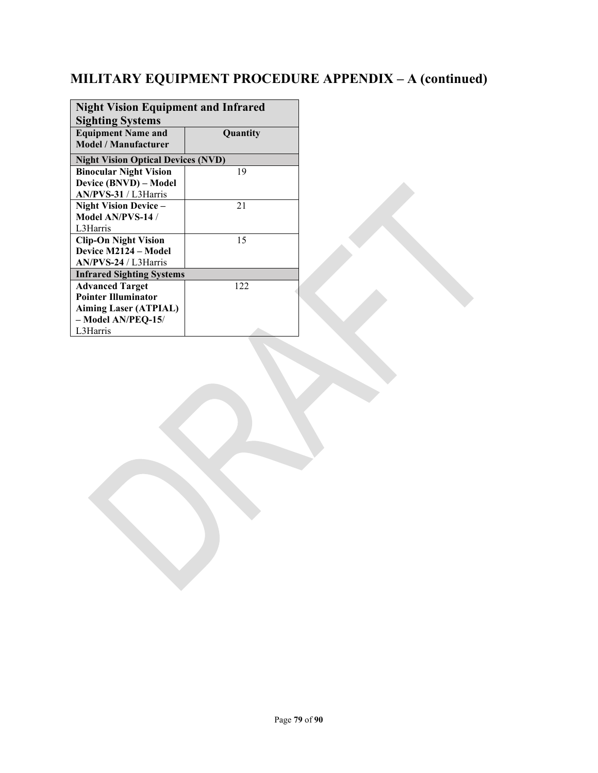| <b>Night Vision Equipment and Infrared</b> |     |  |
|--------------------------------------------|-----|--|
| <b>Sighting Systems</b>                    |     |  |
| <b>Equipment Name and</b><br>Quantity      |     |  |
| <b>Model</b> / Manufacturer                |     |  |
|                                            |     |  |
| <b>Night Vision Optical Devices (NVD)</b>  |     |  |
| <b>Binocular Night Vision</b>              | 19  |  |
| Device (BNVD) – Model                      |     |  |
| AN/PVS-31 / L3Harris                       |     |  |
| <b>Night Vision Device -</b>               | 21  |  |
| Model AN/PVS-14 /                          |     |  |
| L3Harris                                   |     |  |
| <b>Clip-On Night Vision</b>                | 15  |  |
| Device M2124 – Model                       |     |  |
| $AN/PVS-24 / L3Harris$                     |     |  |
| <b>Infrared Sighting Systems</b>           |     |  |
| <b>Advanced Target</b>                     | 122 |  |
| <b>Pointer Illuminator</b>                 |     |  |
| <b>Aiming Laser (ATPIAL)</b>               |     |  |
| - Model AN/PEQ-15/                         |     |  |
| L3Harris                                   |     |  |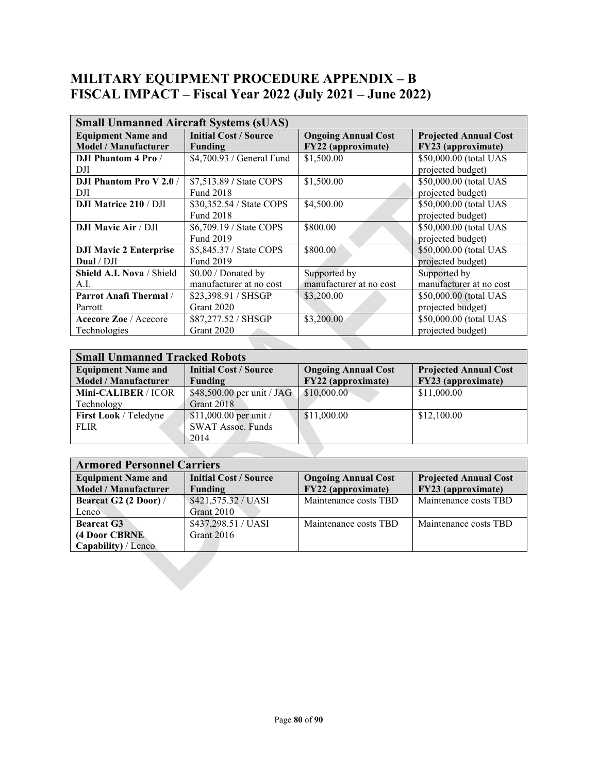#### **MILITARY EQUIPMENT PROCEDURE APPENDIX – B FISCAL IMPACT – Fiscal Year 2022 (July 2021 – June 2022)**

| <b>Small Unmanned Aircraft Systems (sUAS)</b> |                              |                            |                              |
|-----------------------------------------------|------------------------------|----------------------------|------------------------------|
| <b>Equipment Name and</b>                     | <b>Initial Cost / Source</b> | <b>Ongoing Annual Cost</b> | <b>Projected Annual Cost</b> |
| <b>Model / Manufacturer</b>                   | <b>Funding</b>               | FY22 (approximate)         | FY23 (approximate)           |
| <b>DJI Phantom 4 Pro /</b>                    | \$4,700.93 / General Fund    | \$1,500.00                 | \$50,000.00 (total UAS       |
| DJI                                           |                              |                            | projected budget)            |
| <b>DJI Phantom Pro V 2.0/</b>                 | \$7,513.89 / State COPS      | \$1,500.00                 | \$50,000.00 (total UAS       |
| DJI                                           | <b>Fund 2018</b>             |                            | projected budget)            |
| <b>DJI Matrice 210 / DJI</b>                  | \$30,352.54 / State COPS     | \$4,500.00                 | \$50,000.00 (total UAS       |
|                                               | <b>Fund 2018</b>             |                            | projected budget)            |
| <b>DJI Mavic Air / DJI</b>                    | \$6,709.19 / State COPS      | \$800.00                   | \$50,000.00 (total UAS       |
|                                               | Fund 2019                    |                            | projected budget)            |
| <b>DJI Mavic 2 Enterprise</b>                 | \$5,845.37 / State COPS      | \$800.00                   | \$50,000.00 (total UAS       |
| Dual / DJI                                    | Fund 2019                    |                            | projected budget)            |
| Shield A.I. Nova / Shield                     | \$0.00 / Donated by          | Supported by               | Supported by                 |
| A.I.                                          | manufacturer at no cost      | manufacturer at no cost    | manufacturer at no cost      |
| <b>Parrot Anafi Thermal</b> /                 | \$23,398.91 / SHSGP          | \$3,200.00                 | \$50,000.00 (total UAS       |
| Parrott                                       | Grant 2020                   |                            | projected budget)            |
| Acecore Zoe / Acecore                         | \$87,277.52 / SHSGP          | \$3,200.00                 | \$50,000.00 (total UAS       |
| Technologies                                  | Grant 2020                   |                            | projected budget)            |
|                                               |                              |                            |                              |

| <b>Small Unmanned Tracked Robots</b> |                              |                            |                              |
|--------------------------------------|------------------------------|----------------------------|------------------------------|
| <b>Equipment Name and</b>            | <b>Initial Cost / Source</b> | <b>Ongoing Annual Cost</b> | <b>Projected Annual Cost</b> |
| <b>Model / Manufacturer</b>          | Funding                      | FY22 (approximate)         | FY23 (approximate)           |
| Mini-CALIBER / ICOR                  | \$48,500.00 per unit / JAG   | \$10,000.00                | \$11,000.00                  |
| Technology                           | Grant 2018                   |                            |                              |
| First Look / Teledyne                | $$11,000.00$ per unit /      | \$11,000.00                | \$12,100.00                  |
| <b>FLIR</b>                          | <b>SWAT Assoc. Funds</b>     |                            |                              |
|                                      | 2014                         |                            |                              |
|                                      |                              |                            |                              |

| <b>Armored Personnel Carriers</b> |                              |                            |                              |
|-----------------------------------|------------------------------|----------------------------|------------------------------|
| <b>Equipment Name and</b>         | <b>Initial Cost / Source</b> | <b>Ongoing Annual Cost</b> | <b>Projected Annual Cost</b> |
| <b>Model / Manufacturer</b>       | Funding                      | FY22 (approximate)         | FY23 (approximate)           |
| Bearcat G2 (2 Door) /             | \$421,575.32 / UASI          | Maintenance costs TBD      | Maintenance costs TBD        |
| Lenco                             | Grant 2010                   |                            |                              |
| <b>Bearcat G3</b>                 | \$437,298.51 / UASI          | Maintenance costs TBD      | Maintenance costs TBD        |
| (4 Door CBRNE                     | Grant 2016                   |                            |                              |
| Capability) / Lenco               |                              |                            |                              |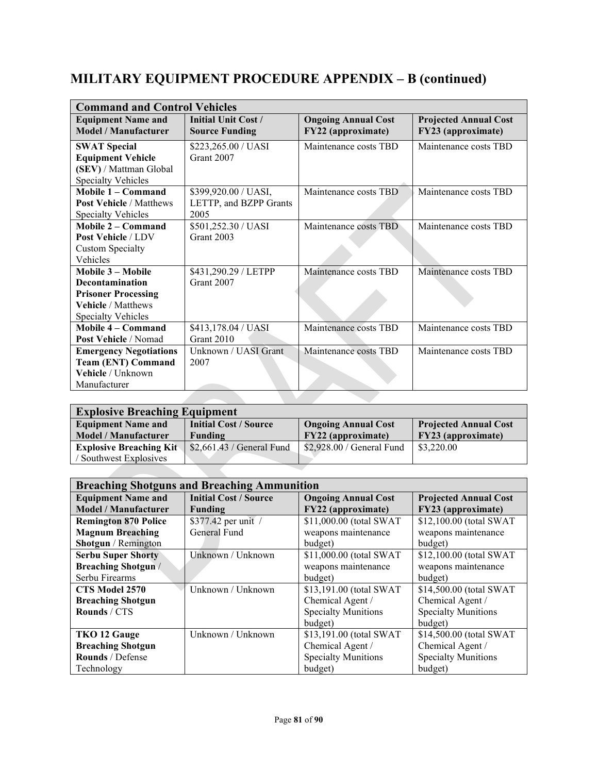| <b>Command and Control Vehicles</b>               |                                              |                                                  |                                                    |
|---------------------------------------------------|----------------------------------------------|--------------------------------------------------|----------------------------------------------------|
| <b>Equipment Name and</b><br>Model / Manufacturer | Initial Unit Cost /<br><b>Source Funding</b> | <b>Ongoing Annual Cost</b><br>FY22 (approximate) | <b>Projected Annual Cost</b><br>FY23 (approximate) |
| <b>SWAT Special</b>                               | \$223,265.00 / UASI                          | Maintenance costs TBD                            | Maintenance costs TBD                              |
| <b>Equipment Vehicle</b>                          | Grant 2007                                   |                                                  |                                                    |
| (SEV) / Mattman Global                            |                                              |                                                  |                                                    |
| <b>Specialty Vehicles</b>                         |                                              |                                                  |                                                    |
| Mobile 1 - Command                                | \$399,920.00 / UASI,                         | Maintenance costs TBD                            | Maintenance costs TBD                              |
| <b>Post Vehicle / Matthews</b>                    | LETTP, and BZPP Grants                       |                                                  |                                                    |
| <b>Specialty Vehicles</b>                         | 2005                                         |                                                  |                                                    |
| Mobile 2 – Command                                | \$501,252.30 / UASI                          | Maintenance costs TBD                            | Maintenance costs TBD                              |
| Post Vehicle / LDV                                | Grant 2003                                   |                                                  |                                                    |
| <b>Custom Specialty</b>                           |                                              |                                                  |                                                    |
| Vehicles                                          |                                              |                                                  |                                                    |
| Mobile 3 - Mobile                                 | \$431,290.29 / LETPP                         | Maintenance costs TBD                            | Maintenance costs TBD                              |
| Decontamination                                   | Grant 2007                                   |                                                  |                                                    |
| <b>Prisoner Processing</b>                        |                                              |                                                  |                                                    |
| <b>Vehicle / Matthews</b>                         |                                              |                                                  |                                                    |
| <b>Specialty Vehicles</b>                         |                                              |                                                  |                                                    |
| Mobile 4 – Command                                | \$413,178.04 / UASI                          | Maintenance costs TBD                            | Maintenance costs TBD                              |
| Post Vehicle / Nomad                              | Grant 2010                                   |                                                  |                                                    |
| <b>Emergency Negotiations</b>                     | Unknown / UASI Grant                         | Maintenance costs TBD                            | Maintenance costs TBD                              |
| <b>Team (ENT) Command</b>                         | 2007                                         |                                                  |                                                    |
| Vehicle / Unknown                                 |                                              |                                                  |                                                    |
| Manufacturer                                      |                                              |                                                  |                                                    |
|                                                   |                                              |                                                  |                                                    |

| <b>Explosive Breaching Equipment</b> |                              |                            |                              |  |
|--------------------------------------|------------------------------|----------------------------|------------------------------|--|
| <b>Equipment Name and</b>            | <b>Initial Cost / Source</b> | <b>Ongoing Annual Cost</b> | <b>Projected Annual Cost</b> |  |
| <b>Model / Manufacturer</b>          | Funding                      | FY22 (approximate)         | FY23 (approximate)           |  |
| <b>Explosive Breaching Kity</b>      | \$2,661.43 / General Fund    | \$2,928.00 / General Fund  | \$3,220.00                   |  |
| Southwest Explosives                 |                              |                            |                              |  |
|                                      |                              |                            |                              |  |

| <b>Breaching Shotguns and Breaching Ammunition</b>       |                                                |                                                  |                                                    |
|----------------------------------------------------------|------------------------------------------------|--------------------------------------------------|----------------------------------------------------|
| <b>Equipment Name and</b><br><b>Model / Manufacturer</b> | <b>Initial Cost / Source</b><br><b>Funding</b> | <b>Ongoing Annual Cost</b><br>FY22 (approximate) | <b>Projected Annual Cost</b><br>FY23 (approximate) |
| <b>Remington 870 Police</b>                              | \$377.42 per unit /                            | \$11,000.00 (total SWAT                          | \$12,100.00 (total SWAT                            |
| <b>Magnum Breaching</b>                                  | General Fund                                   | weapons maintenance                              | weapons maintenance                                |
| Shotgun / Remington                                      |                                                | budget)                                          | budget)                                            |
| <b>Serbu Super Shorty</b>                                | Unknown / Unknown                              | \$11,000.00 (total SWAT                          | \$12,100.00 (total SWAT                            |
| <b>Breaching Shotgun /</b>                               |                                                | weapons maintenance                              | weapons maintenance                                |
| Serbu Firearms                                           |                                                | budget)                                          | budget)                                            |
| CTS Model 2570                                           | Unknown / Unknown                              | \$13,191.00 (total SWAT                          | \$14,500.00 (total SWAT                            |
| <b>Breaching Shotgun</b>                                 |                                                | Chemical Agent /                                 | Chemical Agent /                                   |
| Rounds / CTS                                             |                                                | <b>Specialty Munitions</b>                       | <b>Specialty Munitions</b>                         |
|                                                          |                                                | budget)                                          | budget)                                            |
| TKO 12 Gauge                                             | Unknown / Unknown                              | \$13,191.00 (total SWAT                          | \$14,500.00 (total SWAT                            |
| <b>Breaching Shotgun</b>                                 |                                                | Chemical Agent /                                 | Chemical Agent /                                   |
| Rounds / Defense                                         |                                                | <b>Specialty Munitions</b>                       | <b>Specialty Munitions</b>                         |
| Technology                                               |                                                | budget)                                          | budget)                                            |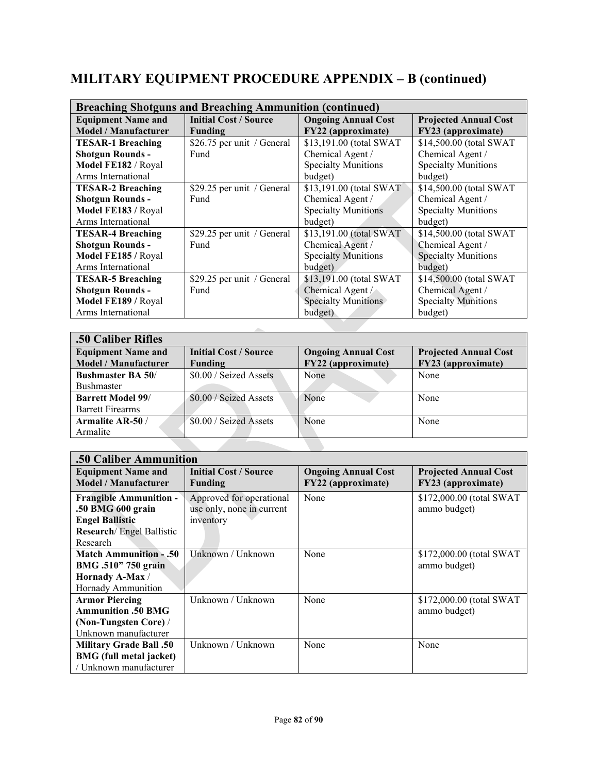| <b>Breaching Shotguns and Breaching Ammunition (continued)</b> |                              |                            |                              |  |
|----------------------------------------------------------------|------------------------------|----------------------------|------------------------------|--|
| <b>Equipment Name and</b>                                      | <b>Initial Cost / Source</b> | <b>Ongoing Annual Cost</b> | <b>Projected Annual Cost</b> |  |
| <b>Model / Manufacturer</b>                                    | <b>Funding</b>               | FY22 (approximate)         | FY23 (approximate)           |  |
| <b>TESAR-1 Breaching</b>                                       | \$26.75 per unit / General   | \$13,191.00 (total SWAT    | \$14,500.00 (total SWAT      |  |
| <b>Shotgun Rounds -</b>                                        | Fund                         | Chemical Agent /           | Chemical Agent /             |  |
| Model FE182 / Royal                                            |                              | <b>Specialty Munitions</b> | <b>Specialty Munitions</b>   |  |
| Arms International                                             |                              | budget)                    | budget)                      |  |
| <b>TESAR-2 Breaching</b>                                       | \$29.25 per unit / General   | \$13,191.00 (total SWAT)   | \$14,500.00 (total SWAT      |  |
| <b>Shotgun Rounds -</b>                                        | Fund                         | Chemical Agent /           | Chemical Agent /             |  |
| Model FE183 / Royal                                            |                              | <b>Specialty Munitions</b> | <b>Specialty Munitions</b>   |  |
| Arms International                                             |                              | budget)                    | budget)                      |  |
| <b>TESAR-4 Breaching</b>                                       | \$29.25 per unit / General   | \$13,191.00 (total SWAT    | \$14,500.00 (total SWAT      |  |
| <b>Shotgun Rounds -</b>                                        | Fund                         | Chemical Agent /           | Chemical Agent /             |  |
| Model FE185 / Royal                                            |                              | <b>Specialty Munitions</b> | <b>Specialty Munitions</b>   |  |
| Arms International                                             |                              | budget)                    | budget)                      |  |
| <b>TESAR-5 Breaching</b>                                       | \$29.25 per unit / General   | \$13,191.00 (total SWAT    | \$14,500.00 (total SWAT      |  |
| <b>Shotgun Rounds -</b>                                        | Fund                         | Chemical Agent /           | Chemical Agent /             |  |
| Model FE189 / Royal                                            |                              | <b>Specialty Munitions</b> | <b>Specialty Munitions</b>   |  |
| Arms International                                             |                              | budget)                    | budget)                      |  |
|                                                                |                              |                            |                              |  |

| .50 Caliber Rifles          |                              |                            |                              |
|-----------------------------|------------------------------|----------------------------|------------------------------|
| <b>Equipment Name and</b>   | <b>Initial Cost / Source</b> | <b>Ongoing Annual Cost</b> | <b>Projected Annual Cost</b> |
| <b>Model</b> / Manufacturer | Funding                      | FY22 (approximate)         | FY23 (approximate)           |
| <b>Bushmaster BA 50/</b>    | \$0.00 / Seized Assets       | None                       | None                         |
| Bushmaster                  |                              |                            |                              |
| <b>Barrett Model 99/</b>    | \$0.00 / Seized Assets       | None                       | None                         |
| <b>Barrett Firearms</b>     |                              |                            |                              |
| Armalite AR-50 /            | \$0.00 / Seized Assets       | None                       | None                         |
| Armalite                    |                              |                            |                              |
|                             |                              |                            |                              |

| .50 Caliber Ammunition                                                                                            |                                                                    |                                                  |                                                    |  |
|-------------------------------------------------------------------------------------------------------------------|--------------------------------------------------------------------|--------------------------------------------------|----------------------------------------------------|--|
| <b>Equipment Name and</b><br><b>Model / Manufacturer</b>                                                          | <b>Initial Cost / Source</b><br>Funding                            | <b>Ongoing Annual Cost</b><br>FY22 (approximate) | <b>Projected Annual Cost</b><br>FY23 (approximate) |  |
| <b>Frangible Ammunition -</b><br>.50 BMG 600 grain<br><b>Engel Ballistic</b><br><b>Research</b> / Engel Ballistic | Approved for operational<br>use only, none in current<br>inventory | None                                             | \$172,000.00 (total SWAT<br>ammo budget)           |  |
| Research<br><b>Match Ammunition - .50</b>                                                                         | Unknown / Unknown                                                  |                                                  |                                                    |  |
| BMG .510" 750 grain<br>Hornady A-Max /<br>Hornady Ammunition                                                      |                                                                    | None                                             | \$172,000.00 (total SWAT<br>ammo budget)           |  |
| <b>Armor Piercing</b><br><b>Ammunition .50 BMG</b><br>(Non-Tungsten Core) /<br>Unknown manufacturer               | Unknown / Unknown                                                  | None                                             | \$172,000.00 (total SWAT<br>ammo budget)           |  |
| <b>Military Grade Ball .50</b><br><b>BMG</b> (full metal jacket)<br>/ Unknown manufacturer                        | Unknown / Unknown                                                  | None                                             | None                                               |  |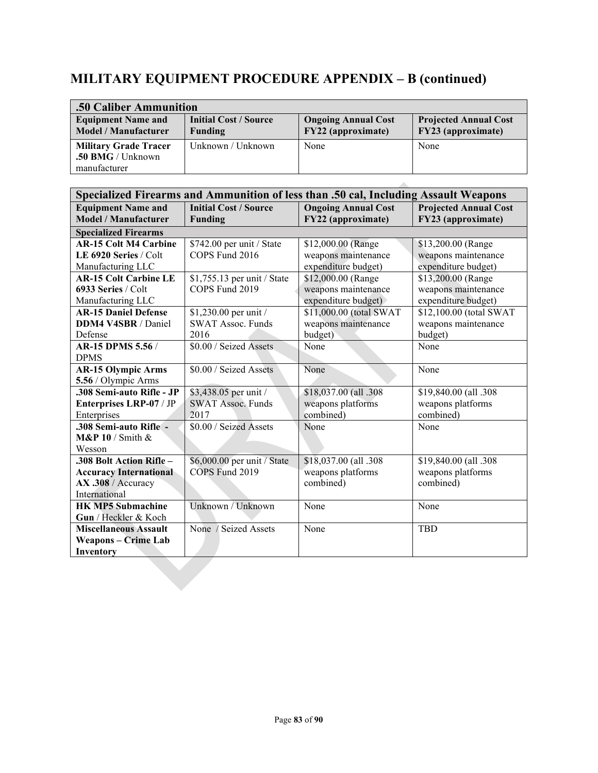| .50 Caliber Ammunition                                            |                                         |                                                  |                                                    |  |
|-------------------------------------------------------------------|-----------------------------------------|--------------------------------------------------|----------------------------------------------------|--|
| <b>Equipment Name and</b><br><b>Model / Manufacturer</b>          | <b>Initial Cost / Source</b><br>Funding | <b>Ongoing Annual Cost</b><br>FY22 (approximate) | <b>Projected Annual Cost</b><br>FY23 (approximate) |  |
| <b>Military Grade Tracer</b><br>.50 BMG / Unknown<br>manufacturer | Unknown / Unknown                       | None                                             | None                                               |  |

|                               |                              | Specialized Firearms and Ammunition of less than .50 cal, Including Assault Weapons |                              |
|-------------------------------|------------------------------|-------------------------------------------------------------------------------------|------------------------------|
| <b>Equipment Name and</b>     | <b>Initial Cost / Source</b> | <b>Ongoing Annual Cost</b>                                                          | <b>Projected Annual Cost</b> |
| <b>Model / Manufacturer</b>   | <b>Funding</b>               | FY22 (approximate)                                                                  | FY23 (approximate)           |
| <b>Specialized Firearms</b>   |                              |                                                                                     |                              |
| <b>AR-15 Colt M4 Carbine</b>  | \$742.00 per unit / State    | \$12,000.00 (Range                                                                  | \$13,200.00 (Range           |
| LE 6920 Series / Colt         | COPS Fund 2016               | weapons maintenance                                                                 | weapons maintenance          |
| Manufacturing LLC             |                              | expenditure budget)                                                                 | expenditure budget)          |
| <b>AR-15 Colt Carbine LE</b>  | \$1,755.13 per unit / State  | \$12,000.00 (Range                                                                  | \$13,200.00 (Range           |
| 6933 Series / Colt            | COPS Fund 2019               | weapons maintenance                                                                 | weapons maintenance          |
| Manufacturing LLC             |                              | expenditure budget)                                                                 | expenditure budget)          |
| <b>AR-15 Daniel Defense</b>   | \$1,230.00 per unit /        | \$11,000.00 (total SWAT                                                             | \$12,100.00 (total SWAT      |
| DDM4 V4SBR / Daniel           | <b>SWAT Assoc. Funds</b>     | weapons maintenance                                                                 | weapons maintenance          |
| Defense                       | 2016                         | budget)                                                                             | budget)                      |
| AR-15 DPMS 5.56 /             | \$0.00 / Seized Assets       | None                                                                                | None                         |
| <b>DPMS</b>                   |                              |                                                                                     |                              |
| <b>AR-15 Olympic Arms</b>     | \$0.00 / Seized Assets       | None                                                                                | None                         |
| 5.56 / Olympic Arms           |                              |                                                                                     |                              |
| .308 Semi-auto Rifle - JP     | \$3,438.05 per unit /        | \$18,037.00 (all .308                                                               | \$19,840.00 (all .308        |
| Enterprises LRP-07 / JP       | <b>SWAT Assoc. Funds</b>     | weapons platforms                                                                   | weapons platforms            |
| Enterprises                   | 2017                         | combined)                                                                           | combined)                    |
| .308 Semi-auto Rifle -        | \$0.00 / Seized Assets       | None                                                                                | None                         |
| $M\&P10/Smith &$              |                              |                                                                                     |                              |
| Wesson                        |                              |                                                                                     |                              |
| .308 Bolt Action Rifle-       | \$6,000.00 per unit / State  | \$18,037.00 (all .308                                                               | \$19,840.00 (all .308        |
| <b>Accuracy International</b> | COPS Fund 2019               | weapons platforms                                                                   | weapons platforms            |
| AX .308 / Accuracy            |                              | combined)                                                                           | combined)                    |
| International                 |                              |                                                                                     |                              |
| <b>HK MP5 Submachine</b>      | Unknown / Unknown            | None                                                                                | None                         |
| Gun / Heckler & Koch          |                              |                                                                                     |                              |
| <b>Miscellaneous Assault</b>  | None / Seized Assets         | None                                                                                | <b>TBD</b>                   |
| <b>Weapons – Crime Lab</b>    |                              |                                                                                     |                              |
| Inventory                     |                              |                                                                                     |                              |
|                               |                              |                                                                                     |                              |
|                               |                              |                                                                                     |                              |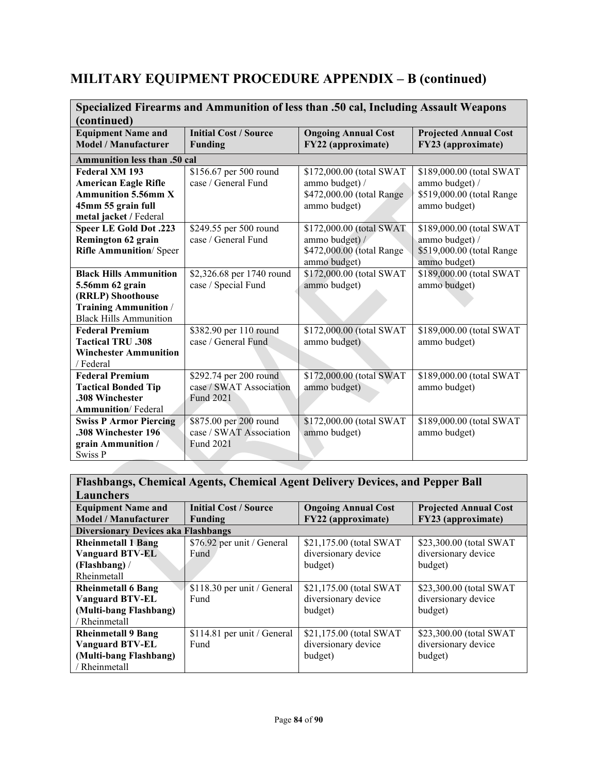| Specialized Firearms and Ammunition of less than .50 cal, Including Assault Weapons |                              |                            |                              |
|-------------------------------------------------------------------------------------|------------------------------|----------------------------|------------------------------|
| (continued)                                                                         |                              |                            |                              |
| <b>Equipment Name and</b>                                                           | <b>Initial Cost / Source</b> | <b>Ongoing Annual Cost</b> | <b>Projected Annual Cost</b> |
| <b>Model / Manufacturer</b>                                                         | <b>Funding</b>               | FY22 (approximate)         | FY23 (approximate)           |
| Ammunition less than .50 cal                                                        |                              |                            |                              |
| Federal XM 193                                                                      | \$156.67 per 500 round       | \$172,000.00 (total SWAT   | \$189,000.00 (total SWAT     |
| <b>American Eagle Rifle</b>                                                         | case / General Fund          | ammo budget) /             | ammo budget) /               |
| <b>Ammunition 5.56mm X</b>                                                          |                              | \$472,000.00 (total Range  | \$519,000.00 (total Range    |
| 45mm 55 grain full                                                                  |                              | ammo budget)               | ammo budget)                 |
| metal jacket / Federal                                                              |                              |                            |                              |
| <b>Speer LE Gold Dot .223</b>                                                       | \$249.55 per 500 round       | \$172,000.00 (total SWAT   | \$189,000.00 (total SWAT     |
| Remington 62 grain                                                                  | case / General Fund          | ammo budget) /             | ammo budget) /               |
| <b>Rifle Ammunition/ Speer</b>                                                      |                              | \$472,000.00 (total Range  | \$519,000.00 (total Range    |
|                                                                                     |                              | ammo budget)               | ammo budget)                 |
| <b>Black Hills Ammunition</b>                                                       | \$2,326.68 per 1740 round    | \$172,000.00 (total SWAT   | \$189,000.00 (total SWAT     |
| 5.56mm 62 grain                                                                     | case / Special Fund          | ammo budget)               | ammo budget)                 |
| (RRLP) Shoothouse                                                                   |                              |                            |                              |
| <b>Training Ammunition /</b>                                                        |                              |                            |                              |
| <b>Black Hills Ammunition</b>                                                       |                              |                            |                              |
| <b>Federal Premium</b>                                                              | \$382.90 per 110 round       | \$172,000.00 (total SWAT   | \$189,000.00 (total SWAT     |
| <b>Tactical TRU .308</b>                                                            | case / General Fund          | ammo budget)               | ammo budget)                 |
| <b>Winchester Ammunition</b>                                                        |                              |                            |                              |
| / Federal                                                                           |                              |                            |                              |
| <b>Federal Premium</b>                                                              | \$292.74 per 200 round       | \$172,000.00 (total SWAT   | \$189,000.00 (total SWAT     |
| <b>Tactical Bonded Tip</b>                                                          | case / SWAT Association      | ammo budget)               | ammo budget)                 |
| .308 Winchester                                                                     | Fund 2021                    |                            |                              |
| <b>Ammunition</b> / Federal                                                         |                              |                            |                              |
| <b>Swiss P Armor Piercing</b>                                                       | \$875.00 per 200 round       | \$172,000.00 (total SWAT   | \$189,000.00 (total SWAT     |
| .308 Winchester 196                                                                 | case / SWAT Association      | ammo budget)               | ammo budget)                 |
| grain Ammunition /                                                                  | Fund 2021                    |                            |                              |
| Swiss P                                                                             |                              |                            |                              |

#### **Flashbangs, Chemical Agents, Chemical Agent Delivery Devices, and Pepper Ball Launchers Equipment Name and Model / Manufacturer Initial Cost / Source Funding Ongoing Annual Cost FY22 (approximate) Projected Annual Cost FY23 (approximate) Diversionary Devices aka Flashbangs Rheinmetall 1 Bang Vanguard BTV-EL (Flashbang)** / Rheinmetall \$76.92 per unit / General Fund \$21,175.00 (total SWAT diversionary device budget) \$23,300.00 (total SWAT diversionary device budget) **Rheinmetall 6 Bang Vanguard BTV-EL (Multi-bang Flashbang)**  / Rheinmetall \$118.30 per unit / General Fund \$21,175.00 (total SWAT diversionary device budget) \$23,300.00 (total SWAT diversionary device budget) **Rheinmetall 9 Bang Vanguard BTV-EL (Multi-bang Flashbang)**  / Rheinmetall \$114.81 per unit / General Fund \$21,175.00 (total SWAT diversionary device budget) \$23,300.00 (total SWAT diversionary device budget)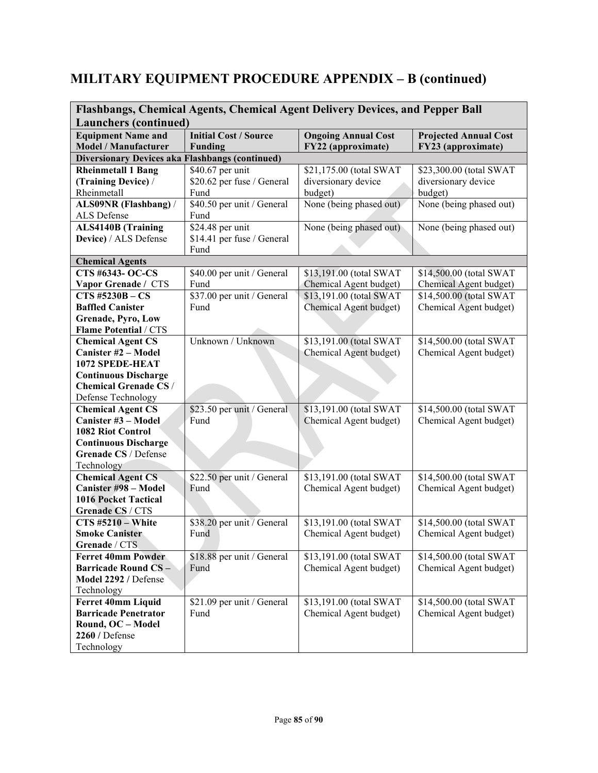| Flashbangs, Chemical Agents, Chemical Agent Delivery Devices, and Pepper Ball |                                                |                                                  |                                                    |  |
|-------------------------------------------------------------------------------|------------------------------------------------|--------------------------------------------------|----------------------------------------------------|--|
| <b>Launchers (continued)</b>                                                  |                                                |                                                  |                                                    |  |
| <b>Equipment Name and</b><br><b>Model / Manufacturer</b>                      | <b>Initial Cost / Source</b><br><b>Funding</b> | <b>Ongoing Annual Cost</b><br>FY22 (approximate) | <b>Projected Annual Cost</b><br>FY23 (approximate) |  |
| <b>Diversionary Devices aka Flashbangs (continued)</b>                        |                                                |                                                  |                                                    |  |
| <b>Rheinmetall 1 Bang</b>                                                     | \$40.67 per unit                               | \$21,175.00 (total SWAT                          | \$23,300.00 (total SWAT                            |  |
| (Training Device) /                                                           | \$20.62 per fuse / General                     | diversionary device                              | diversionary device                                |  |
| Rheinmetall                                                                   | Fund                                           | budget)                                          | budget)                                            |  |
| ALS09NR (Flashbang) /                                                         | \$40.50 per unit / General                     | None (being phased out)                          | None (being phased out)                            |  |
| ALS Defense                                                                   | Fund                                           |                                                  |                                                    |  |
| <b>ALS4140B</b> (Training                                                     | \$24.48 per unit                               | None (being phased out)                          | None (being phased out)                            |  |
| Device) / ALS Defense                                                         | \$14.41 per fuse / General                     |                                                  |                                                    |  |
|                                                                               | Fund                                           |                                                  |                                                    |  |
| <b>Chemical Agents</b>                                                        |                                                |                                                  |                                                    |  |
| <b>CTS #6343- OC-CS</b>                                                       | \$40.00 per unit / General                     | \$13,191.00 (total SWAT                          | \$14,500.00 (total SWAT                            |  |
| Vapor Grenade / CTS                                                           | Fund                                           | Chemical Agent budget)                           | Chemical Agent budget)                             |  |
| <b>CTS #5230B - CS</b>                                                        | \$37.00 per unit / General                     | \$13,191.00 (total SWAT                          | \$14,500.00 (total SWAT                            |  |
| <b>Baffled Canister</b>                                                       | Fund                                           | Chemical Agent budget)                           | Chemical Agent budget)                             |  |
| <b>Grenade, Pyro, Low</b>                                                     |                                                |                                                  |                                                    |  |
| <b>Flame Potential / CTS</b>                                                  |                                                |                                                  |                                                    |  |
| <b>Chemical Agent CS</b>                                                      | Unknown / Unknown                              | \$13,191.00 (total SWAT                          | \$14,500.00 (total SWAT                            |  |
| <b>Canister #2 - Model</b>                                                    |                                                | Chemical Agent budget)                           | Chemical Agent budget)                             |  |
| 1072 SPEDE-HEAT                                                               |                                                |                                                  |                                                    |  |
| <b>Continuous Discharge</b><br><b>Chemical Grenade CS /</b>                   |                                                |                                                  |                                                    |  |
|                                                                               |                                                |                                                  |                                                    |  |
| Defense Technology                                                            | \$23.50 per unit / General                     | \$13,191.00 (total SWAT                          | \$14,500.00 (total SWAT                            |  |
| <b>Chemical Agent CS</b><br>Canister #3 - Model                               | Fund                                           | Chemical Agent budget)                           | Chemical Agent budget)                             |  |
| 1082 Riot Control                                                             |                                                |                                                  |                                                    |  |
| <b>Continuous Discharge</b>                                                   |                                                |                                                  |                                                    |  |
| Grenade CS / Defense                                                          |                                                |                                                  |                                                    |  |
| Technology                                                                    |                                                |                                                  |                                                    |  |
| <b>Chemical Agent CS</b>                                                      | \$22.50 per unit / General                     | \$13,191.00 (total SWAT                          | \$14,500.00 (total SWAT                            |  |
| Canister #98 - Model                                                          | Fund                                           | Chemical Agent budget)                           | Chemical Agent budget)                             |  |
| <b>1016 Pocket Tactical</b>                                                   |                                                |                                                  |                                                    |  |
| Grenade CS / CTS                                                              |                                                |                                                  |                                                    |  |
| $CTS$ #5210 - White                                                           | \$38.20 per unit / General                     | \$13,191.00 (total SWAT                          | \$14,500.00 (total SWAT                            |  |
| <b>Smoke Canister</b>                                                         | Fund                                           | Chemical Agent budget)                           | Chemical Agent budget)                             |  |
| Grenade / CTS                                                                 |                                                |                                                  |                                                    |  |
| <b>Ferret 40mm Powder</b>                                                     | \$18.88 per unit / General                     | \$13,191.00 (total SWAT                          | \$14,500.00 (total SWAT                            |  |
| <b>Barricade Round CS-</b>                                                    | Fund                                           | Chemical Agent budget)                           | Chemical Agent budget)                             |  |
| Model 2292 / Defense                                                          |                                                |                                                  |                                                    |  |
| Technology                                                                    |                                                |                                                  |                                                    |  |
| <b>Ferret 40mm Liquid</b>                                                     | \$21.09 per unit / General                     | \$13,191.00 (total SWAT                          | \$14,500.00 (total SWAT                            |  |
| <b>Barricade Penetrator</b>                                                   | Fund                                           | Chemical Agent budget)                           | Chemical Agent budget)                             |  |
| Round, OC - Model                                                             |                                                |                                                  |                                                    |  |
| 2260 / Defense                                                                |                                                |                                                  |                                                    |  |
| Technology                                                                    |                                                |                                                  |                                                    |  |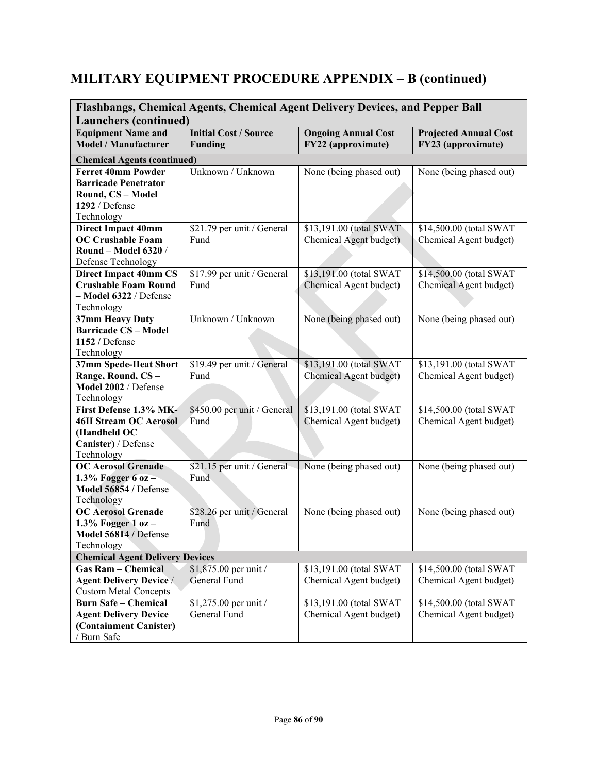| Flashbangs, Chemical Agents, Chemical Agent Delivery Devices, and Pepper Ball<br><b>Launchers (continued)</b> |                                                |                                                  |                                                    |  |
|---------------------------------------------------------------------------------------------------------------|------------------------------------------------|--------------------------------------------------|----------------------------------------------------|--|
| <b>Equipment Name and</b><br><b>Model / Manufacturer</b>                                                      | <b>Initial Cost / Source</b><br><b>Funding</b> | <b>Ongoing Annual Cost</b><br>FY22 (approximate) | <b>Projected Annual Cost</b><br>FY23 (approximate) |  |
| <b>Chemical Agents (continued)</b>                                                                            |                                                |                                                  |                                                    |  |
| <b>Ferret 40mm Powder</b>                                                                                     | Unknown / Unknown                              | None (being phased out)                          | None (being phased out)                            |  |
| <b>Barricade Penetrator</b>                                                                                   |                                                |                                                  |                                                    |  |
| Round, CS - Model                                                                                             |                                                |                                                  |                                                    |  |
| 1292 / Defense                                                                                                |                                                |                                                  |                                                    |  |
| Technology                                                                                                    |                                                |                                                  |                                                    |  |
| <b>Direct Impact 40mm</b>                                                                                     | \$21.79 per unit / General                     | \$13,191.00 (total SWAT                          | \$14,500.00 (total SWAT                            |  |
| <b>OC Crushable Foam</b>                                                                                      | Fund                                           | Chemical Agent budget)                           | Chemical Agent budget)                             |  |
| <b>Round - Model 6320 /</b>                                                                                   |                                                |                                                  |                                                    |  |
| Defense Technology                                                                                            |                                                |                                                  |                                                    |  |
| <b>Direct Impact 40mm CS</b>                                                                                  | \$17.99 per unit / General                     | \$13,191.00 (total SWAT                          | \$14,500.00 (total SWAT                            |  |
| <b>Crushable Foam Round</b>                                                                                   | Fund                                           | Chemical Agent budget)                           | Chemical Agent budget)                             |  |
| - Model 6322 / Defense                                                                                        |                                                |                                                  |                                                    |  |
| Technology                                                                                                    |                                                |                                                  |                                                    |  |
| 37mm Heavy Duty                                                                                               | Unknown / Unknown                              | None (being phased out)                          | None (being phased out)                            |  |
| <b>Barricade CS - Model</b>                                                                                   |                                                |                                                  |                                                    |  |
| 1152 / Defense                                                                                                |                                                |                                                  |                                                    |  |
| Technology                                                                                                    |                                                |                                                  |                                                    |  |
| 37mm Spede-Heat Short                                                                                         | \$19.49 per unit / General                     | \$13,191.00 (total SWAT                          | \$13,191.00 (total SWAT                            |  |
| Range, Round, CS-                                                                                             | Fund                                           | Chemical Agent budget)                           | Chemical Agent budget)                             |  |
| Model 2002 / Defense                                                                                          |                                                |                                                  |                                                    |  |
| Technology                                                                                                    |                                                |                                                  |                                                    |  |
| First Defense 1.3% MK-                                                                                        | \$450.00 per unit / General                    | \$13,191.00 (total SWAT                          | \$14,500.00 (total SWAT                            |  |
| <b>46H Stream OC Aerosol</b>                                                                                  | Fund                                           | Chemical Agent budget)                           | Chemical Agent budget)                             |  |
| (Handheld OC                                                                                                  |                                                |                                                  |                                                    |  |
| Canister) / Defense<br>Technology                                                                             |                                                |                                                  |                                                    |  |
| <b>OC Aerosol Grenade</b>                                                                                     | \$21.15 per unit / General                     | None (being phased out)                          | None (being phased out)                            |  |
| 1.3% Fogger 6 oz $-$                                                                                          | Fund                                           |                                                  |                                                    |  |
| Model 56854 / Defense                                                                                         |                                                |                                                  |                                                    |  |
| Technology                                                                                                    |                                                |                                                  |                                                    |  |
| <b>OC Aerosol Grenade</b>                                                                                     | \$28.26 per unit / General                     | None (being phased out)                          | None (being phased out)                            |  |
| 1.3% Fogger 1 oz $-$                                                                                          | Fund                                           |                                                  |                                                    |  |
| Model 56814 / Defense                                                                                         |                                                |                                                  |                                                    |  |
| Technology                                                                                                    |                                                |                                                  |                                                    |  |
| <b>Chemical Agent Delivery Devices</b>                                                                        |                                                |                                                  |                                                    |  |
| <b>Gas Ram - Chemical</b>                                                                                     | \$1,875.00 per unit /                          | \$13,191.00 (total SWAT                          | \$14,500.00 (total SWAT                            |  |
| <b>Agent Delivery Device /</b>                                                                                | General Fund                                   | Chemical Agent budget)                           | Chemical Agent budget)                             |  |
| <b>Custom Metal Concepts</b>                                                                                  |                                                |                                                  |                                                    |  |
| <b>Burn Safe - Chemical</b>                                                                                   | \$1,275.00 per unit /                          | \$13,191.00 (total SWAT                          | \$14,500.00 (total SWAT                            |  |
| <b>Agent Delivery Device</b>                                                                                  | General Fund                                   | Chemical Agent budget)                           | Chemical Agent budget)                             |  |
| (Containment Canister)                                                                                        |                                                |                                                  |                                                    |  |
| / Burn Safe                                                                                                   |                                                |                                                  |                                                    |  |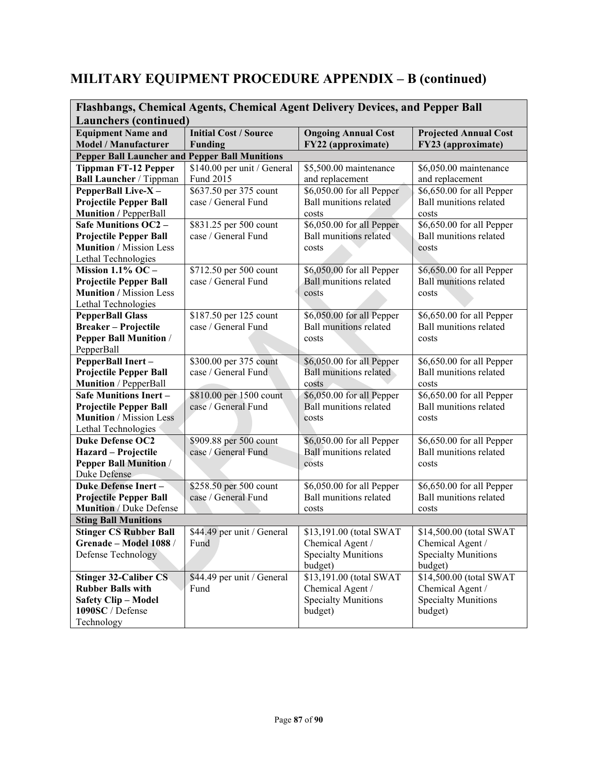| Flashbangs, Chemical Agents, Chemical Agent Delivery Devices, and Pepper Ball |                                                       |                                                            |                                                            |  |  |  |
|-------------------------------------------------------------------------------|-------------------------------------------------------|------------------------------------------------------------|------------------------------------------------------------|--|--|--|
| <b>Launchers (continued)</b>                                                  | <b>Initial Cost / Source</b>                          | <b>Ongoing Annual Cost</b>                                 |                                                            |  |  |  |
| <b>Equipment Name and</b><br><b>Model / Manufacturer</b>                      | <b>Funding</b>                                        | FY22 (approximate)                                         | <b>Projected Annual Cost</b><br>FY23 (approximate)         |  |  |  |
|                                                                               | <b>Pepper Ball Launcher and Pepper Ball Munitions</b> |                                                            |                                                            |  |  |  |
| <b>Tippman FT-12 Pepper</b>                                                   | \$140.00 per unit / General                           | \$5,500.00 maintenance                                     | \$6,050.00 maintenance                                     |  |  |  |
| Ball Launcher / Tippman                                                       | Fund 2015                                             | and replacement                                            | and replacement                                            |  |  |  |
| PepperBall Live-X-                                                            | \$637.50 per 375 count                                | \$6,050.00 for all Pepper                                  | \$6,650.00 for all Pepper                                  |  |  |  |
| <b>Projectile Pepper Ball</b>                                                 | case / General Fund                                   | <b>Ball munitions related</b>                              | Ball munitions related                                     |  |  |  |
| <b>Munition / PepperBall</b>                                                  |                                                       | costs                                                      | costs                                                      |  |  |  |
| <b>Safe Munitions OC2 -</b>                                                   | \$831.25 per 500 count                                | \$6,050.00 for all Pepper                                  | \$6,650.00 for all Pepper                                  |  |  |  |
| <b>Projectile Pepper Ball</b>                                                 | case / General Fund                                   | Ball munitions related                                     | <b>Ball munitions related</b>                              |  |  |  |
| <b>Munition</b> / Mission Less                                                |                                                       | costs                                                      | costs                                                      |  |  |  |
| Lethal Technologies                                                           |                                                       |                                                            |                                                            |  |  |  |
| Mission $1.1\%$ OC -                                                          | \$712.50 per 500 count                                | \$6,050.00 for all Pepper                                  | \$6,650.00 for all Pepper                                  |  |  |  |
| <b>Projectile Pepper Ball</b>                                                 | case / General Fund                                   | <b>Ball munitions related</b>                              | Ball munitions related                                     |  |  |  |
| <b>Munition</b> / Mission Less<br>Lethal Technologies                         |                                                       | costs                                                      | costs                                                      |  |  |  |
| <b>PepperBall Glass</b>                                                       | \$187.50 per 125 count                                | \$6,050.00 for all Pepper                                  | \$6,650.00 for all Pepper                                  |  |  |  |
| <b>Breaker-Projectile</b>                                                     | case / General Fund                                   | <b>Ball munitions related</b>                              | Ball munitions related                                     |  |  |  |
| <b>Pepper Ball Munition /</b>                                                 |                                                       | costs                                                      | costs                                                      |  |  |  |
| PepperBall                                                                    |                                                       |                                                            |                                                            |  |  |  |
| PepperBall Inert-                                                             | \$300.00 per 375 count                                | \$6,050.00 for all Pepper                                  | \$6,650.00 for all Pepper                                  |  |  |  |
| <b>Projectile Pepper Ball</b>                                                 | case / General Fund                                   | Ball munitions related                                     | Ball munitions related                                     |  |  |  |
| <b>Munition</b> / PepperBall                                                  |                                                       | costs                                                      | costs                                                      |  |  |  |
| <b>Safe Munitions Inert -</b>                                                 | \$810.00 per 1500 count                               | \$6,050.00 for all Pepper                                  | \$6,650.00 for all Pepper                                  |  |  |  |
| <b>Projectile Pepper Ball</b>                                                 | case / General Fund                                   | <b>Ball munitions related</b>                              | <b>Ball munitions related</b>                              |  |  |  |
| Munition / Mission Less                                                       |                                                       | costs                                                      | costs                                                      |  |  |  |
| Lethal Technologies                                                           |                                                       |                                                            |                                                            |  |  |  |
| <b>Duke Defense OC2</b>                                                       | \$909.88 per 500 count                                | \$6,050.00 for all Pepper                                  | \$6,650.00 for all Pepper                                  |  |  |  |
| Hazard - Projectile                                                           | case / General Fund                                   | <b>Ball munitions related</b>                              | <b>Ball munitions related</b>                              |  |  |  |
| <b>Pepper Ball Munition /</b>                                                 |                                                       | costs                                                      | costs                                                      |  |  |  |
| Duke Defense                                                                  |                                                       |                                                            |                                                            |  |  |  |
| <b>Duke Defense Inert-</b>                                                    | \$258.50 per 500 count                                | \$6,050.00 for all Pepper<br><b>Ball munitions related</b> | \$6,650.00 for all Pepper<br><b>Ball munitions related</b> |  |  |  |
| <b>Projectile Pepper Ball</b><br><b>Munition</b> / Duke Defense               | case / General Fund                                   |                                                            |                                                            |  |  |  |
| <b>Sting Ball Munitions</b>                                                   |                                                       | costs                                                      | costs                                                      |  |  |  |
| <b>Stinger CS Rubber Ball</b>                                                 | \$44.49 per unit / General                            | \$13,191.00 (total SWAT                                    | \$14,500.00 (total SWAT                                    |  |  |  |
| Grenade - Model 1088 /                                                        | Fund                                                  | Chemical Agent /                                           | Chemical Agent /                                           |  |  |  |
| Defense Technology                                                            |                                                       | <b>Specialty Munitions</b>                                 | <b>Specialty Munitions</b>                                 |  |  |  |
|                                                                               |                                                       | budget)                                                    | budget)                                                    |  |  |  |
| <b>Stinger 32-Caliber CS</b>                                                  | \$44.49 per unit / General                            | \$13,191.00 (total SWAT                                    | \$14,500.00 (total SWAT                                    |  |  |  |
| <b>Rubber Balls with</b>                                                      | Fund                                                  | Chemical Agent /                                           | Chemical Agent /                                           |  |  |  |
| <b>Safety Clip - Model</b>                                                    |                                                       | <b>Specialty Munitions</b>                                 | <b>Specialty Munitions</b>                                 |  |  |  |
| 1090SC / Defense                                                              |                                                       | budget)                                                    | budget)                                                    |  |  |  |
| Technology                                                                    |                                                       |                                                            |                                                            |  |  |  |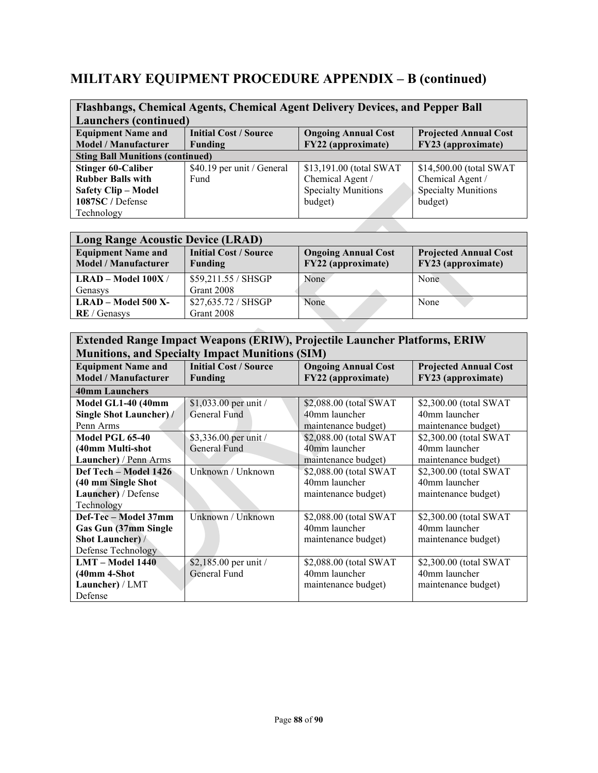| Flashbangs, Chemical Agents, Chemical Agent Delivery Devices, and Pepper Ball |                              |                            |                              |
|-------------------------------------------------------------------------------|------------------------------|----------------------------|------------------------------|
| <b>Launchers (continued)</b>                                                  |                              |                            |                              |
| <b>Equipment Name and</b>                                                     | <b>Initial Cost / Source</b> | <b>Ongoing Annual Cost</b> | <b>Projected Annual Cost</b> |
| <b>Model / Manufacturer</b>                                                   | <b>Funding</b>               | FY22 (approximate)         | FY23 (approximate)           |
| <b>Sting Ball Munitions (continued)</b>                                       |                              |                            |                              |
| <b>Stinger 60-Caliber</b>                                                     | \$40.19 per unit / General   | \$13,191.00 (total SWAT    | \$14,500.00 (total SWAT      |
| <b>Rubber Balls with</b>                                                      | Fund                         | Chemical Agent /           | Chemical Agent /             |
| <b>Safety Clip - Model</b>                                                    |                              | <b>Specialty Munitions</b> | <b>Specialty Munitions</b>   |
| 1087SC / Defense                                                              |                              | budget)                    | budget)                      |
| Technology                                                                    |                              |                            |                              |

| <b>Long Range Acoustic Device (LRAD)</b>          |                                                |                                                  |                                                    |
|---------------------------------------------------|------------------------------------------------|--------------------------------------------------|----------------------------------------------------|
| <b>Equipment Name and</b><br>Model / Manufacturer | <b>Initial Cost / Source</b><br><b>Funding</b> | <b>Ongoing Annual Cost</b><br>FY22 (approximate) | <b>Projected Annual Cost</b><br>FY23 (approximate) |
| $LRAD - Model 100X /$                             | \$59,211.55 / SHSGP                            | None.                                            | None                                               |
| Genasys                                           | Grant 2008                                     |                                                  |                                                    |
| $LRAD - Model 500 X-$                             | \$27,635.72 / SHSGP                            | None                                             | None                                               |
| <b>RE</b> / Genasys                               | Grant 2008                                     |                                                  |                                                    |

| <b>Extended Range Impact Weapons (ERIW), Projectile Launcher Platforms, ERIW</b> |                              |                            |                              |
|----------------------------------------------------------------------------------|------------------------------|----------------------------|------------------------------|
| <b>Munitions, and Specialty Impact Munitions (SIM)</b>                           |                              |                            |                              |
| <b>Equipment Name and</b>                                                        | <b>Initial Cost / Source</b> | <b>Ongoing Annual Cost</b> | <b>Projected Annual Cost</b> |
| <b>Model / Manufacturer</b>                                                      | <b>Funding</b>               | FY22 (approximate)         | FY23 (approximate)           |
| <b>40mm Launchers</b>                                                            |                              |                            |                              |
| Model GL1-40 (40mm                                                               | \$1,033.00 per unit /        | \$2,088.00 (total SWAT     | \$2,300.00 (total SWAT       |
| Single Shot Launcher) /                                                          | General Fund                 | 40mm launcher              | 40mm launcher                |
| Penn Arms                                                                        |                              | maintenance budget)        | maintenance budget)          |
| <b>Model PGL 65-40</b>                                                           | \$3,336.00 per unit /        | \$2,088.00 (total SWAT     | \$2,300.00 (total SWAT       |
| (40mm Multi-shot                                                                 | General Fund                 | 40mm launcher              | 40mm launcher                |
| Launcher) / Penn Arms                                                            |                              | maintenance budget)        | maintenance budget)          |
| Def Tech – Model 1426                                                            | Unknown / Unknown            | \$2,088.00 (total SWAT     | \$2,300.00 (total SWAT       |
| (40 mm Single Shot                                                               |                              | 40mm launcher              | 40mm launcher                |
| Launcher) / Defense                                                              |                              | maintenance budget)        | maintenance budget)          |
| Technology                                                                       |                              |                            |                              |
| Def-Tec - Model 37mm                                                             | Unknown / Unknown            | \$2,088.00 (total SWAT     | \$2,300.00 (total SWAT       |
| Gas Gun (37mm Single                                                             |                              | 40mm launcher              | 40mm launcher                |
| <b>Shot Launcher</b> ) /                                                         |                              | maintenance budget)        | maintenance budget)          |
| Defense Technology                                                               |                              |                            |                              |
| LMT - Model 1440                                                                 | \$2,185.00 per unit /        | \$2,088.00 (total SWAT     | \$2,300.00 (total SWAT       |
| $(40mm 4-Shot$                                                                   | <b>General Fund</b>          | 40mm launcher              | 40mm launcher                |
| Launcher) / LMT                                                                  |                              | maintenance budget)        | maintenance budget)          |
| Defense                                                                          |                              |                            |                              |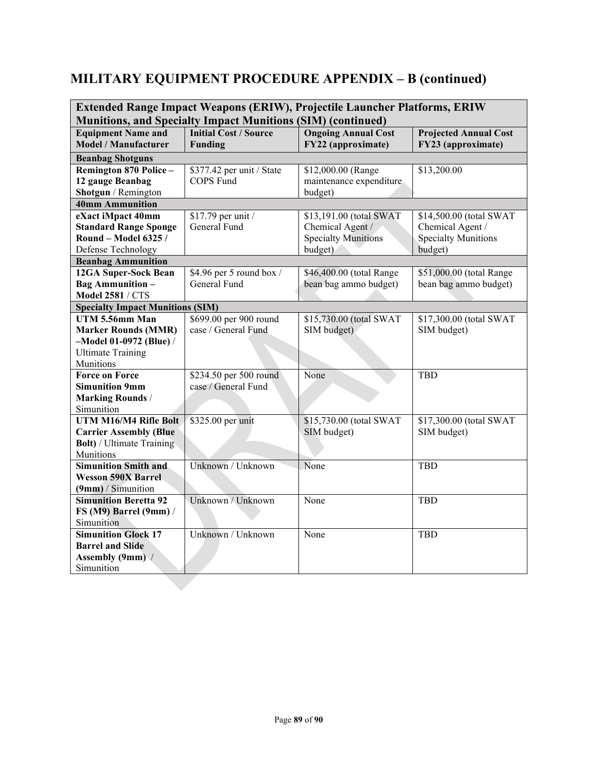| <b>Extended Range Impact Weapons (ERIW), Projectile Launcher Platforms, ERIW</b><br><b>Munitions, and Specialty Impact Munitions (SIM) (continued)</b> |                                         |                                                  |                                                    |
|--------------------------------------------------------------------------------------------------------------------------------------------------------|-----------------------------------------|--------------------------------------------------|----------------------------------------------------|
| <b>Equipment Name and</b><br><b>Model / Manufacturer</b>                                                                                               | <b>Initial Cost / Source</b><br>Funding | <b>Ongoing Annual Cost</b><br>FY22 (approximate) | <b>Projected Annual Cost</b><br>FY23 (approximate) |
| <b>Beanbag Shotguns</b>                                                                                                                                |                                         |                                                  |                                                    |
| Remington 870 Police -                                                                                                                                 | \$377.42 per unit / State               | \$12,000.00 (Range                               | \$13,200.00                                        |
| 12 gauge Beanbag                                                                                                                                       | <b>COPS Fund</b>                        | maintenance expenditure                          |                                                    |
| Shotgun / Remington                                                                                                                                    |                                         | budget)                                          |                                                    |
| 40mm Ammunition                                                                                                                                        |                                         |                                                  |                                                    |
| eXact iMpact 40mm                                                                                                                                      | \$17.79 per unit /                      | \$13,191.00 (total SWAT                          | \$14,500.00 (total SWAT                            |
| <b>Standard Range Sponge</b>                                                                                                                           | General Fund                            | Chemical Agent /                                 | Chemical Agent /                                   |
| Round - Model 6325 /                                                                                                                                   |                                         | <b>Specialty Munitions</b>                       | <b>Specialty Munitions</b>                         |
| Defense Technology                                                                                                                                     |                                         | budget)                                          | budget)                                            |
| <b>Beanbag Ammunition</b>                                                                                                                              |                                         |                                                  |                                                    |
| 12GA Super-Sock Bean                                                                                                                                   | \$4.96 per 5 round box /                | \$46,400.00 (total Range                         | \$51,000.00 (total Range                           |
| <b>Bag Ammunition -</b>                                                                                                                                | General Fund                            | bean bag ammo budget)                            | bean bag ammo budget)                              |
| <b>Model 2581 / CTS</b>                                                                                                                                |                                         |                                                  |                                                    |
| <b>Specialty Impact Munitions (SIM)</b>                                                                                                                |                                         |                                                  |                                                    |
| UTM 5.56mm Man                                                                                                                                         | \$699.00 per 900 round                  | \$15,730.00 (total SWAT                          | \$17,300.00 (total SWAT                            |
| <b>Marker Rounds (MMR)</b>                                                                                                                             | case / General Fund                     | SIM budget)                                      | SIM budget)                                        |
| -Model 01-0972 (Blue) /                                                                                                                                |                                         |                                                  |                                                    |
| <b>Ultimate Training</b>                                                                                                                               |                                         |                                                  |                                                    |
| Munitions                                                                                                                                              |                                         |                                                  |                                                    |
| Force on Force                                                                                                                                         | \$234.50 per 500 round                  | None                                             | <b>TBD</b>                                         |
| <b>Simunition 9mm</b>                                                                                                                                  | case / General Fund                     |                                                  |                                                    |
| <b>Marking Rounds /</b>                                                                                                                                |                                         |                                                  |                                                    |
| Simunition                                                                                                                                             |                                         |                                                  |                                                    |
| UTM M16/M4 Rifle Bolt                                                                                                                                  | \$325.00 per unit                       | \$15,730.00 (total SWAT                          | \$17,300.00 (total SWAT                            |
| <b>Carrier Assembly (Blue</b>                                                                                                                          |                                         | SIM budget)                                      | SIM budget)                                        |
| <b>Bolt)</b> / Ultimate Training                                                                                                                       |                                         |                                                  |                                                    |
| Munitions<br><b>Simunition Smith and</b>                                                                                                               |                                         |                                                  |                                                    |
|                                                                                                                                                        | Unknown / Unknown                       | None                                             | TBD                                                |
| <b>Wesson 590X Barrel</b><br>$(9mm)$ / Simunition                                                                                                      |                                         |                                                  |                                                    |
| <b>Simunition Beretta 92</b>                                                                                                                           | Unknown / Unknown                       | None                                             | <b>TBD</b>                                         |
| FS (M9) Barrel (9mm) /                                                                                                                                 |                                         |                                                  |                                                    |
| Simunition                                                                                                                                             |                                         |                                                  |                                                    |
| <b>Simunition Glock 17</b>                                                                                                                             | Unknown / Unknown                       | None                                             | <b>TBD</b>                                         |
| <b>Barrel and Slide</b>                                                                                                                                |                                         |                                                  |                                                    |
| Assembly (9mm) /                                                                                                                                       |                                         |                                                  |                                                    |
| Simunition                                                                                                                                             |                                         |                                                  |                                                    |
|                                                                                                                                                        |                                         |                                                  |                                                    |
|                                                                                                                                                        |                                         |                                                  |                                                    |